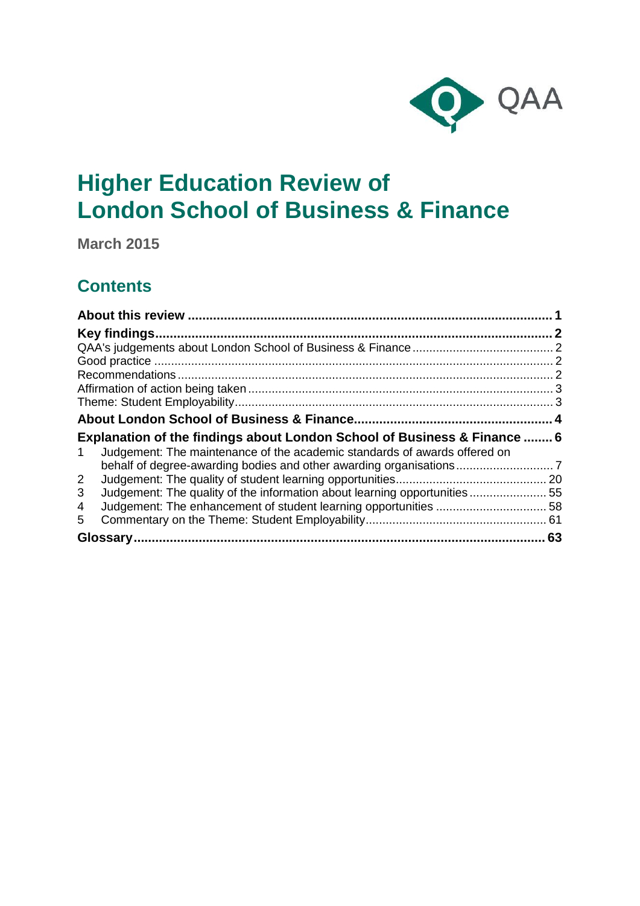

# **Higher Education Review of London School of Business & Finance**

**March 2015**

## **Contents**

| Explanation of the findings about London School of Business & Finance  6<br>Judgement: The maintenance of the academic standards of awards offered on<br>1. |  |
|-------------------------------------------------------------------------------------------------------------------------------------------------------------|--|
|                                                                                                                                                             |  |
| $\overline{2}$                                                                                                                                              |  |
| Judgement: The quality of the information about learning opportunities 55<br>3                                                                              |  |
| 4                                                                                                                                                           |  |
| 5.                                                                                                                                                          |  |
|                                                                                                                                                             |  |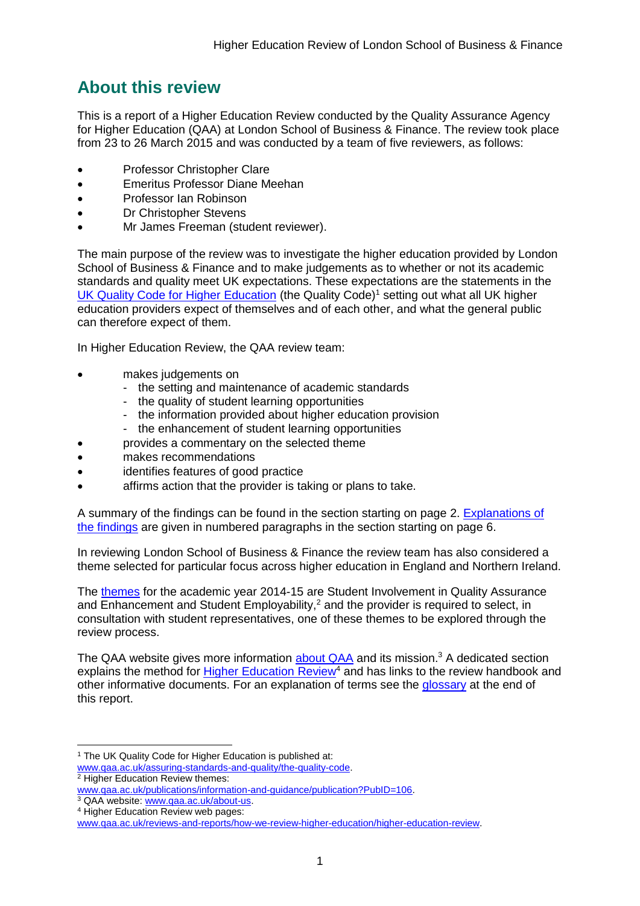## <span id="page-1-0"></span>**About this review**

This is a report of a Higher Education Review conducted by the Quality Assurance Agency for Higher Education (QAA) at London School of Business & Finance. The review took place from 23 to 26 March 2015 and was conducted by a team of five reviewers, as follows:

- Professor Christopher Clare
- Emeritus Professor Diane Meehan
- Professor Ian Robinson
- Dr Christopher Stevens
- Mr James Freeman (student reviewer).

The main purpose of the review was to investigate the higher education provided by London School of Business & Finance and to make judgements as to whether or not its academic standards and quality meet UK expectations. These expectations are the statements in the [UK Quality Code for Higher Education](http://www.qaa.ac.uk/assuring-standards-and-quality/the-quality-code) (the Quality Code)<sup>1</sup> setting out what all UK higher [education providers](http://newlive.qaa.ac.uk/AboutUs/glossary/Pages/glossary-h.aspx#h2.1) expect of themselves and of each other, and what the general public can therefore expect of them.

In Higher Education Review, the QAA review team:

- makes judgements on
	- the setting and maintenance of academic standards
	- the quality of student learning opportunities
	- the information provided about higher education provision
	- the enhancement of student learning opportunities
- provides a commentary on the selected theme
- makes recommendations
- identifies features of good practice
- affirms action that the provider is taking or plans to take.

A summary of the findings can be found in the section starting on page 2. [Explanations of](#page-6-0)  [the findings](#page-6-0) are given in numbered paragraphs in the section starting on page 6.

In reviewing London School of Business & Finance the review team has also considered a theme selected for particular focus across higher education in England and Northern Ireland.

The [themes](http://www.qaa.ac.uk/publications/information-and-guidance/publication?PubID=106) for the academic year 2014-15 are Student Involvement in Quality Assurance and Enhancement and Student Employability, $2$  and the provider is required to select, in consultation with student representatives, one of these themes to be explored through the review process.

The QAA website gives more information [about QAA](http://www.qaa.ac.uk/aboutus/pages/default.aspx) and its mission.<sup>3</sup> A dedicated section explains the method for **Higher Education Review<sup>4</sup>** and has links to the review handbook and other informative documents. For an explanation of terms see the [glossary](#page-62-0) at the end of this report.

<sup>-</sup><sup>1</sup> The UK Quality Code for Higher Education is published at:

[www.qaa.ac.uk/assuring-standards-and-quality/the-quality-code.](http://www.qaa.ac.uk/assuring-standards-and-quality/the-quality-code) <sup>2</sup> Higher Education Review themes:

[www.qaa.ac.uk/publications/information-and-guidance/publication?PubID=106.](http://www.qaa.ac.uk/publications/information-and-guidance/publication?PubID=106)

<sup>&</sup>lt;sup>3</sup> QAA website: [www.qaa.ac.uk/about-us.](http://www.qaa.ac.uk/about-us)

<sup>4</sup> Higher Education Review web pages:

[www.qaa.ac.uk/reviews-and-reports/how-we-review-higher-education/higher-education-review.](http://www.qaa.ac.uk/reviews-and-reports/how-we-review-higher-education/higher-education-review)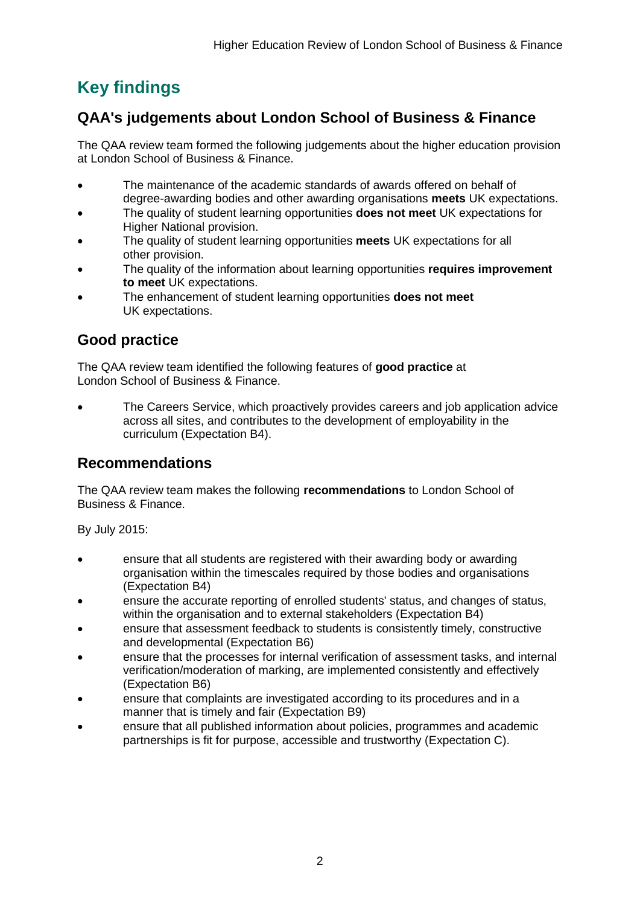## <span id="page-2-0"></span>**Key findings**

## <span id="page-2-1"></span>**QAA's judgements about London School of Business & Finance**

The QAA review team formed the following judgements about the higher education provision at London School of Business & Finance.

- The maintenance of the academic standards of awards offered on behalf of degree-awarding bodies and other awarding organisations **meets** UK expectations.
- The quality of student learning opportunities **does not meet** UK expectations for Higher National provision.
- The quality of student learning opportunities **meets** UK expectations for all other provision.
- The quality of the information about learning opportunities **requires improvement to meet** UK expectations.
- The enhancement of student learning opportunities **does not meet**  UK expectations.

## <span id="page-2-2"></span>**Good practice**

The QAA review team identified the following features of **good practice** at London School of Business & Finance.

 The Careers Service, which proactively provides careers and job application advice across all sites, and contributes to the development of employability in the curriculum (Expectation B4).

## <span id="page-2-3"></span>**Recommendations**

The QAA review team makes the following **recommendations** to London School of Business & Finance.

By July 2015:

- ensure that all students are registered with their awarding body or awarding organisation within the timescales required by those bodies and organisations (Expectation B4)
- ensure the accurate reporting of enrolled students' status, and changes of status, within the organisation and to external stakeholders (Expectation B4)
- ensure that assessment feedback to students is consistently timely, constructive and developmental (Expectation B6)
- ensure that the processes for internal verification of assessment tasks, and internal verification/moderation of marking, are implemented consistently and effectively (Expectation B6)
- ensure that complaints are investigated according to its procedures and in a manner that is timely and fair (Expectation B9)
- ensure that all published information about policies, programmes and academic partnerships is fit for purpose, accessible and trustworthy (Expectation C).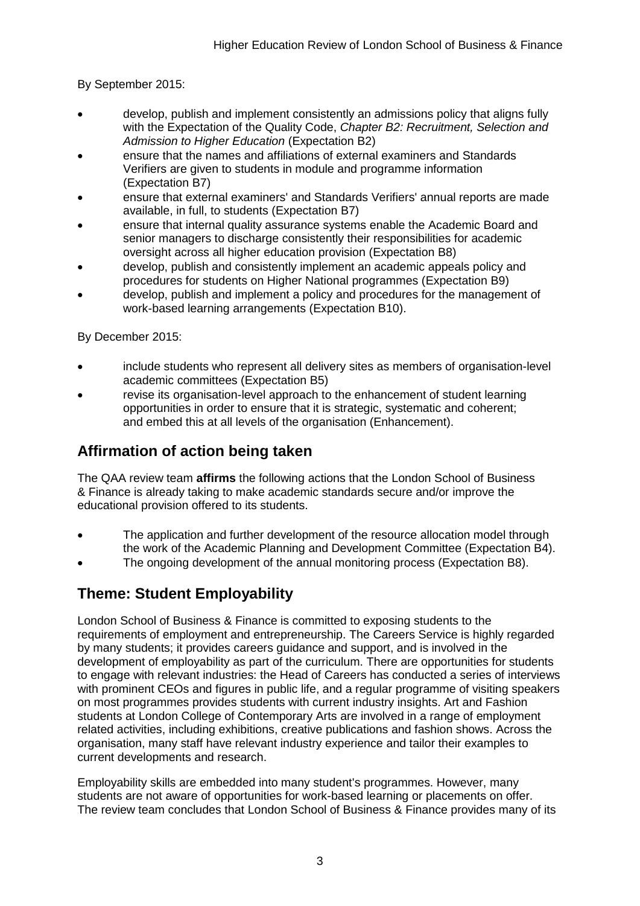By September 2015:

- develop, publish and implement consistently an admissions policy that aligns fully with the Expectation of the Quality Code, *Chapter B2: Recruitment, Selection and Admission to Higher Education* (Expectation B2)
- ensure that the names and affiliations of external examiners and Standards Verifiers are given to students in module and programme information (Expectation B7)
- ensure that external examiners' and Standards Verifiers' annual reports are made available, in full, to students (Expectation B7)
- ensure that internal quality assurance systems enable the Academic Board and senior managers to discharge consistently their responsibilities for academic oversight across all higher education provision (Expectation B8)
- develop, publish and consistently implement an academic appeals policy and procedures for students on Higher National programmes (Expectation B9)
- develop, publish and implement a policy and procedures for the management of work-based learning arrangements (Expectation B10).

By December 2015:

- include students who represent all delivery sites as members of organisation-level academic committees (Expectation B5)
- revise its organisation-level approach to the enhancement of student learning opportunities in order to ensure that it is strategic, systematic and coherent; and embed this at all levels of the organisation (Enhancement).

## <span id="page-3-0"></span>**Affirmation of action being taken**

The QAA review team **affirms** the following actions that the London School of Business & Finance is already taking to make academic standards secure and/or improve the educational provision offered to its students.

- The application and further development of the resource allocation model through the work of the Academic Planning and Development Committee (Expectation B4).
- The ongoing development of the annual monitoring process (Expectation B8).

## <span id="page-3-1"></span>**Theme: Student Employability**

London School of Business & Finance is committed to exposing students to the requirements of employment and entrepreneurship. The Careers Service is highly regarded by many students; it provides careers guidance and support, and is involved in the development of employability as part of the curriculum. There are opportunities for students to engage with relevant industries: the Head of Careers has conducted a series of interviews with prominent CEOs and figures in public life, and a regular programme of visiting speakers on most programmes provides students with current industry insights. Art and Fashion students at London College of Contemporary Arts are involved in a range of employment related activities, including exhibitions, creative publications and fashion shows. Across the organisation, many staff have relevant industry experience and tailor their examples to current developments and research.

Employability skills are embedded into many student's programmes. However, many students are not aware of opportunities for work-based learning or placements on offer. The review team concludes that London School of Business & Finance provides many of its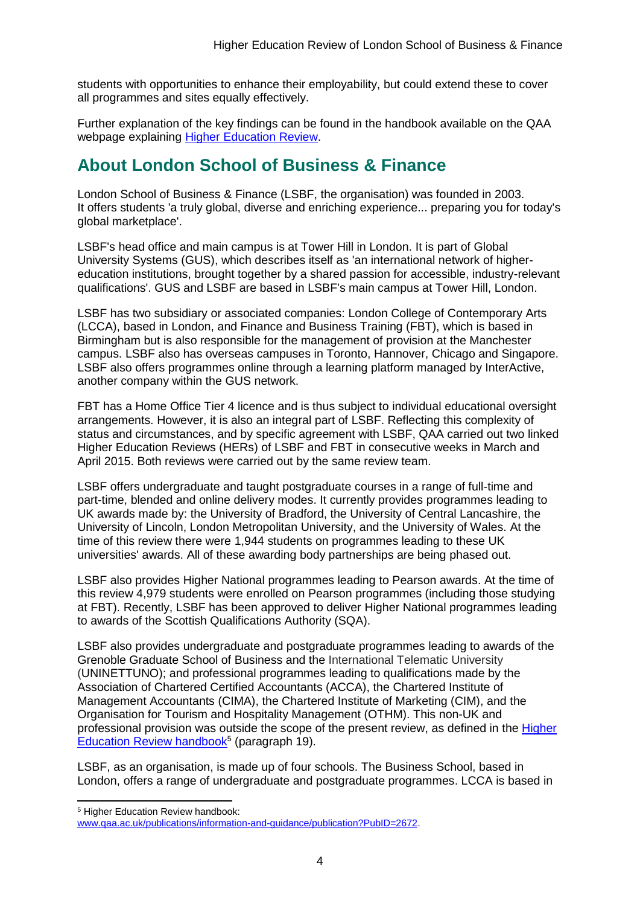students with opportunities to enhance their employability, but could extend these to cover all programmes and sites equally effectively.

Further explanation of the key findings can be found in the handbook available on the QAA webpage explaining [Higher Education Review.](http://www.qaa.ac.uk/reviews-and-reports/how-we-review-higher-education/higher-education-review)

## <span id="page-4-0"></span>**About London School of Business & Finance**

London School of Business & Finance (LSBF, the organisation) was founded in 2003. It offers students 'a truly global, diverse and enriching experience... preparing you for today's global marketplace'.

LSBF's head office and main campus is at Tower Hill in London. It is part of Global University Systems (GUS), which describes itself as 'an international network of highereducation institutions, brought together by a shared passion for accessible, industry-relevant qualifications'. GUS and LSBF are based in LSBF's main campus at Tower Hill, London.

LSBF has two subsidiary or associated companies: London College of Contemporary Arts (LCCA), based in London, and Finance and Business Training (FBT), which is based in Birmingham but is also responsible for the management of provision at the Manchester campus. LSBF also has overseas campuses in Toronto, Hannover, Chicago and Singapore. LSBF also offers programmes online through a learning platform managed by InterActive, another company within the GUS network.

FBT has a Home Office Tier 4 licence and is thus subject to individual educational oversight arrangements. However, it is also an integral part of LSBF. Reflecting this complexity of status and circumstances, and by specific agreement with LSBF, QAA carried out two linked Higher Education Reviews (HERs) of LSBF and FBT in consecutive weeks in March and April 2015. Both reviews were carried out by the same review team.

LSBF offers undergraduate and taught postgraduate courses in a range of full-time and part-time, blended and online delivery modes. It currently provides programmes leading to UK awards made by: the University of Bradford, the University of Central Lancashire, the University of Lincoln, London Metropolitan University, and the University of Wales. At the time of this review there were 1,944 students on programmes leading to these UK universities' awards. All of these awarding body partnerships are being phased out.

LSBF also provides Higher National programmes leading to Pearson awards. At the time of this review 4,979 students were enrolled on Pearson programmes (including those studying at FBT). Recently, LSBF has been approved to deliver Higher National programmes leading to awards of the Scottish Qualifications Authority (SQA).

LSBF also provides undergraduate and postgraduate programmes leading to awards of the Grenoble Graduate School of Business and the International Telematic University (UNINETTUNO); and professional programmes leading to qualifications made by the Association of Chartered Certified Accountants (ACCA), the Chartered Institute of Management Accountants (CIMA), the Chartered Institute of Marketing (CIM), and the Organisation for Tourism and Hospitality Management (OTHM). This non-UK and professional provision was outside the scope of the present review, as defined in the [Higher](http://www.qaa.ac.uk/publications/information-and-guidance/publication?PubID=2672)  [Education Review handbook](http://www.qaa.ac.uk/publications/information-and-guidance/publication?PubID=2672)<sup>5</sup> (paragraph 19).

LSBF, as an organisation, is made up of four schools. The Business School, based in London, offers a range of undergraduate and postgraduate programmes. LCCA is based in

 $\overline{a}$ 

<sup>5</sup> Higher Education Review handbook:

[www.qaa.ac.uk/publications/information-and-guidance/publication?PubID=2672.](http://www.qaa.ac.uk/publications/information-and-guidance/publication?PubID=2672)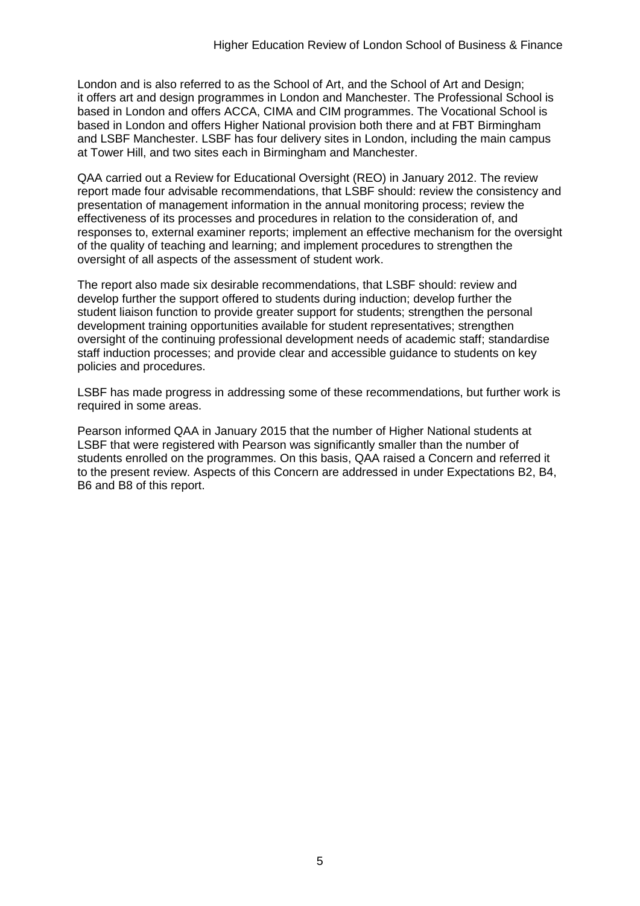London and is also referred to as the School of Art, and the School of Art and Design; it offers art and design programmes in London and Manchester. The Professional School is based in London and offers ACCA, CIMA and CIM programmes. The Vocational School is based in London and offers Higher National provision both there and at FBT Birmingham and LSBF Manchester. LSBF has four delivery sites in London, including the main campus at Tower Hill, and two sites each in Birmingham and Manchester.

QAA carried out a Review for Educational Oversight (REO) in January 2012. The review report made four advisable recommendations, that LSBF should: review the consistency and presentation of management information in the annual monitoring process; review the effectiveness of its processes and procedures in relation to the consideration of, and responses to, external examiner reports; implement an effective mechanism for the oversight of the quality of teaching and learning; and implement procedures to strengthen the oversight of all aspects of the assessment of student work.

The report also made six desirable recommendations, that LSBF should: review and develop further the support offered to students during induction; develop further the student liaison function to provide greater support for students; strengthen the personal development training opportunities available for student representatives; strengthen oversight of the continuing professional development needs of academic staff; standardise staff induction processes; and provide clear and accessible guidance to students on key policies and procedures.

LSBF has made progress in addressing some of these recommendations, but further work is required in some areas.

Pearson informed QAA in January 2015 that the number of Higher National students at LSBF that were registered with Pearson was significantly smaller than the number of students enrolled on the programmes. On this basis, QAA raised a Concern and referred it to the present review. Aspects of this Concern are addressed in under Expectations B2, B4, B6 and B8 of this report.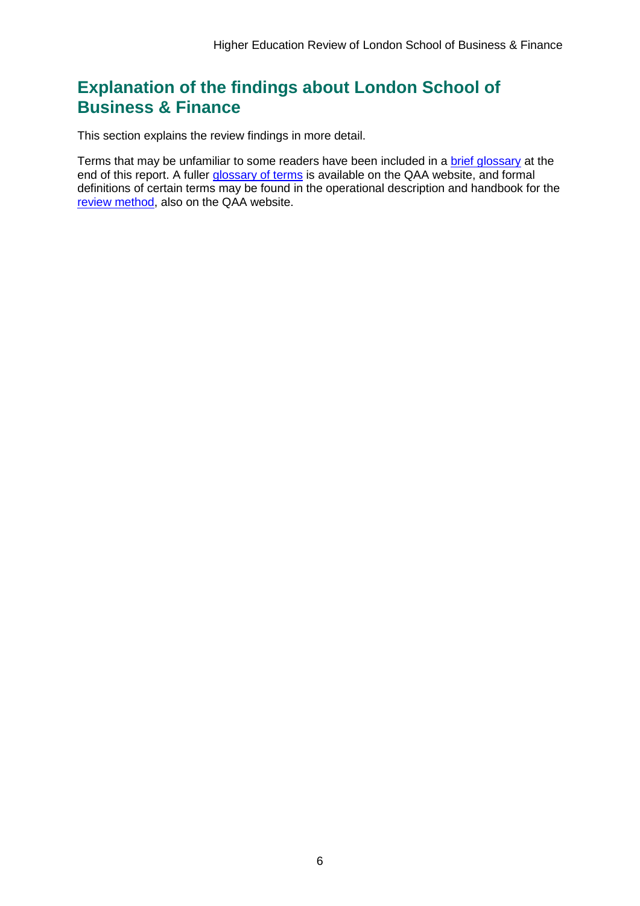## <span id="page-6-0"></span>**Explanation of the findings about London School of Business & Finance**

This section explains the review findings in more detail.

Terms that may be unfamiliar to some readers have been included in a [brief glossary](#page-62-0) at the end of this report. A fuller [glossary of terms](http://www.qaa.ac.uk/Pages/GlossaryEN.aspx) is available on the QAA website, and formal definitions of certain terms may be found in the operational description and handbook for the [review method,](http://www.qaa.ac.uk/reviews-and-reports/how-we-review-higher-education/higher-education-review) also on the QAA website.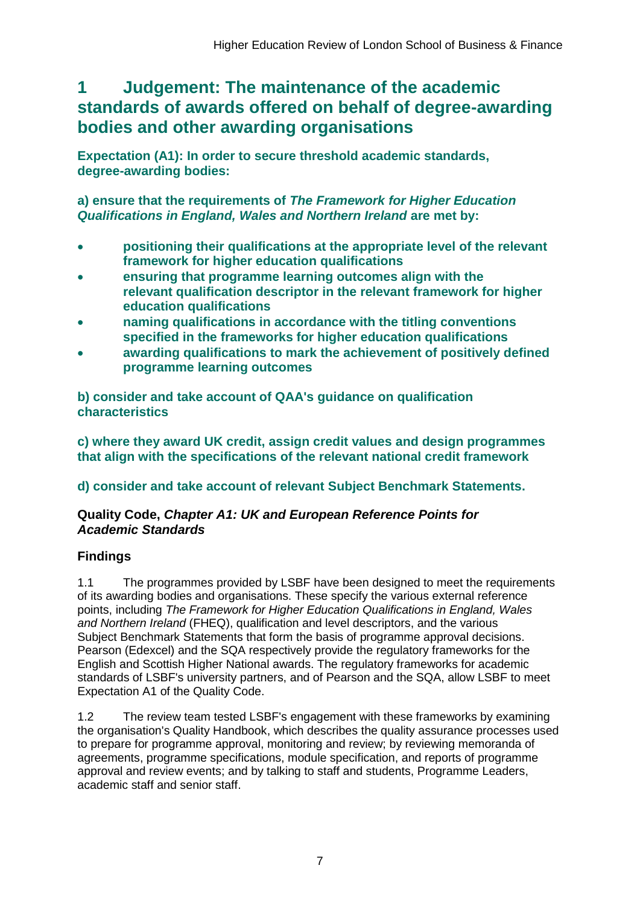## <span id="page-7-0"></span>**1 Judgement: The maintenance of the academic standards of awards offered on behalf of degree-awarding bodies and other awarding organisations**

**Expectation (A1): In order to secure threshold academic standards, degree-awarding bodies:**

**a) ensure that the requirements of** *The Framework for Higher Education Qualifications in England, Wales and Northern Ireland* **are met by:**

- **positioning their qualifications at the appropriate level of the relevant framework for higher education qualifications**
- **ensuring that programme learning outcomes align with the relevant qualification descriptor in the relevant framework for higher education qualifications**
- **naming qualifications in accordance with the titling conventions specified in the frameworks for higher education qualifications**
- **awarding qualifications to mark the achievement of positively defined programme learning outcomes**

**b) consider and take account of QAA's guidance on qualification characteristics** 

**c) where they award UK credit, assign credit values and design programmes that align with the specifications of the relevant national credit framework** 

### **d) consider and take account of relevant Subject Benchmark Statements.**

### **Quality Code,** *Chapter A1: UK and European Reference Points for Academic Standards*

### **Findings**

1.1 The programmes provided by LSBF have been designed to meet the requirements of its awarding bodies and organisations. These specify the various external reference points, including *The Framework for Higher Education Qualifications in England, Wales and Northern Ireland* (FHEQ), qualification and level descriptors, and the various Subject Benchmark Statements that form the basis of programme approval decisions. Pearson (Edexcel) and the SQA respectively provide the regulatory frameworks for the English and Scottish Higher National awards. The regulatory frameworks for academic standards of LSBF's university partners, and of Pearson and the SQA, allow LSBF to meet Expectation A1 of the Quality Code.

1.2 The review team tested LSBF's engagement with these frameworks by examining the organisation's Quality Handbook, which describes the quality assurance processes used to prepare for programme approval, monitoring and review; by reviewing memoranda of agreements, programme specifications, module specification, and reports of programme approval and review events; and by talking to staff and students, Programme Leaders, academic staff and senior staff.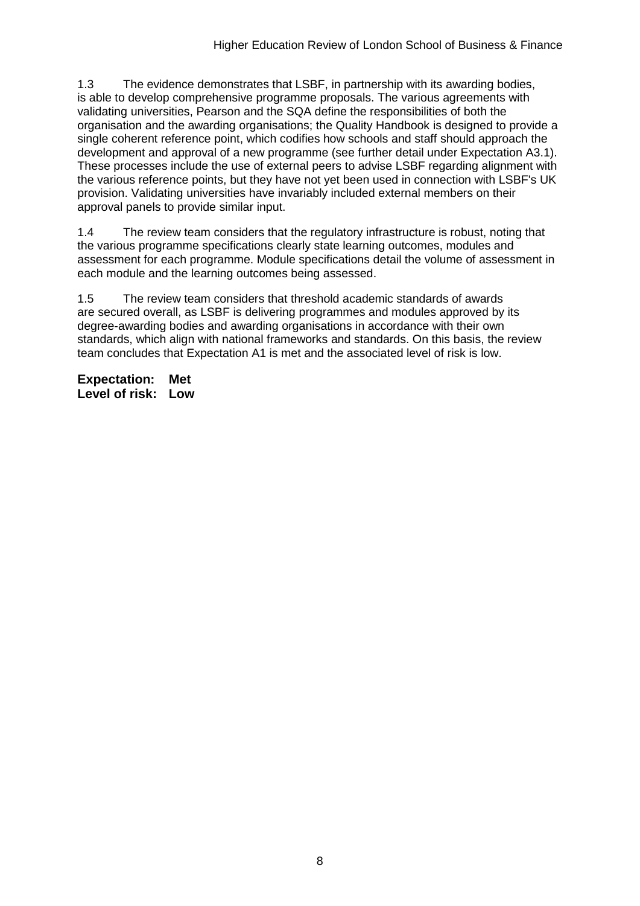1.3 The evidence demonstrates that LSBF, in partnership with its awarding bodies, is able to develop comprehensive programme proposals. The various agreements with validating universities, Pearson and the SQA define the responsibilities of both the organisation and the awarding organisations; the Quality Handbook is designed to provide a single coherent reference point, which codifies how schools and staff should approach the development and approval of a new programme (see further detail under Expectation A3.1). These processes include the use of external peers to advise LSBF regarding alignment with the various reference points, but they have not yet been used in connection with LSBF's UK provision. Validating universities have invariably included external members on their approval panels to provide similar input.

1.4 The review team considers that the regulatory infrastructure is robust, noting that the various programme specifications clearly state learning outcomes, modules and assessment for each programme. Module specifications detail the volume of assessment in each module and the learning outcomes being assessed.

1.5 The review team considers that threshold academic standards of awards are secured overall, as LSBF is delivering programmes and modules approved by its degree-awarding bodies and awarding organisations in accordance with their own standards, which align with national frameworks and standards. On this basis, the review team concludes that Expectation A1 is met and the associated level of risk is low.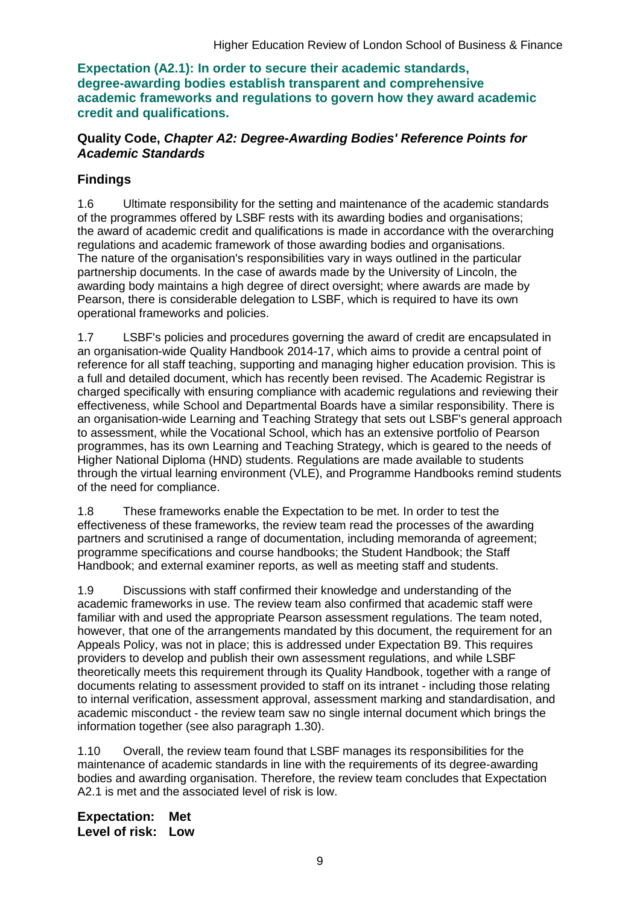**Expectation (A2.1): In order to secure their academic standards, degree-awarding bodies establish transparent and comprehensive academic frameworks and regulations to govern how they award academic credit and qualifications.**

### **Quality Code,** *Chapter A2: Degree-Awarding Bodies' Reference Points for Academic Standards*

### **Findings**

1.6 Ultimate responsibility for the setting and maintenance of the academic standards of the programmes offered by LSBF rests with its awarding bodies and organisations; the award of academic credit and qualifications is made in accordance with the overarching regulations and academic framework of those awarding bodies and organisations. The nature of the organisation's responsibilities vary in ways outlined in the particular partnership documents. In the case of awards made by the University of Lincoln, the awarding body maintains a high degree of direct oversight; where awards are made by Pearson, there is considerable delegation to LSBF, which is required to have its own operational frameworks and policies.

1.7 LSBF's policies and procedures governing the award of credit are encapsulated in an organisation-wide Quality Handbook 2014-17, which aims to provide a central point of reference for all staff teaching, supporting and managing higher education provision. This is a full and detailed document, which has recently been revised. The Academic Registrar is charged specifically with ensuring compliance with academic regulations and reviewing their effectiveness, while School and Departmental Boards have a similar responsibility. There is an organisation-wide Learning and Teaching Strategy that sets out LSBF's general approach to assessment, while the Vocational School, which has an extensive portfolio of Pearson programmes, has its own Learning and Teaching Strategy, which is geared to the needs of Higher National Diploma (HND) students. Regulations are made available to students through the virtual learning environment (VLE), and Programme Handbooks remind students of the need for compliance.

1.8 These frameworks enable the Expectation to be met. In order to test the effectiveness of these frameworks, the review team read the processes of the awarding partners and scrutinised a range of documentation, including memoranda of agreement; programme specifications and course handbooks; the Student Handbook; the Staff Handbook; and external examiner reports, as well as meeting staff and students.

1.9 Discussions with staff confirmed their knowledge and understanding of the academic frameworks in use. The review team also confirmed that academic staff were familiar with and used the appropriate Pearson assessment regulations. The team noted, however, that one of the arrangements mandated by this document, the requirement for an Appeals Policy, was not in place; this is addressed under Expectation B9. This requires providers to develop and publish their own assessment regulations, and while LSBF theoretically meets this requirement through its Quality Handbook, together with a range of documents relating to assessment provided to staff on its intranet - including those relating to internal verification, assessment approval, assessment marking and standardisation, and academic misconduct - the review team saw no single internal document which brings the information together (see also paragraph 1.30).

1.10 Overall, the review team found that LSBF manages its responsibilities for the maintenance of academic standards in line with the requirements of its degree-awarding bodies and awarding organisation. Therefore, the review team concludes that Expectation A2.1 is met and the associated level of risk is low.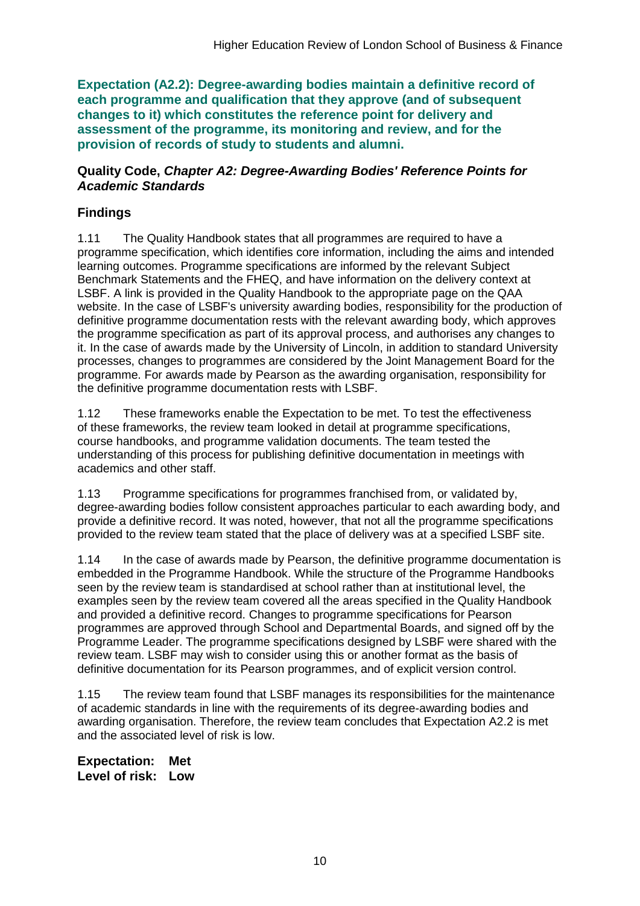**Expectation (A2.2): Degree-awarding bodies maintain a definitive record of each programme and qualification that they approve (and of subsequent changes to it) which constitutes the reference point for delivery and assessment of the programme, its monitoring and review, and for the provision of records of study to students and alumni.** 

#### **Quality Code,** *Chapter A2: Degree-Awarding Bodies' Reference Points for Academic Standards*

## **Findings**

1.11 The Quality Handbook states that all programmes are required to have a programme specification, which identifies core information, including the aims and intended learning outcomes. Programme specifications are informed by the relevant Subject Benchmark Statements and the FHEQ, and have information on the delivery context at LSBF. A link is provided in the Quality Handbook to the appropriate page on the QAA website. In the case of LSBF's university awarding bodies, responsibility for the production of definitive programme documentation rests with the relevant awarding body, which approves the programme specification as part of its approval process, and authorises any changes to it. In the case of awards made by the University of Lincoln, in addition to standard University processes, changes to programmes are considered by the Joint Management Board for the programme. For awards made by Pearson as the awarding organisation, responsibility for the definitive programme documentation rests with LSBF.

1.12 These frameworks enable the Expectation to be met. To test the effectiveness of these frameworks, the review team looked in detail at programme specifications, course handbooks, and programme validation documents. The team tested the understanding of this process for publishing definitive documentation in meetings with academics and other staff.

1.13 Programme specifications for programmes franchised from, or validated by, degree-awarding bodies follow consistent approaches particular to each awarding body, and provide a definitive record. It was noted, however, that not all the programme specifications provided to the review team stated that the place of delivery was at a specified LSBF site.

1.14 In the case of awards made by Pearson, the definitive programme documentation is embedded in the Programme Handbook. While the structure of the Programme Handbooks seen by the review team is standardised at school rather than at institutional level, the examples seen by the review team covered all the areas specified in the Quality Handbook and provided a definitive record. Changes to programme specifications for Pearson programmes are approved through School and Departmental Boards, and signed off by the Programme Leader. The programme specifications designed by LSBF were shared with the review team. LSBF may wish to consider using this or another format as the basis of definitive documentation for its Pearson programmes, and of explicit version control.

1.15 The review team found that LSBF manages its responsibilities for the maintenance of academic standards in line with the requirements of its degree-awarding bodies and awarding organisation. Therefore, the review team concludes that Expectation A2.2 is met and the associated level of risk is low.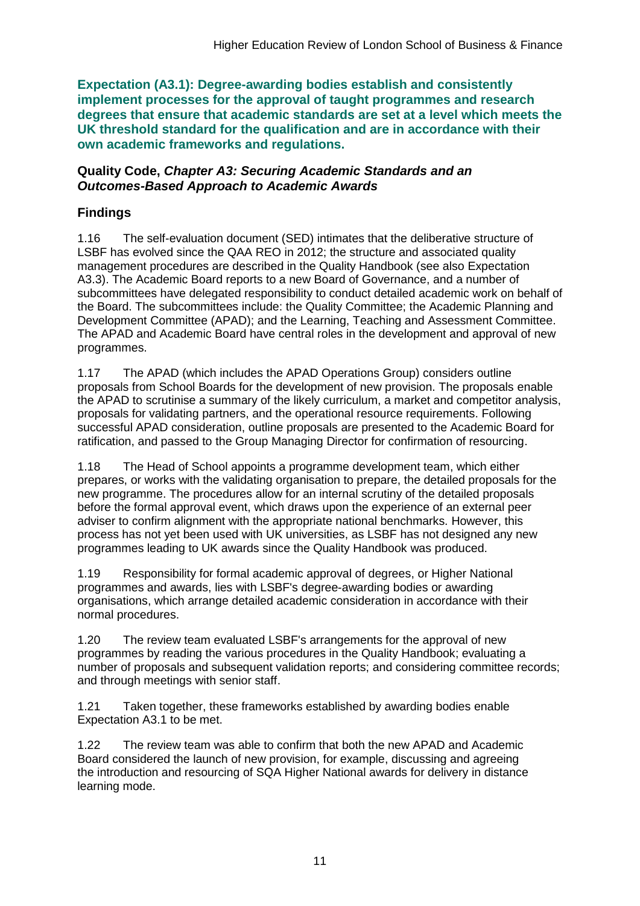**Expectation (A3.1): Degree-awarding bodies establish and consistently implement processes for the approval of taught programmes and research degrees that ensure that academic standards are set at a level which meets the UK threshold standard for the qualification and are in accordance with their own academic frameworks and regulations.**

#### **Quality Code,** *Chapter A3: Securing Academic Standards and an Outcomes-Based Approach to Academic Awards*

## **Findings**

1.16 The self-evaluation document (SED) intimates that the deliberative structure of LSBF has evolved since the QAA REO in 2012; the structure and associated quality management procedures are described in the Quality Handbook (see also Expectation A3.3). The Academic Board reports to a new Board of Governance, and a number of subcommittees have delegated responsibility to conduct detailed academic work on behalf of the Board. The subcommittees include: the Quality Committee; the Academic Planning and Development Committee (APAD); and the Learning, Teaching and Assessment Committee. The APAD and Academic Board have central roles in the development and approval of new programmes.

1.17 The APAD (which includes the APAD Operations Group) considers outline proposals from School Boards for the development of new provision. The proposals enable the APAD to scrutinise a summary of the likely curriculum, a market and competitor analysis, proposals for validating partners, and the operational resource requirements. Following successful APAD consideration, outline proposals are presented to the Academic Board for ratification, and passed to the Group Managing Director for confirmation of resourcing.

1.18 The Head of School appoints a programme development team, which either prepares, or works with the validating organisation to prepare, the detailed proposals for the new programme. The procedures allow for an internal scrutiny of the detailed proposals before the formal approval event, which draws upon the experience of an external peer adviser to confirm alignment with the appropriate national benchmarks. However, this process has not yet been used with UK universities, as LSBF has not designed any new programmes leading to UK awards since the Quality Handbook was produced.

1.19 Responsibility for formal academic approval of degrees, or Higher National programmes and awards, lies with LSBF's degree-awarding bodies or awarding organisations, which arrange detailed academic consideration in accordance with their normal procedures.

1.20 The review team evaluated LSBF's arrangements for the approval of new programmes by reading the various procedures in the Quality Handbook; evaluating a number of proposals and subsequent validation reports; and considering committee records; and through meetings with senior staff.

1.21 Taken together, these frameworks established by awarding bodies enable Expectation A3.1 to be met.

1.22 The review team was able to confirm that both the new APAD and Academic Board considered the launch of new provision, for example, discussing and agreeing the introduction and resourcing of SQA Higher National awards for delivery in distance learning mode.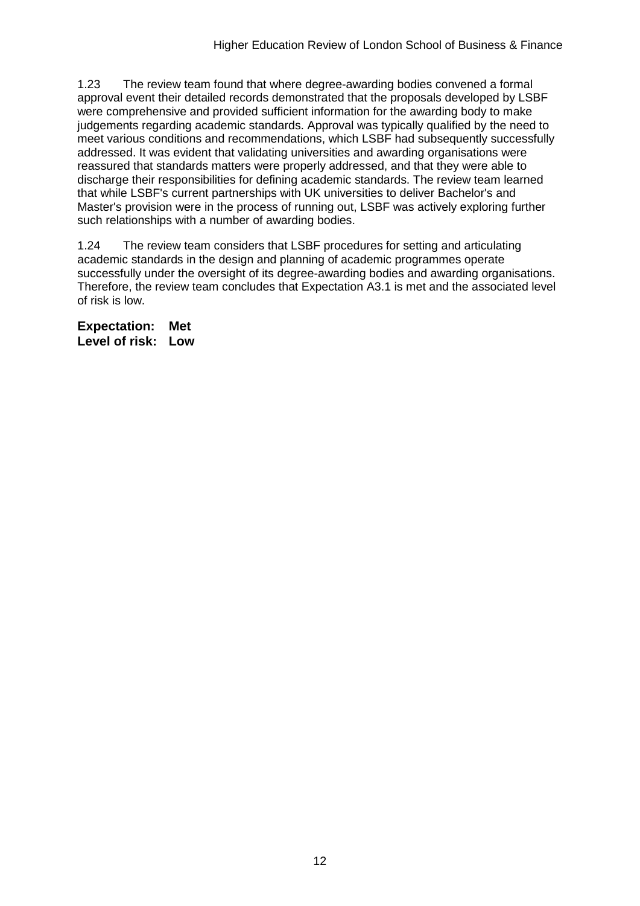1.23 The review team found that where degree-awarding bodies convened a formal approval event their detailed records demonstrated that the proposals developed by LSBF were comprehensive and provided sufficient information for the awarding body to make judgements regarding academic standards. Approval was typically qualified by the need to meet various conditions and recommendations, which LSBF had subsequently successfully addressed. It was evident that validating universities and awarding organisations were reassured that standards matters were properly addressed, and that they were able to discharge their responsibilities for defining academic standards. The review team learned that while LSBF's current partnerships with UK universities to deliver Bachelor's and Master's provision were in the process of running out, LSBF was actively exploring further such relationships with a number of awarding bodies.

1.24 The review team considers that LSBF procedures for setting and articulating academic standards in the design and planning of academic programmes operate successfully under the oversight of its degree-awarding bodies and awarding organisations. Therefore, the review team concludes that Expectation A3.1 is met and the associated level of risk is low.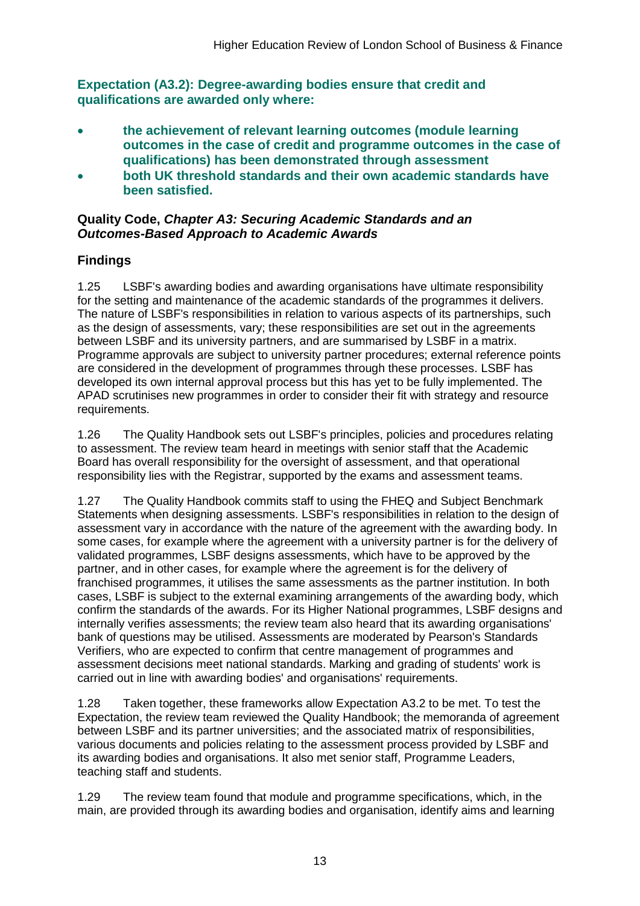**Expectation (A3.2): Degree-awarding bodies ensure that credit and qualifications are awarded only where:** 

- **the achievement of relevant learning outcomes (module learning outcomes in the case of credit and programme outcomes in the case of qualifications) has been demonstrated through assessment**
- **both UK threshold standards and their own academic standards have been satisfied.**

### **Quality Code,** *Chapter A3: Securing Academic Standards and an Outcomes-Based Approach to Academic Awards*

## **Findings**

1.25 LSBF's awarding bodies and awarding organisations have ultimate responsibility for the setting and maintenance of the academic standards of the programmes it delivers. The nature of LSBF's responsibilities in relation to various aspects of its partnerships, such as the design of assessments, vary; these responsibilities are set out in the agreements between LSBF and its university partners, and are summarised by LSBF in a matrix. Programme approvals are subject to university partner procedures; external reference points are considered in the development of programmes through these processes. LSBF has developed its own internal approval process but this has yet to be fully implemented. The APAD scrutinises new programmes in order to consider their fit with strategy and resource requirements.

1.26 The Quality Handbook sets out LSBF's principles, policies and procedures relating to assessment. The review team heard in meetings with senior staff that the Academic Board has overall responsibility for the oversight of assessment, and that operational responsibility lies with the Registrar, supported by the exams and assessment teams.

1.27 The Quality Handbook commits staff to using the FHEQ and Subject Benchmark Statements when designing assessments. LSBF's responsibilities in relation to the design of assessment vary in accordance with the nature of the agreement with the awarding body. In some cases, for example where the agreement with a university partner is for the delivery of validated programmes, LSBF designs assessments, which have to be approved by the partner, and in other cases, for example where the agreement is for the delivery of franchised programmes, it utilises the same assessments as the partner institution. In both cases, LSBF is subject to the external examining arrangements of the awarding body, which confirm the standards of the awards. For its Higher National programmes, LSBF designs and internally verifies assessments; the review team also heard that its awarding organisations' bank of questions may be utilised. Assessments are moderated by Pearson's Standards Verifiers, who are expected to confirm that centre management of programmes and assessment decisions meet national standards. Marking and grading of students' work is carried out in line with awarding bodies' and organisations' requirements.

1.28 Taken together, these frameworks allow Expectation A3.2 to be met. To test the Expectation, the review team reviewed the Quality Handbook; the memoranda of agreement between LSBF and its partner universities; and the associated matrix of responsibilities, various documents and policies relating to the assessment process provided by LSBF and its awarding bodies and organisations. It also met senior staff, Programme Leaders, teaching staff and students.

1.29 The review team found that module and programme specifications, which, in the main, are provided through its awarding bodies and organisation, identify aims and learning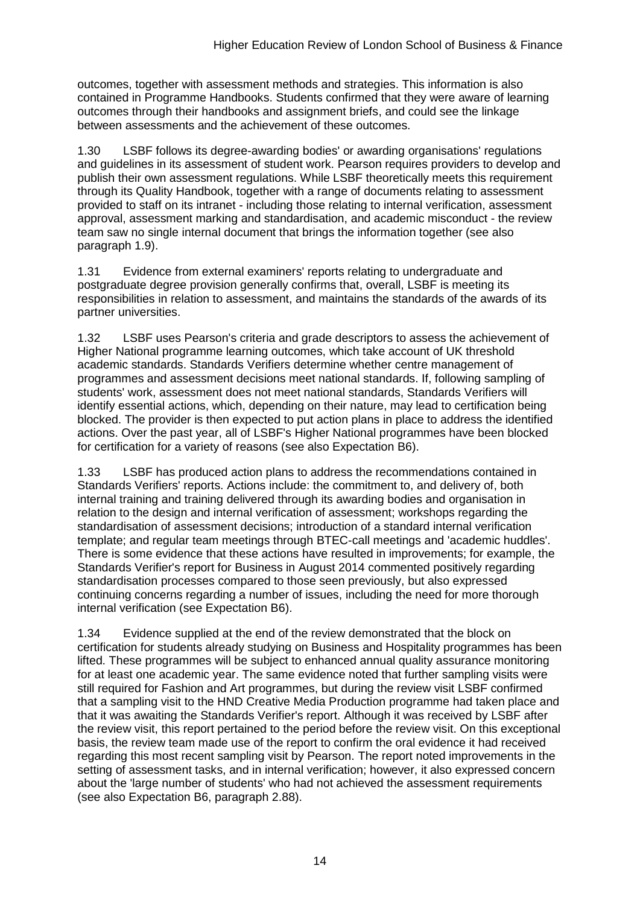outcomes, together with assessment methods and strategies. This information is also contained in Programme Handbooks. Students confirmed that they were aware of learning outcomes through their handbooks and assignment briefs, and could see the linkage between assessments and the achievement of these outcomes.

1.30 LSBF follows its degree-awarding bodies' or awarding organisations' regulations and guidelines in its assessment of student work. Pearson requires providers to develop and publish their own assessment regulations. While LSBF theoretically meets this requirement through its Quality Handbook, together with a range of documents relating to assessment provided to staff on its intranet - including those relating to internal verification, assessment approval, assessment marking and standardisation, and academic misconduct - the review team saw no single internal document that brings the information together (see also paragraph 1.9).

1.31 Evidence from external examiners' reports relating to undergraduate and postgraduate degree provision generally confirms that, overall, LSBF is meeting its responsibilities in relation to assessment, and maintains the standards of the awards of its partner universities.

1.32 LSBF uses Pearson's criteria and grade descriptors to assess the achievement of Higher National programme learning outcomes, which take account of UK threshold academic standards. Standards Verifiers determine whether centre management of programmes and assessment decisions meet national standards. If, following sampling of students' work, assessment does not meet national standards, Standards Verifiers will identify essential actions, which, depending on their nature, may lead to certification being blocked. The provider is then expected to put action plans in place to address the identified actions. Over the past year, all of LSBF's Higher National programmes have been blocked for certification for a variety of reasons (see also Expectation B6).

1.33 LSBF has produced action plans to address the recommendations contained in Standards Verifiers' reports. Actions include: the commitment to, and delivery of, both internal training and training delivered through its awarding bodies and organisation in relation to the design and internal verification of assessment; workshops regarding the standardisation of assessment decisions; introduction of a standard internal verification template; and regular team meetings through BTEC-call meetings and 'academic huddles'. There is some evidence that these actions have resulted in improvements; for example, the Standards Verifier's report for Business in August 2014 commented positively regarding standardisation processes compared to those seen previously, but also expressed continuing concerns regarding a number of issues, including the need for more thorough internal verification (see Expectation B6).

1.34 Evidence supplied at the end of the review demonstrated that the block on certification for students already studying on Business and Hospitality programmes has been lifted. These programmes will be subject to enhanced annual quality assurance monitoring for at least one academic year. The same evidence noted that further sampling visits were still required for Fashion and Art programmes, but during the review visit LSBF confirmed that a sampling visit to the HND Creative Media Production programme had taken place and that it was awaiting the Standards Verifier's report. Although it was received by LSBF after the review visit, this report pertained to the period before the review visit. On this exceptional basis, the review team made use of the report to confirm the oral evidence it had received regarding this most recent sampling visit by Pearson. The report noted improvements in the setting of assessment tasks, and in internal verification; however, it also expressed concern about the 'large number of students' who had not achieved the assessment requirements (see also Expectation B6, paragraph 2.88).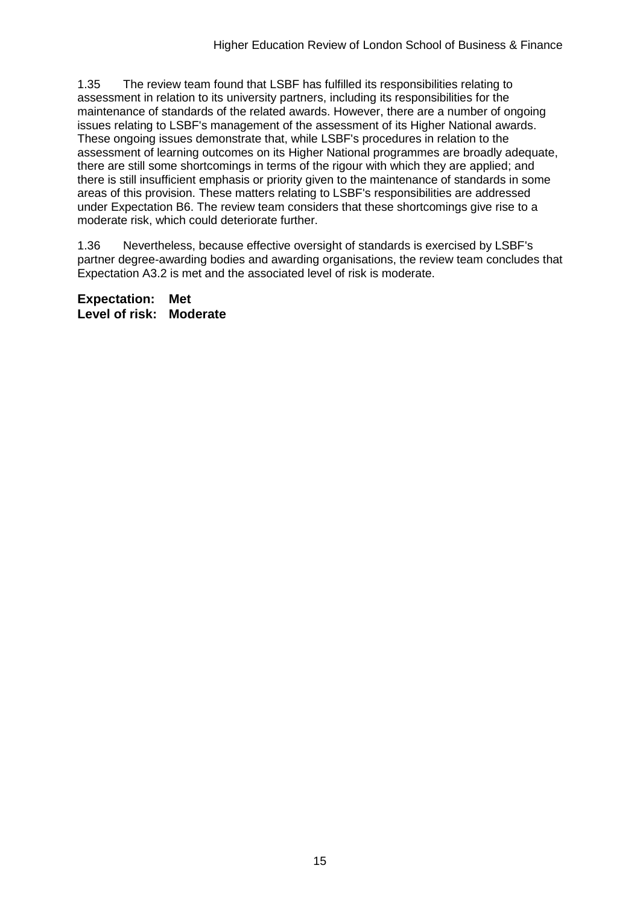1.35 The review team found that LSBF has fulfilled its responsibilities relating to assessment in relation to its university partners, including its responsibilities for the maintenance of standards of the related awards. However, there are a number of ongoing issues relating to LSBF's management of the assessment of its Higher National awards. These ongoing issues demonstrate that, while LSBF's procedures in relation to the assessment of learning outcomes on its Higher National programmes are broadly adequate, there are still some shortcomings in terms of the rigour with which they are applied; and there is still insufficient emphasis or priority given to the maintenance of standards in some areas of this provision. These matters relating to LSBF's responsibilities are addressed under Expectation B6. The review team considers that these shortcomings give rise to a moderate risk, which could deteriorate further.

1.36 Nevertheless, because effective oversight of standards is exercised by LSBF's partner degree-awarding bodies and awarding organisations, the review team concludes that Expectation A3.2 is met and the associated level of risk is moderate.

**Expectation: Met Level of risk: Moderate**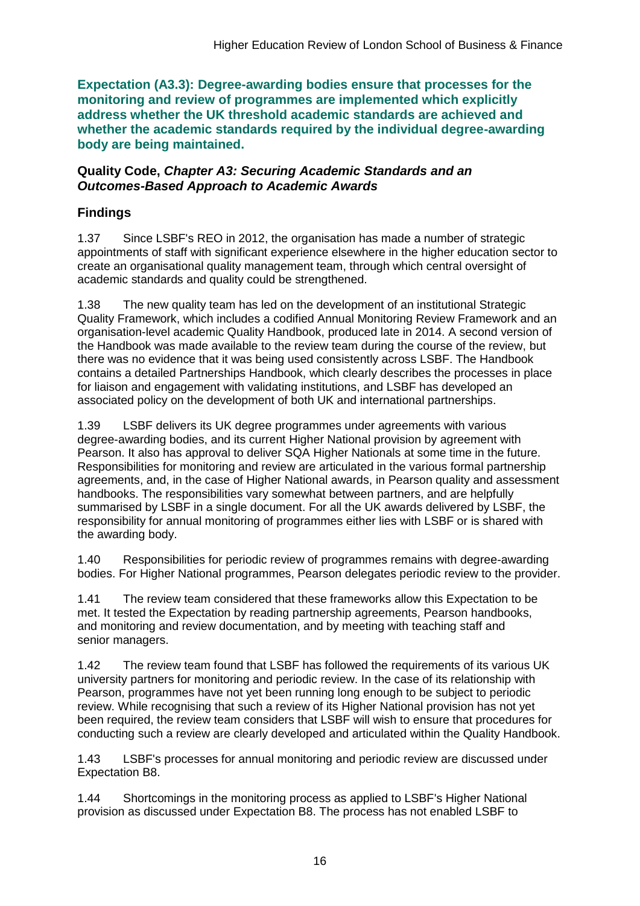**Expectation (A3.3): Degree-awarding bodies ensure that processes for the monitoring and review of programmes are implemented which explicitly address whether the UK threshold academic standards are achieved and whether the academic standards required by the individual degree-awarding body are being maintained.**

#### **Quality Code,** *Chapter A3: Securing Academic Standards and an Outcomes-Based Approach to Academic Awards*

## **Findings**

1.37 Since LSBF's REO in 2012, the organisation has made a number of strategic appointments of staff with significant experience elsewhere in the higher education sector to create an organisational quality management team, through which central oversight of academic standards and quality could be strengthened.

1.38 The new quality team has led on the development of an institutional Strategic Quality Framework, which includes a codified Annual Monitoring Review Framework and an organisation-level academic Quality Handbook, produced late in 2014. A second version of the Handbook was made available to the review team during the course of the review, but there was no evidence that it was being used consistently across LSBF. The Handbook contains a detailed Partnerships Handbook, which clearly describes the processes in place for liaison and engagement with validating institutions, and LSBF has developed an associated policy on the development of both UK and international partnerships.

1.39 LSBF delivers its UK degree programmes under agreements with various degree-awarding bodies, and its current Higher National provision by agreement with Pearson. It also has approval to deliver SQA Higher Nationals at some time in the future. Responsibilities for monitoring and review are articulated in the various formal partnership agreements, and, in the case of Higher National awards, in Pearson quality and assessment handbooks. The responsibilities vary somewhat between partners, and are helpfully summarised by LSBF in a single document. For all the UK awards delivered by LSBF, the responsibility for annual monitoring of programmes either lies with LSBF or is shared with the awarding body.

1.40 Responsibilities for periodic review of programmes remains with degree-awarding bodies. For Higher National programmes, Pearson delegates periodic review to the provider.

1.41 The review team considered that these frameworks allow this Expectation to be met. It tested the Expectation by reading partnership agreements, Pearson handbooks, and monitoring and review documentation, and by meeting with teaching staff and senior managers.

1.42 The review team found that LSBF has followed the requirements of its various UK university partners for monitoring and periodic review. In the case of its relationship with Pearson, programmes have not yet been running long enough to be subject to periodic review. While recognising that such a review of its Higher National provision has not yet been required, the review team considers that LSBF will wish to ensure that procedures for conducting such a review are clearly developed and articulated within the Quality Handbook.

1.43 LSBF's processes for annual monitoring and periodic review are discussed under Expectation B8.

1.44 Shortcomings in the monitoring process as applied to LSBF's Higher National provision as discussed under Expectation B8. The process has not enabled LSBF to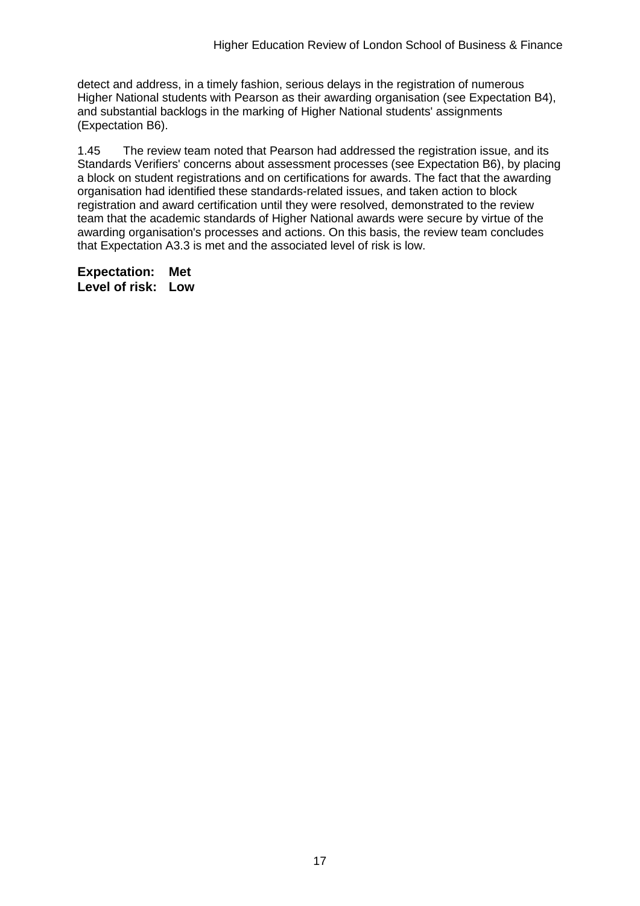detect and address, in a timely fashion, serious delays in the registration of numerous Higher National students with Pearson as their awarding organisation (see Expectation B4), and substantial backlogs in the marking of Higher National students' assignments (Expectation B6).

1.45 The review team noted that Pearson had addressed the registration issue, and its Standards Verifiers' concerns about assessment processes (see Expectation B6), by placing a block on student registrations and on certifications for awards. The fact that the awarding organisation had identified these standards-related issues, and taken action to block registration and award certification until they were resolved, demonstrated to the review team that the academic standards of Higher National awards were secure by virtue of the awarding organisation's processes and actions. On this basis, the review team concludes that Expectation A3.3 is met and the associated level of risk is low.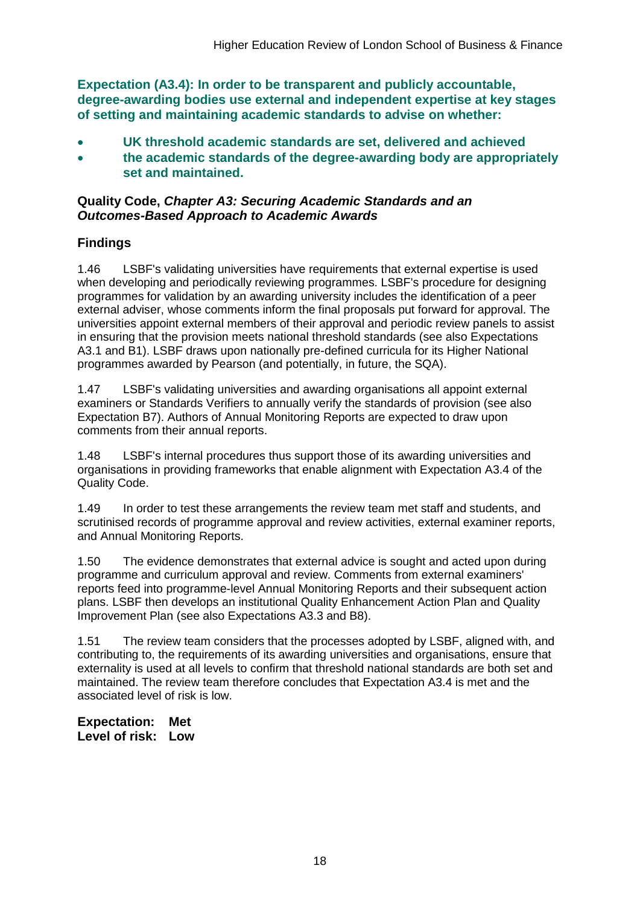**Expectation (A3.4): In order to be transparent and publicly accountable, degree-awarding bodies use external and independent expertise at key stages of setting and maintaining academic standards to advise on whether:**

- **UK threshold academic standards are set, delivered and achieved**
- **the academic standards of the degree-awarding body are appropriately set and maintained.**

### **Quality Code,** *Chapter A3: Securing Academic Standards and an Outcomes-Based Approach to Academic Awards*

### **Findings**

1.46 LSBF's validating universities have requirements that external expertise is used when developing and periodically reviewing programmes. LSBF's procedure for designing programmes for validation by an awarding university includes the identification of a peer external adviser, whose comments inform the final proposals put forward for approval. The universities appoint external members of their approval and periodic review panels to assist in ensuring that the provision meets national threshold standards (see also Expectations A3.1 and B1). LSBF draws upon nationally pre-defined curricula for its Higher National programmes awarded by Pearson (and potentially, in future, the SQA).

1.47 LSBF's validating universities and awarding organisations all appoint external examiners or Standards Verifiers to annually verify the standards of provision (see also Expectation B7). Authors of Annual Monitoring Reports are expected to draw upon comments from their annual reports.

1.48 LSBF's internal procedures thus support those of its awarding universities and organisations in providing frameworks that enable alignment with Expectation A3.4 of the Quality Code.

1.49 In order to test these arrangements the review team met staff and students, and scrutinised records of programme approval and review activities, external examiner reports, and Annual Monitoring Reports.

1.50 The evidence demonstrates that external advice is sought and acted upon during programme and curriculum approval and review. Comments from external examiners' reports feed into programme-level Annual Monitoring Reports and their subsequent action plans. LSBF then develops an institutional Quality Enhancement Action Plan and Quality Improvement Plan (see also Expectations A3.3 and B8).

1.51 The review team considers that the processes adopted by LSBF, aligned with, and contributing to, the requirements of its awarding universities and organisations, ensure that externality is used at all levels to confirm that threshold national standards are both set and maintained. The review team therefore concludes that Expectation A3.4 is met and the associated level of risk is low.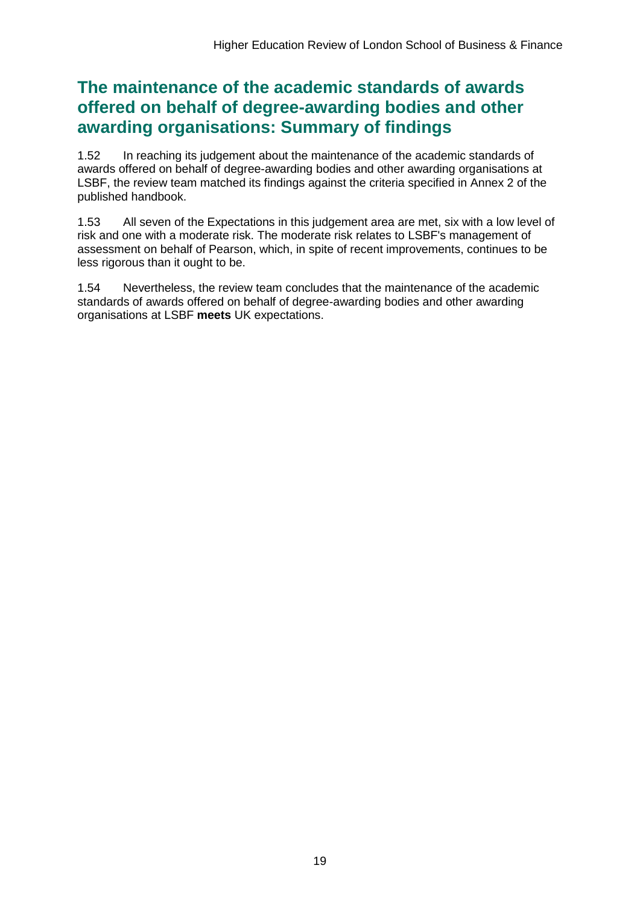## **The maintenance of the academic standards of awards offered on behalf of degree-awarding bodies and other awarding organisations: Summary of findings**

1.52 In reaching its judgement about the maintenance of the academic standards of awards offered on behalf of degree-awarding bodies and other awarding organisations at LSBF, the review team matched its findings against the criteria specified in Annex 2 of the published handbook.

1.53 All seven of the Expectations in this judgement area are met, six with a low level of risk and one with a moderate risk. The moderate risk relates to LSBF's management of assessment on behalf of Pearson, which, in spite of recent improvements, continues to be less rigorous than it ought to be.

1.54 Nevertheless, the review team concludes that the maintenance of the academic standards of awards offered on behalf of degree-awarding bodies and other awarding organisations at LSBF **meets** UK expectations.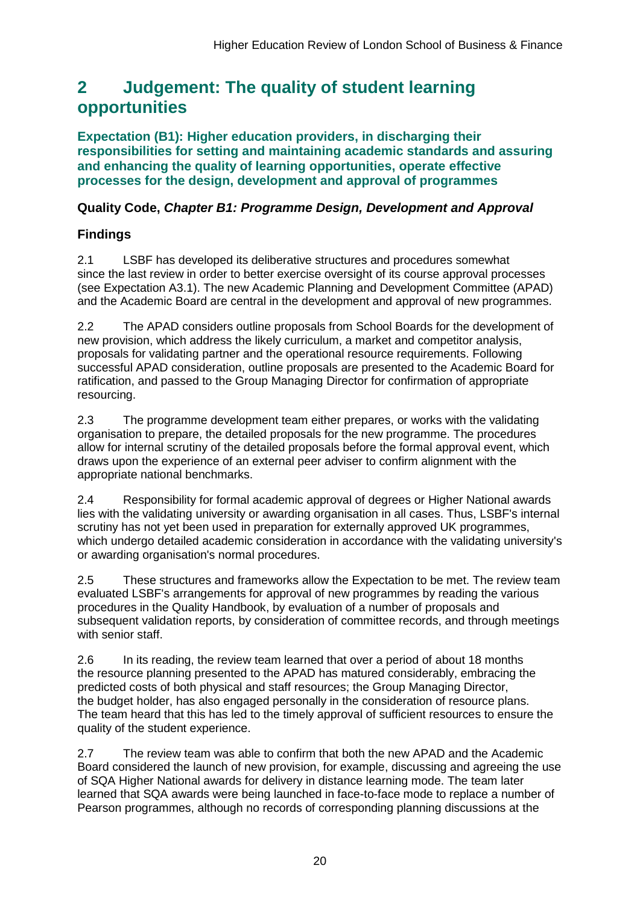## <span id="page-20-0"></span>**2 Judgement: The quality of student learning opportunities**

**Expectation (B1): Higher education providers, in discharging their responsibilities for setting and maintaining academic standards and assuring and enhancing the quality of learning opportunities, operate effective processes for the design, development and approval of programmes**

## **Quality Code,** *Chapter B1: Programme Design, Development and Approval*

## **Findings**

2.1 LSBF has developed its deliberative structures and procedures somewhat since the last review in order to better exercise oversight of its course approval processes (see Expectation A3.1). The new Academic Planning and Development Committee (APAD) and the Academic Board are central in the development and approval of new programmes.

2.2 The APAD considers outline proposals from School Boards for the development of new provision, which address the likely curriculum, a market and competitor analysis, proposals for validating partner and the operational resource requirements. Following successful APAD consideration, outline proposals are presented to the Academic Board for ratification, and passed to the Group Managing Director for confirmation of appropriate resourcing.

2.3 The programme development team either prepares, or works with the validating organisation to prepare, the detailed proposals for the new programme. The procedures allow for internal scrutiny of the detailed proposals before the formal approval event, which draws upon the experience of an external peer adviser to confirm alignment with the appropriate national benchmarks.

2.4 Responsibility for formal academic approval of degrees or Higher National awards lies with the validating university or awarding organisation in all cases. Thus, LSBF's internal scrutiny has not yet been used in preparation for externally approved UK programmes, which undergo detailed academic consideration in accordance with the validating university's or awarding organisation's normal procedures.

2.5 These structures and frameworks allow the Expectation to be met. The review team evaluated LSBF's arrangements for approval of new programmes by reading the various procedures in the Quality Handbook, by evaluation of a number of proposals and subsequent validation reports, by consideration of committee records, and through meetings with senior staff.

2.6 In its reading, the review team learned that over a period of about 18 months the resource planning presented to the APAD has matured considerably, embracing the predicted costs of both physical and staff resources; the Group Managing Director, the budget holder, has also engaged personally in the consideration of resource plans. The team heard that this has led to the timely approval of sufficient resources to ensure the quality of the student experience.

2.7 The review team was able to confirm that both the new APAD and the Academic Board considered the launch of new provision, for example, discussing and agreeing the use of SQA Higher National awards for delivery in distance learning mode. The team later learned that SQA awards were being launched in face-to-face mode to replace a number of Pearson programmes, although no records of corresponding planning discussions at the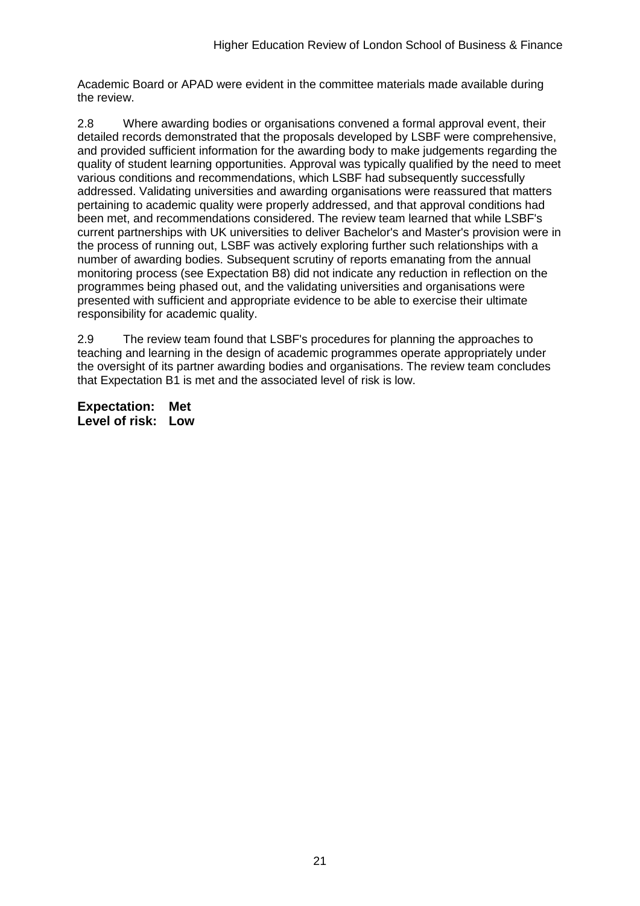Academic Board or APAD were evident in the committee materials made available during the review.

2.8 Where awarding bodies or organisations convened a formal approval event, their detailed records demonstrated that the proposals developed by LSBF were comprehensive, and provided sufficient information for the awarding body to make judgements regarding the quality of student learning opportunities. Approval was typically qualified by the need to meet various conditions and recommendations, which LSBF had subsequently successfully addressed. Validating universities and awarding organisations were reassured that matters pertaining to academic quality were properly addressed, and that approval conditions had been met, and recommendations considered. The review team learned that while LSBF's current partnerships with UK universities to deliver Bachelor's and Master's provision were in the process of running out, LSBF was actively exploring further such relationships with a number of awarding bodies. Subsequent scrutiny of reports emanating from the annual monitoring process (see Expectation B8) did not indicate any reduction in reflection on the programmes being phased out, and the validating universities and organisations were presented with sufficient and appropriate evidence to be able to exercise their ultimate responsibility for academic quality.

2.9 The review team found that LSBF's procedures for planning the approaches to teaching and learning in the design of academic programmes operate appropriately under the oversight of its partner awarding bodies and organisations. The review team concludes that Expectation B1 is met and the associated level of risk is low.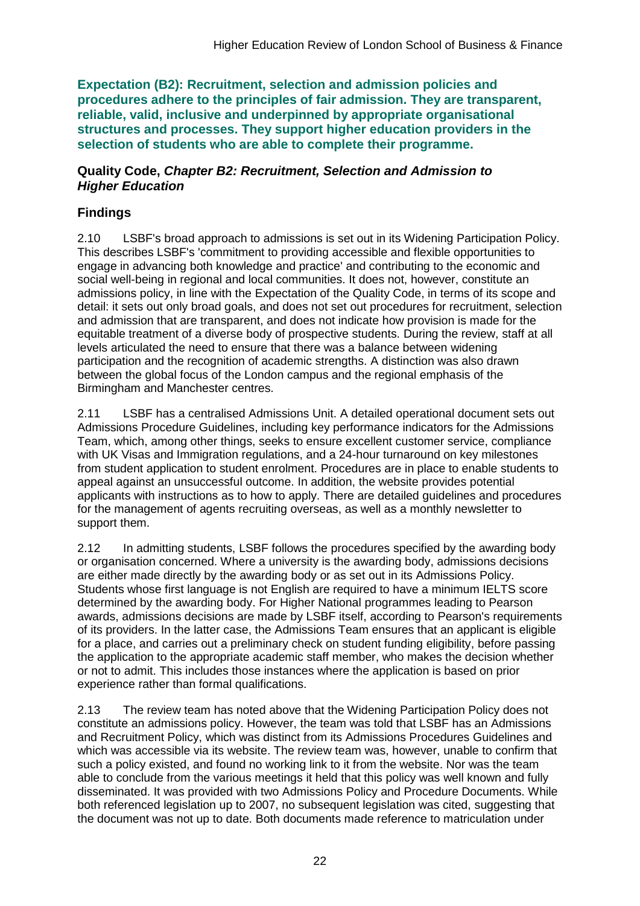**Expectation (B2): Recruitment, selection and admission policies and procedures adhere to the principles of fair admission. They are transparent, reliable, valid, inclusive and underpinned by appropriate organisational structures and processes. They support higher education providers in the selection of students who are able to complete their programme.**

#### **Quality Code,** *Chapter B2: Recruitment, Selection and Admission to Higher Education*

## **Findings**

2.10 LSBF's broad approach to admissions is set out in its Widening Participation Policy. This describes LSBF's 'commitment to providing accessible and flexible opportunities to engage in advancing both knowledge and practice' and contributing to the economic and social well-being in regional and local communities. It does not, however, constitute an admissions policy, in line with the Expectation of the Quality Code, in terms of its scope and detail: it sets out only broad goals, and does not set out procedures for recruitment, selection and admission that are transparent, and does not indicate how provision is made for the equitable treatment of a diverse body of prospective students. During the review, staff at all levels articulated the need to ensure that there was a balance between widening participation and the recognition of academic strengths. A distinction was also drawn between the global focus of the London campus and the regional emphasis of the Birmingham and Manchester centres.

2.11 LSBF has a centralised Admissions Unit. A detailed operational document sets out Admissions Procedure Guidelines, including key performance indicators for the Admissions Team, which, among other things, seeks to ensure excellent customer service, compliance with UK Visas and Immigration regulations, and a 24-hour turnaround on key milestones from student application to student enrolment. Procedures are in place to enable students to appeal against an unsuccessful outcome. In addition, the website provides potential applicants with instructions as to how to apply. There are detailed guidelines and procedures for the management of agents recruiting overseas, as well as a monthly newsletter to support them.

2.12 In admitting students, LSBF follows the procedures specified by the awarding body or organisation concerned. Where a university is the awarding body, admissions decisions are either made directly by the awarding body or as set out in its Admissions Policy. Students whose first language is not English are required to have a minimum IELTS score determined by the awarding body. For Higher National programmes leading to Pearson awards, admissions decisions are made by LSBF itself, according to Pearson's requirements of its providers. In the latter case, the Admissions Team ensures that an applicant is eligible for a place, and carries out a preliminary check on student funding eligibility, before passing the application to the appropriate academic staff member, who makes the decision whether or not to admit. This includes those instances where the application is based on prior experience rather than formal qualifications.

2.13 The review team has noted above that the Widening Participation Policy does not constitute an admissions policy. However, the team was told that LSBF has an Admissions and Recruitment Policy, which was distinct from its Admissions Procedures Guidelines and which was accessible via its website. The review team was, however, unable to confirm that such a policy existed, and found no working link to it from the website. Nor was the team able to conclude from the various meetings it held that this policy was well known and fully disseminated. It was provided with two Admissions Policy and Procedure Documents. While both referenced legislation up to 2007, no subsequent legislation was cited, suggesting that the document was not up to date. Both documents made reference to matriculation under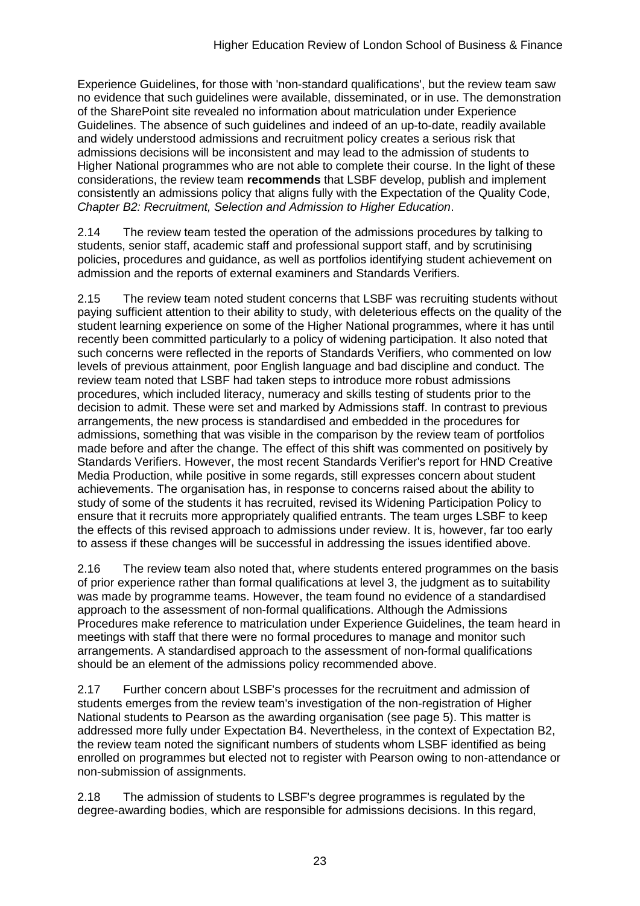Experience Guidelines, for those with 'non-standard qualifications', but the review team saw no evidence that such guidelines were available, disseminated, or in use. The demonstration of the SharePoint site revealed no information about matriculation under Experience Guidelines. The absence of such guidelines and indeed of an up-to-date, readily available and widely understood admissions and recruitment policy creates a serious risk that admissions decisions will be inconsistent and may lead to the admission of students to Higher National programmes who are not able to complete their course. In the light of these considerations, the review team **recommends** that LSBF develop, publish and implement consistently an admissions policy that aligns fully with the Expectation of the Quality Code, *Chapter B2: Recruitment, Selection and Admission to Higher Education*.

2.14 The review team tested the operation of the admissions procedures by talking to students, senior staff, academic staff and professional support staff, and by scrutinising policies, procedures and guidance, as well as portfolios identifying student achievement on admission and the reports of external examiners and Standards Verifiers.

2.15 The review team noted student concerns that LSBF was recruiting students without paying sufficient attention to their ability to study, with deleterious effects on the quality of the student learning experience on some of the Higher National programmes, where it has until recently been committed particularly to a policy of widening participation. It also noted that such concerns were reflected in the reports of Standards Verifiers, who commented on low levels of previous attainment, poor English language and bad discipline and conduct. The review team noted that LSBF had taken steps to introduce more robust admissions procedures, which included literacy, numeracy and skills testing of students prior to the decision to admit. These were set and marked by Admissions staff. In contrast to previous arrangements, the new process is standardised and embedded in the procedures for admissions, something that was visible in the comparison by the review team of portfolios made before and after the change. The effect of this shift was commented on positively by Standards Verifiers. However, the most recent Standards Verifier's report for HND Creative Media Production, while positive in some regards, still expresses concern about student achievements. The organisation has, in response to concerns raised about the ability to study of some of the students it has recruited, revised its Widening Participation Policy to ensure that it recruits more appropriately qualified entrants. The team urges LSBF to keep the effects of this revised approach to admissions under review. It is, however, far too early to assess if these changes will be successful in addressing the issues identified above.

2.16 The review team also noted that, where students entered programmes on the basis of prior experience rather than formal qualifications at level 3, the judgment as to suitability was made by programme teams. However, the team found no evidence of a standardised approach to the assessment of non-formal qualifications. Although the Admissions Procedures make reference to matriculation under Experience Guidelines, the team heard in meetings with staff that there were no formal procedures to manage and monitor such arrangements. A standardised approach to the assessment of non-formal qualifications should be an element of the admissions policy recommended above.

2.17 Further concern about LSBF's processes for the recruitment and admission of students emerges from the review team's investigation of the non-registration of Higher National students to Pearson as the awarding organisation (see page 5). This matter is addressed more fully under Expectation B4. Nevertheless, in the context of Expectation B2, the review team noted the significant numbers of students whom LSBF identified as being enrolled on programmes but elected not to register with Pearson owing to non-attendance or non-submission of assignments.

2.18 The admission of students to LSBF's degree programmes is regulated by the degree-awarding bodies, which are responsible for admissions decisions. In this regard,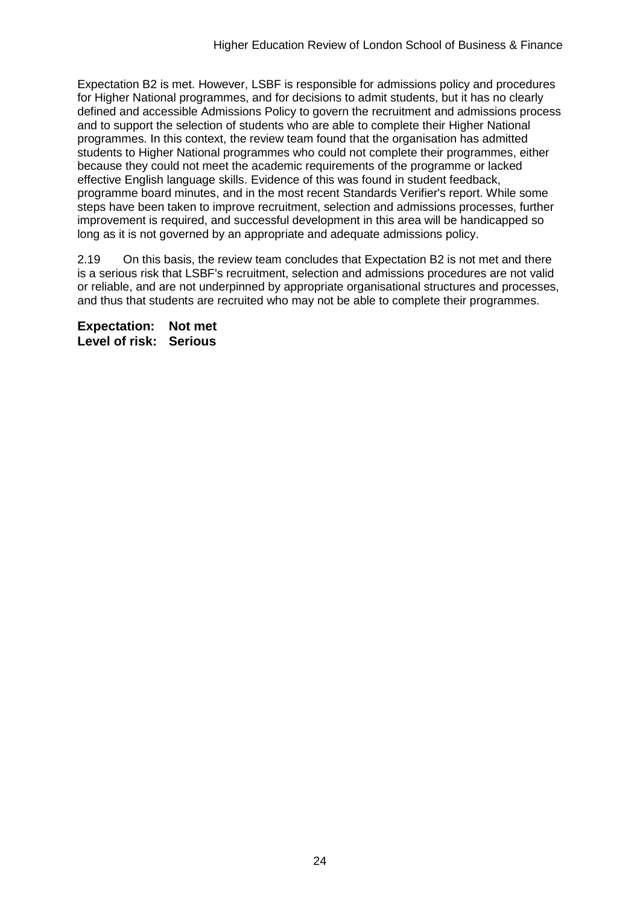Expectation B2 is met. However, LSBF is responsible for admissions policy and procedures for Higher National programmes, and for decisions to admit students, but it has no clearly defined and accessible Admissions Policy to govern the recruitment and admissions process and to support the selection of students who are able to complete their Higher National programmes. In this context, the review team found that the organisation has admitted students to Higher National programmes who could not complete their programmes, either because they could not meet the academic requirements of the programme or lacked effective English language skills. Evidence of this was found in student feedback, programme board minutes, and in the most recent Standards Verifier's report. While some steps have been taken to improve recruitment, selection and admissions processes, further improvement is required, and successful development in this area will be handicapped so long as it is not governed by an appropriate and adequate admissions policy.

2.19 On this basis, the review team concludes that Expectation B2 is not met and there is a serious risk that LSBF's recruitment, selection and admissions procedures are not valid or reliable, and are not underpinned by appropriate organisational structures and processes, and thus that students are recruited who may not be able to complete their programmes.

**Expectation: Not met Level of risk: Serious**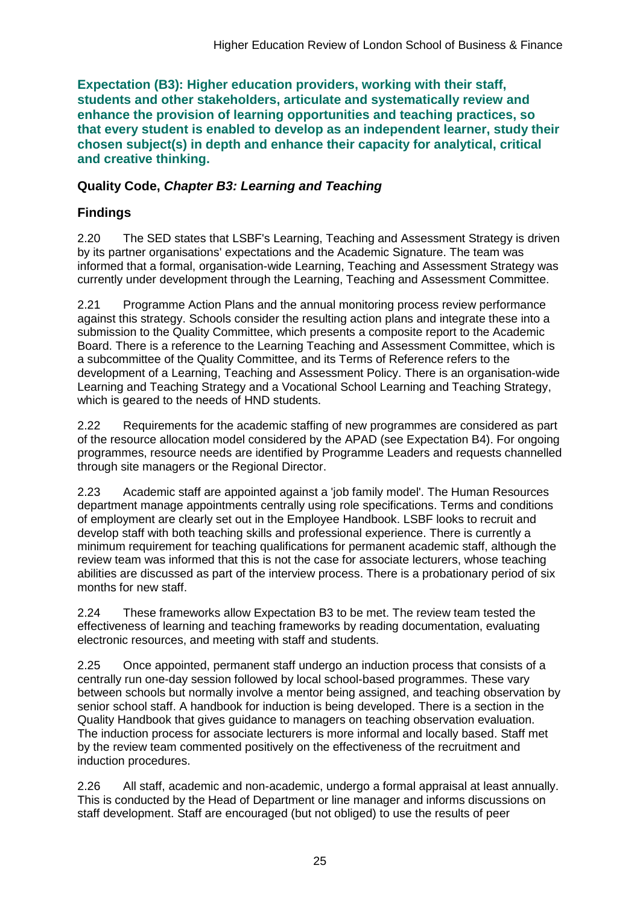**Expectation (B3): Higher education providers, working with their staff, students and other stakeholders, articulate and systematically review and enhance the provision of learning opportunities and teaching practices, so that every student is enabled to develop as an independent learner, study their chosen subject(s) in depth and enhance their capacity for analytical, critical and creative thinking.**

### **Quality Code,** *Chapter B3: Learning and Teaching*

## **Findings**

2.20 The SED states that LSBF's Learning, Teaching and Assessment Strategy is driven by its partner organisations' expectations and the Academic Signature. The team was informed that a formal, organisation-wide Learning, Teaching and Assessment Strategy was currently under development through the Learning, Teaching and Assessment Committee.

2.21 Programme Action Plans and the annual monitoring process review performance against this strategy. Schools consider the resulting action plans and integrate these into a submission to the Quality Committee, which presents a composite report to the Academic Board. There is a reference to the Learning Teaching and Assessment Committee, which is a subcommittee of the Quality Committee, and its Terms of Reference refers to the development of a Learning, Teaching and Assessment Policy. There is an organisation-wide Learning and Teaching Strategy and a Vocational School Learning and Teaching Strategy, which is geared to the needs of HND students.

2.22 Requirements for the academic staffing of new programmes are considered as part of the resource allocation model considered by the APAD (see Expectation B4). For ongoing programmes, resource needs are identified by Programme Leaders and requests channelled through site managers or the Regional Director.

2.23 Academic staff are appointed against a 'job family model'. The Human Resources department manage appointments centrally using role specifications. Terms and conditions of employment are clearly set out in the Employee Handbook. LSBF looks to recruit and develop staff with both teaching skills and professional experience. There is currently a minimum requirement for teaching qualifications for permanent academic staff, although the review team was informed that this is not the case for associate lecturers, whose teaching abilities are discussed as part of the interview process. There is a probationary period of six months for new staff.

2.24 These frameworks allow Expectation B3 to be met. The review team tested the effectiveness of learning and teaching frameworks by reading documentation, evaluating electronic resources, and meeting with staff and students.

2.25 Once appointed, permanent staff undergo an induction process that consists of a centrally run one-day session followed by local school-based programmes. These vary between schools but normally involve a mentor being assigned, and teaching observation by senior school staff. A handbook for induction is being developed. There is a section in the Quality Handbook that gives guidance to managers on teaching observation evaluation. The induction process for associate lecturers is more informal and locally based. Staff met by the review team commented positively on the effectiveness of the recruitment and induction procedures.

2.26 All staff, academic and non-academic, undergo a formal appraisal at least annually. This is conducted by the Head of Department or line manager and informs discussions on staff development. Staff are encouraged (but not obliged) to use the results of peer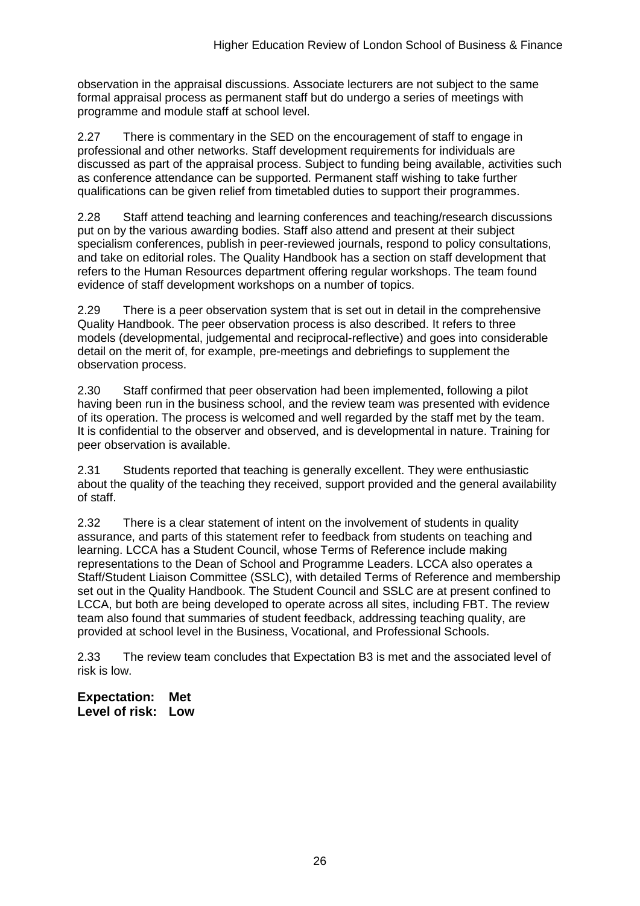observation in the appraisal discussions. Associate lecturers are not subject to the same formal appraisal process as permanent staff but do undergo a series of meetings with programme and module staff at school level.

2.27 There is commentary in the SED on the encouragement of staff to engage in professional and other networks. Staff development requirements for individuals are discussed as part of the appraisal process. Subject to funding being available, activities such as conference attendance can be supported. Permanent staff wishing to take further qualifications can be given relief from timetabled duties to support their programmes.

2.28 Staff attend teaching and learning conferences and teaching/research discussions put on by the various awarding bodies. Staff also attend and present at their subject specialism conferences, publish in peer-reviewed journals, respond to policy consultations, and take on editorial roles. The Quality Handbook has a section on staff development that refers to the Human Resources department offering regular workshops. The team found evidence of staff development workshops on a number of topics.

2.29 There is a peer observation system that is set out in detail in the comprehensive Quality Handbook. The peer observation process is also described. It refers to three models (developmental, judgemental and reciprocal-reflective) and goes into considerable detail on the merit of, for example, pre-meetings and debriefings to supplement the observation process.

2.30 Staff confirmed that peer observation had been implemented, following a pilot having been run in the business school, and the review team was presented with evidence of its operation. The process is welcomed and well regarded by the staff met by the team. It is confidential to the observer and observed, and is developmental in nature. Training for peer observation is available.

2.31 Students reported that teaching is generally excellent. They were enthusiastic about the quality of the teaching they received, support provided and the general availability of staff.

2.32 There is a clear statement of intent on the involvement of students in quality assurance, and parts of this statement refer to feedback from students on teaching and learning. LCCA has a Student Council, whose Terms of Reference include making representations to the Dean of School and Programme Leaders. LCCA also operates a Staff/Student Liaison Committee (SSLC), with detailed Terms of Reference and membership set out in the Quality Handbook. The Student Council and SSLC are at present confined to LCCA, but both are being developed to operate across all sites, including FBT. The review team also found that summaries of student feedback, addressing teaching quality, are provided at school level in the Business, Vocational, and Professional Schools.

2.33 The review team concludes that Expectation B3 is met and the associated level of risk is low.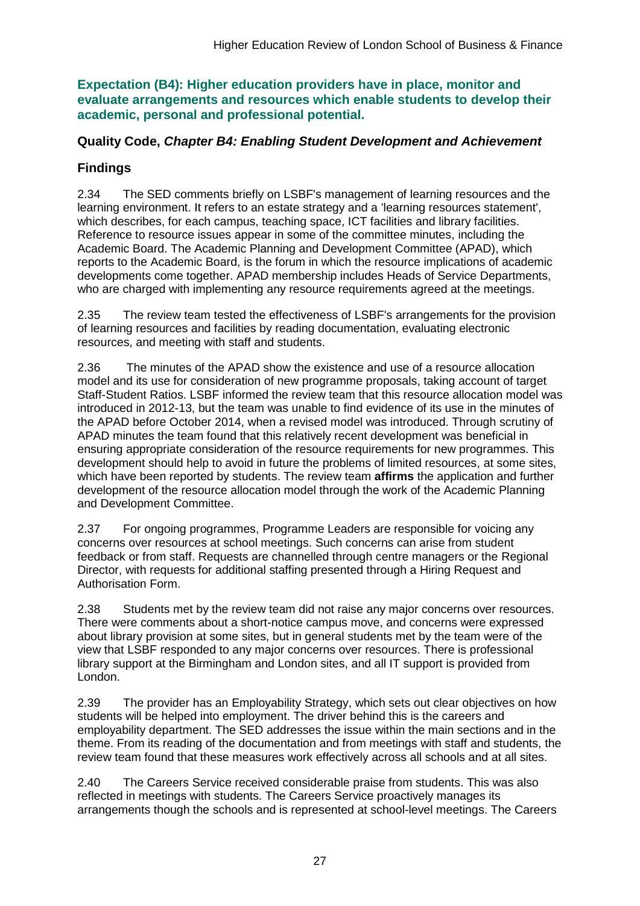**Expectation (B4): Higher education providers have in place, monitor and evaluate arrangements and resources which enable students to develop their academic, personal and professional potential.**

### **Quality Code,** *Chapter B4: Enabling Student Development and Achievement*

## **Findings**

2.34 The SED comments briefly on LSBF's management of learning resources and the learning environment. It refers to an estate strategy and a 'learning resources statement', which describes, for each campus, teaching space, ICT facilities and library facilities. Reference to resource issues appear in some of the committee minutes, including the Academic Board. The Academic Planning and Development Committee (APAD), which reports to the Academic Board, is the forum in which the resource implications of academic developments come together. APAD membership includes Heads of Service Departments, who are charged with implementing any resource requirements agreed at the meetings.

2.35 The review team tested the effectiveness of LSBF's arrangements for the provision of learning resources and facilities by reading documentation, evaluating electronic resources, and meeting with staff and students.

2.36 The minutes of the APAD show the existence and use of a resource allocation model and its use for consideration of new programme proposals, taking account of target Staff-Student Ratios. LSBF informed the review team that this resource allocation model was introduced in 2012-13, but the team was unable to find evidence of its use in the minutes of the APAD before October 2014, when a revised model was introduced. Through scrutiny of APAD minutes the team found that this relatively recent development was beneficial in ensuring appropriate consideration of the resource requirements for new programmes. This development should help to avoid in future the problems of limited resources, at some sites, which have been reported by students. The review team **affirms** the application and further development of the resource allocation model through the work of the Academic Planning and Development Committee.

2.37 For ongoing programmes, Programme Leaders are responsible for voicing any concerns over resources at school meetings. Such concerns can arise from student feedback or from staff. Requests are channelled through centre managers or the Regional Director, with requests for additional staffing presented through a Hiring Request and Authorisation Form.

2.38 Students met by the review team did not raise any major concerns over resources. There were comments about a short-notice campus move, and concerns were expressed about library provision at some sites, but in general students met by the team were of the view that LSBF responded to any major concerns over resources. There is professional library support at the Birmingham and London sites, and all IT support is provided from London.

2.39 The provider has an Employability Strategy, which sets out clear objectives on how students will be helped into employment. The driver behind this is the careers and employability department. The SED addresses the issue within the main sections and in the theme. From its reading of the documentation and from meetings with staff and students, the review team found that these measures work effectively across all schools and at all sites.

2.40 The Careers Service received considerable praise from students. This was also reflected in meetings with students. The Careers Service proactively manages its arrangements though the schools and is represented at school-level meetings. The Careers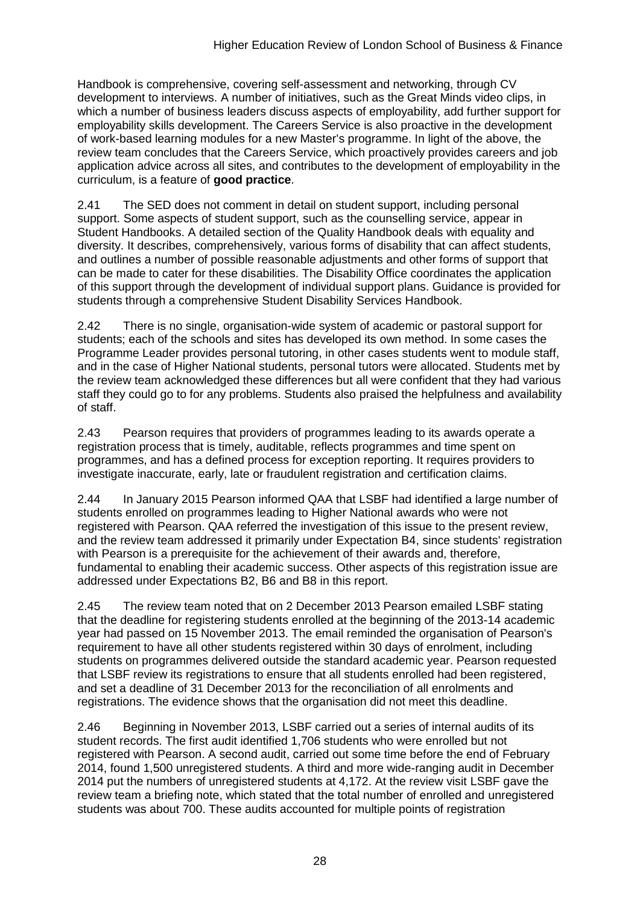Handbook is comprehensive, covering self-assessment and networking, through CV development to interviews. A number of initiatives, such as the Great Minds video clips, in which a number of business leaders discuss aspects of employability, add further support for employability skills development. The Careers Service is also proactive in the development of work-based learning modules for a new Master's programme. In light of the above, the review team concludes that the Careers Service, which proactively provides careers and job application advice across all sites, and contributes to the development of employability in the curriculum, is a feature of **good practice**.

2.41 The SED does not comment in detail on student support, including personal support. Some aspects of student support, such as the counselling service, appear in Student Handbooks. A detailed section of the Quality Handbook deals with equality and diversity. It describes, comprehensively, various forms of disability that can affect students, and outlines a number of possible reasonable adjustments and other forms of support that can be made to cater for these disabilities. The Disability Office coordinates the application of this support through the development of individual support plans. Guidance is provided for students through a comprehensive Student Disability Services Handbook.

2.42 There is no single, organisation-wide system of academic or pastoral support for students; each of the schools and sites has developed its own method. In some cases the Programme Leader provides personal tutoring, in other cases students went to module staff, and in the case of Higher National students, personal tutors were allocated. Students met by the review team acknowledged these differences but all were confident that they had various staff they could go to for any problems. Students also praised the helpfulness and availability of staff.

2.43 Pearson requires that providers of programmes leading to its awards operate a registration process that is timely, auditable, reflects programmes and time spent on programmes, and has a defined process for exception reporting. It requires providers to investigate inaccurate, early, late or fraudulent registration and certification claims.

2.44 In January 2015 Pearson informed QAA that LSBF had identified a large number of students enrolled on programmes leading to Higher National awards who were not registered with Pearson. QAA referred the investigation of this issue to the present review, and the review team addressed it primarily under Expectation B4, since students' registration with Pearson is a prerequisite for the achievement of their awards and, therefore, fundamental to enabling their academic success. Other aspects of this registration issue are addressed under Expectations B2, B6 and B8 in this report.

2.45 The review team noted that on 2 December 2013 Pearson emailed LSBF stating that the deadline for registering students enrolled at the beginning of the 2013-14 academic year had passed on 15 November 2013. The email reminded the organisation of Pearson's requirement to have all other students registered within 30 days of enrolment, including students on programmes delivered outside the standard academic year. Pearson requested that LSBF review its registrations to ensure that all students enrolled had been registered, and set a deadline of 31 December 2013 for the reconciliation of all enrolments and registrations. The evidence shows that the organisation did not meet this deadline.

2.46 Beginning in November 2013, LSBF carried out a series of internal audits of its student records. The first audit identified 1,706 students who were enrolled but not registered with Pearson. A second audit, carried out some time before the end of February 2014, found 1,500 unregistered students. A third and more wide-ranging audit in December 2014 put the numbers of unregistered students at 4,172. At the review visit LSBF gave the review team a briefing note, which stated that the total number of enrolled and unregistered students was about 700. These audits accounted for multiple points of registration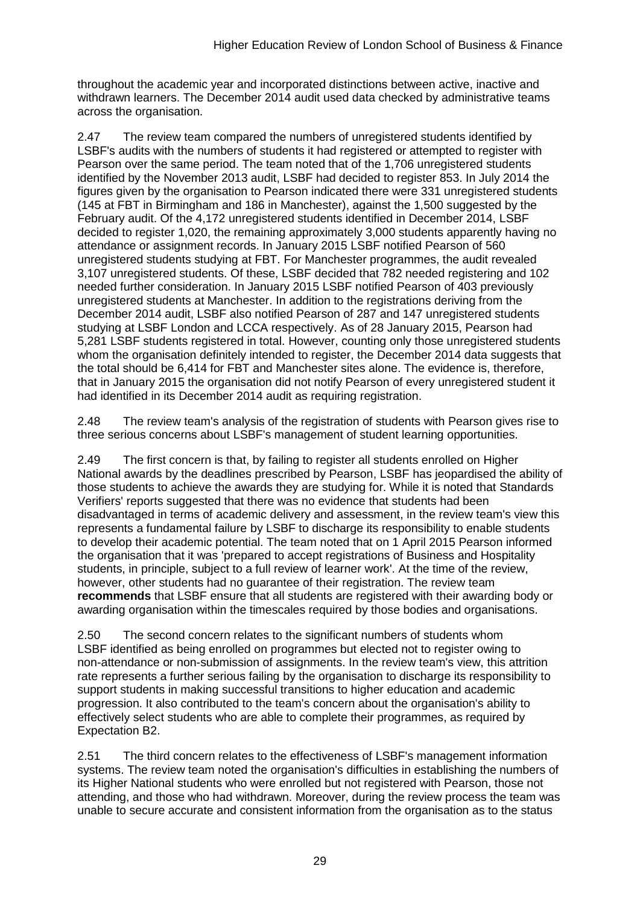throughout the academic year and incorporated distinctions between active, inactive and withdrawn learners. The December 2014 audit used data checked by administrative teams across the organisation.

2.47 The review team compared the numbers of unregistered students identified by LSBF's audits with the numbers of students it had registered or attempted to register with Pearson over the same period. The team noted that of the 1,706 unregistered students identified by the November 2013 audit, LSBF had decided to register 853. In July 2014 the figures given by the organisation to Pearson indicated there were 331 unregistered students (145 at FBT in Birmingham and 186 in Manchester), against the 1,500 suggested by the February audit. Of the 4,172 unregistered students identified in December 2014, LSBF decided to register 1,020, the remaining approximately 3,000 students apparently having no attendance or assignment records. In January 2015 LSBF notified Pearson of 560 unregistered students studying at FBT. For Manchester programmes, the audit revealed 3,107 unregistered students. Of these, LSBF decided that 782 needed registering and 102 needed further consideration. In January 2015 LSBF notified Pearson of 403 previously unregistered students at Manchester. In addition to the registrations deriving from the December 2014 audit, LSBF also notified Pearson of 287 and 147 unregistered students studying at LSBF London and LCCA respectively. As of 28 January 2015, Pearson had 5,281 LSBF students registered in total. However, counting only those unregistered students whom the organisation definitely intended to register, the December 2014 data suggests that the total should be 6,414 for FBT and Manchester sites alone. The evidence is, therefore, that in January 2015 the organisation did not notify Pearson of every unregistered student it had identified in its December 2014 audit as requiring registration.

2.48 The review team's analysis of the registration of students with Pearson gives rise to three serious concerns about LSBF's management of student learning opportunities.

2.49 The first concern is that, by failing to register all students enrolled on Higher National awards by the deadlines prescribed by Pearson, LSBF has jeopardised the ability of those students to achieve the awards they are studying for. While it is noted that Standards Verifiers' reports suggested that there was no evidence that students had been disadvantaged in terms of academic delivery and assessment, in the review team's view this represents a fundamental failure by LSBF to discharge its responsibility to enable students to develop their academic potential. The team noted that on 1 April 2015 Pearson informed the organisation that it was 'prepared to accept registrations of Business and Hospitality students, in principle, subject to a full review of learner work'. At the time of the review, however, other students had no guarantee of their registration. The review team **recommends** that LSBF ensure that all students are registered with their awarding body or awarding organisation within the timescales required by those bodies and organisations.

2.50 The second concern relates to the significant numbers of students whom LSBF identified as being enrolled on programmes but elected not to register owing to non-attendance or non-submission of assignments. In the review team's view, this attrition rate represents a further serious failing by the organisation to discharge its responsibility to support students in making successful transitions to higher education and academic progression. It also contributed to the team's concern about the organisation's ability to effectively select students who are able to complete their programmes, as required by Expectation B2.

2.51 The third concern relates to the effectiveness of LSBF's management information systems. The review team noted the organisation's difficulties in establishing the numbers of its Higher National students who were enrolled but not registered with Pearson, those not attending, and those who had withdrawn. Moreover, during the review process the team was unable to secure accurate and consistent information from the organisation as to the status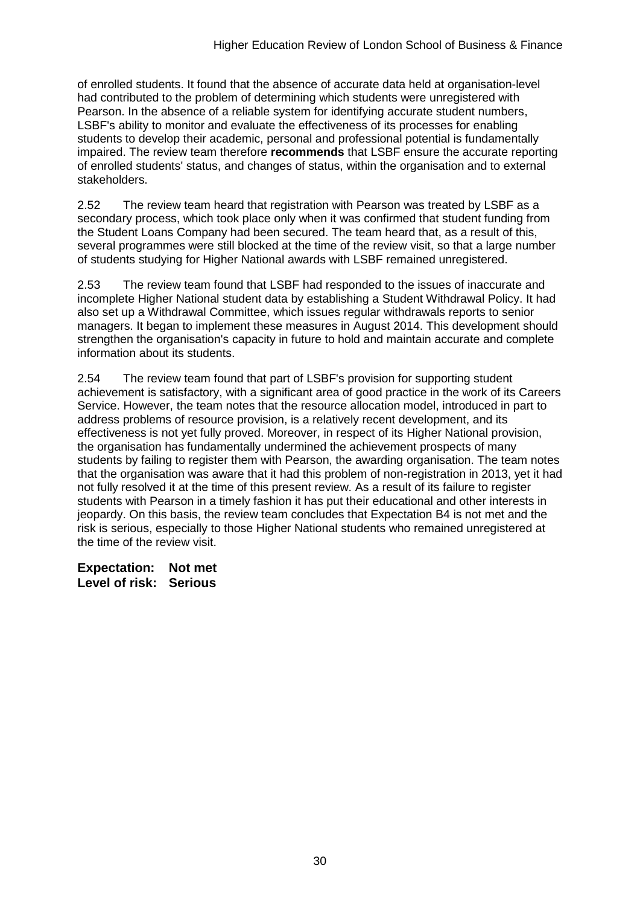of enrolled students. It found that the absence of accurate data held at organisation-level had contributed to the problem of determining which students were unregistered with Pearson. In the absence of a reliable system for identifying accurate student numbers, LSBF's ability to monitor and evaluate the effectiveness of its processes for enabling students to develop their academic, personal and professional potential is fundamentally impaired. The review team therefore **recommends** that LSBF ensure the accurate reporting of enrolled students' status, and changes of status, within the organisation and to external stakeholders.

2.52 The review team heard that registration with Pearson was treated by LSBF as a secondary process, which took place only when it was confirmed that student funding from the Student Loans Company had been secured. The team heard that, as a result of this, several programmes were still blocked at the time of the review visit, so that a large number of students studying for Higher National awards with LSBF remained unregistered.

2.53 The review team found that LSBF had responded to the issues of inaccurate and incomplete Higher National student data by establishing a Student Withdrawal Policy. It had also set up a Withdrawal Committee, which issues regular withdrawals reports to senior managers. It began to implement these measures in August 2014. This development should strengthen the organisation's capacity in future to hold and maintain accurate and complete information about its students.

2.54 The review team found that part of LSBF's provision for supporting student achievement is satisfactory, with a significant area of good practice in the work of its Careers Service. However, the team notes that the resource allocation model, introduced in part to address problems of resource provision, is a relatively recent development, and its effectiveness is not yet fully proved. Moreover, in respect of its Higher National provision, the organisation has fundamentally undermined the achievement prospects of many students by failing to register them with Pearson, the awarding organisation. The team notes that the organisation was aware that it had this problem of non-registration in 2013, yet it had not fully resolved it at the time of this present review. As a result of its failure to register students with Pearson in a timely fashion it has put their educational and other interests in jeopardy. On this basis, the review team concludes that Expectation B4 is not met and the risk is serious, especially to those Higher National students who remained unregistered at the time of the review visit.

**Expectation: Not met Level of risk: Serious**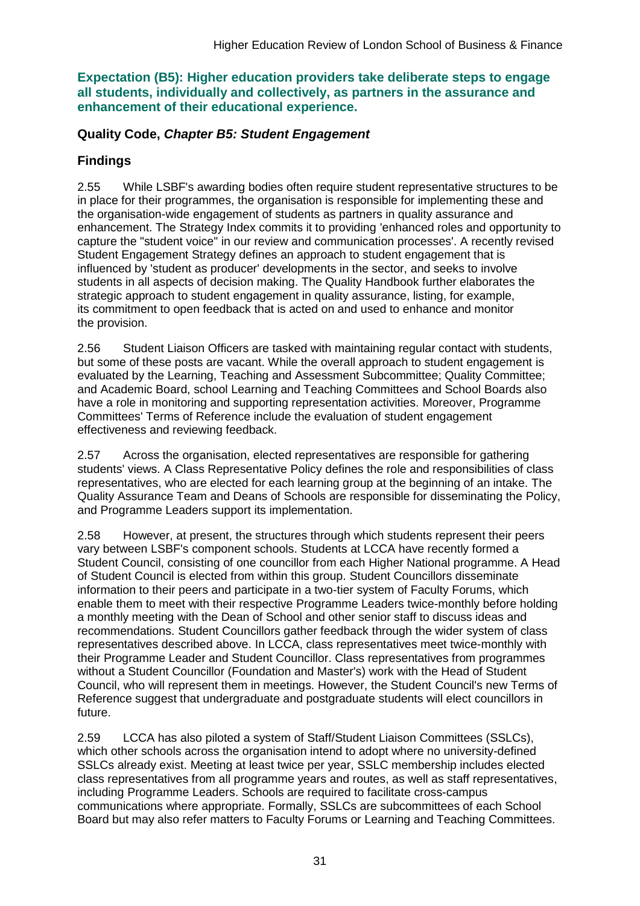#### **Expectation (B5): Higher education providers take deliberate steps to engage all students, individually and collectively, as partners in the assurance and enhancement of their educational experience.**

### **Quality Code,** *Chapter B5: Student Engagement*

### **Findings**

2.55 While LSBF's awarding bodies often require student representative structures to be in place for their programmes, the organisation is responsible for implementing these and the organisation-wide engagement of students as partners in quality assurance and enhancement. The Strategy Index commits it to providing 'enhanced roles and opportunity to capture the "student voice" in our review and communication processes'. A recently revised Student Engagement Strategy defines an approach to student engagement that is influenced by 'student as producer' developments in the sector, and seeks to involve students in all aspects of decision making. The Quality Handbook further elaborates the strategic approach to student engagement in quality assurance, listing, for example, its commitment to open feedback that is acted on and used to enhance and monitor the provision.

2.56 Student Liaison Officers are tasked with maintaining regular contact with students, but some of these posts are vacant. While the overall approach to student engagement is evaluated by the Learning, Teaching and Assessment Subcommittee; Quality Committee; and Academic Board, school Learning and Teaching Committees and School Boards also have a role in monitoring and supporting representation activities. Moreover, Programme Committees' Terms of Reference include the evaluation of student engagement effectiveness and reviewing feedback.

2.57 Across the organisation, elected representatives are responsible for gathering students' views. A Class Representative Policy defines the role and responsibilities of class representatives, who are elected for each learning group at the beginning of an intake. The Quality Assurance Team and Deans of Schools are responsible for disseminating the Policy, and Programme Leaders support its implementation.

2.58 However, at present, the structures through which students represent their peers vary between LSBF's component schools. Students at LCCA have recently formed a Student Council, consisting of one councillor from each Higher National programme. A Head of Student Council is elected from within this group. Student Councillors disseminate information to their peers and participate in a two-tier system of Faculty Forums, which enable them to meet with their respective Programme Leaders twice-monthly before holding a monthly meeting with the Dean of School and other senior staff to discuss ideas and recommendations. Student Councillors gather feedback through the wider system of class representatives described above. In LCCA, class representatives meet twice-monthly with their Programme Leader and Student Councillor. Class representatives from programmes without a Student Councillor (Foundation and Master's) work with the Head of Student Council, who will represent them in meetings. However, the Student Council's new Terms of Reference suggest that undergraduate and postgraduate students will elect councillors in future.

2.59 LCCA has also piloted a system of Staff/Student Liaison Committees (SSLCs), which other schools across the organisation intend to adopt where no university-defined SSLCs already exist. Meeting at least twice per year, SSLC membership includes elected class representatives from all programme years and routes, as well as staff representatives, including Programme Leaders. Schools are required to facilitate cross-campus communications where appropriate. Formally, SSLCs are subcommittees of each School Board but may also refer matters to Faculty Forums or Learning and Teaching Committees.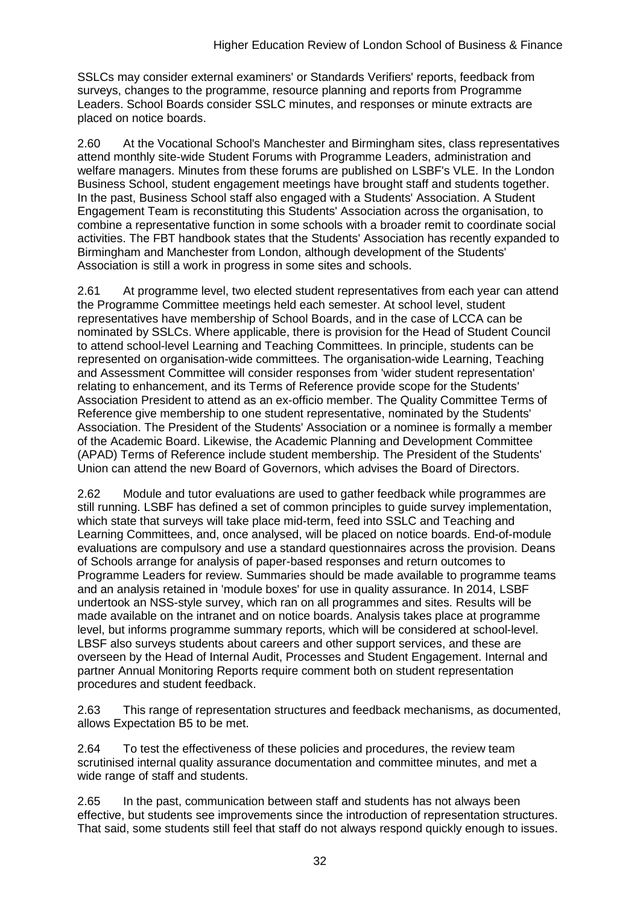SSLCs may consider external examiners' or Standards Verifiers' reports, feedback from surveys, changes to the programme, resource planning and reports from Programme Leaders. School Boards consider SSLC minutes, and responses or minute extracts are placed on notice boards.

2.60 At the Vocational School's Manchester and Birmingham sites, class representatives attend monthly site-wide Student Forums with Programme Leaders, administration and welfare managers. Minutes from these forums are published on LSBF's VLE. In the London Business School, student engagement meetings have brought staff and students together. In the past, Business School staff also engaged with a Students' Association. A Student Engagement Team is reconstituting this Students' Association across the organisation, to combine a representative function in some schools with a broader remit to coordinate social activities. The FBT handbook states that the Students' Association has recently expanded to Birmingham and Manchester from London, although development of the Students' Association is still a work in progress in some sites and schools.

2.61 At programme level, two elected student representatives from each year can attend the Programme Committee meetings held each semester. At school level, student representatives have membership of School Boards, and in the case of LCCA can be nominated by SSLCs. Where applicable, there is provision for the Head of Student Council to attend school-level Learning and Teaching Committees. In principle, students can be represented on organisation-wide committees. The organisation-wide Learning, Teaching and Assessment Committee will consider responses from 'wider student representation' relating to enhancement, and its Terms of Reference provide scope for the Students' Association President to attend as an ex-officio member. The Quality Committee Terms of Reference give membership to one student representative, nominated by the Students' Association. The President of the Students' Association or a nominee is formally a member of the Academic Board. Likewise, the Academic Planning and Development Committee (APAD) Terms of Reference include student membership. The President of the Students' Union can attend the new Board of Governors, which advises the Board of Directors.

2.62 Module and tutor evaluations are used to gather feedback while programmes are still running. LSBF has defined a set of common principles to guide survey implementation, which state that surveys will take place mid-term, feed into SSLC and Teaching and Learning Committees, and, once analysed, will be placed on notice boards. End-of-module evaluations are compulsory and use a standard questionnaires across the provision. Deans of Schools arrange for analysis of paper-based responses and return outcomes to Programme Leaders for review. Summaries should be made available to programme teams and an analysis retained in 'module boxes' for use in quality assurance. In 2014, LSBF undertook an NSS-style survey, which ran on all programmes and sites. Results will be made available on the intranet and on notice boards. Analysis takes place at programme level, but informs programme summary reports, which will be considered at school-level. LBSF also surveys students about careers and other support services, and these are overseen by the Head of Internal Audit, Processes and Student Engagement. Internal and partner Annual Monitoring Reports require comment both on student representation procedures and student feedback.

2.63 This range of representation structures and feedback mechanisms, as documented, allows Expectation B5 to be met.

2.64 To test the effectiveness of these policies and procedures, the review team scrutinised internal quality assurance documentation and committee minutes, and met a wide range of staff and students.

2.65 In the past, communication between staff and students has not always been effective, but students see improvements since the introduction of representation structures. That said, some students still feel that staff do not always respond quickly enough to issues.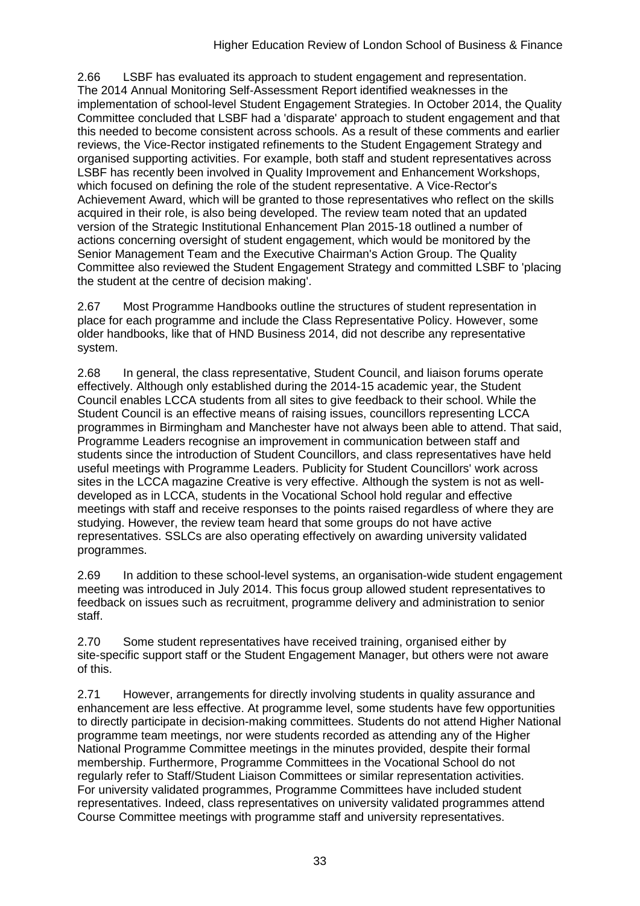2.66 LSBF has evaluated its approach to student engagement and representation. The 2014 Annual Monitoring Self-Assessment Report identified weaknesses in the implementation of school-level Student Engagement Strategies. In October 2014, the Quality Committee concluded that LSBF had a 'disparate' approach to student engagement and that this needed to become consistent across schools. As a result of these comments and earlier reviews, the Vice-Rector instigated refinements to the Student Engagement Strategy and organised supporting activities. For example, both staff and student representatives across LSBF has recently been involved in Quality Improvement and Enhancement Workshops, which focused on defining the role of the student representative. A Vice-Rector's Achievement Award, which will be granted to those representatives who reflect on the skills acquired in their role, is also being developed. The review team noted that an updated version of the Strategic Institutional Enhancement Plan 2015-18 outlined a number of actions concerning oversight of student engagement, which would be monitored by the Senior Management Team and the Executive Chairman's Action Group. The Quality Committee also reviewed the Student Engagement Strategy and committed LSBF to 'placing the student at the centre of decision making'.

2.67 Most Programme Handbooks outline the structures of student representation in place for each programme and include the Class Representative Policy. However, some older handbooks, like that of HND Business 2014, did not describe any representative system.

2.68 In general, the class representative, Student Council, and liaison forums operate effectively. Although only established during the 2014-15 academic year, the Student Council enables LCCA students from all sites to give feedback to their school. While the Student Council is an effective means of raising issues, councillors representing LCCA programmes in Birmingham and Manchester have not always been able to attend. That said, Programme Leaders recognise an improvement in communication between staff and students since the introduction of Student Councillors, and class representatives have held useful meetings with Programme Leaders. Publicity for Student Councillors' work across sites in the LCCA magazine Creative is very effective. Although the system is not as welldeveloped as in LCCA, students in the Vocational School hold regular and effective meetings with staff and receive responses to the points raised regardless of where they are studying. However, the review team heard that some groups do not have active representatives. SSLCs are also operating effectively on awarding university validated programmes.

2.69 In addition to these school-level systems, an organisation-wide student engagement meeting was introduced in July 2014. This focus group allowed student representatives to feedback on issues such as recruitment, programme delivery and administration to senior staff.

2.70 Some student representatives have received training, organised either by site-specific support staff or the Student Engagement Manager, but others were not aware of this.

2.71 However, arrangements for directly involving students in quality assurance and enhancement are less effective. At programme level, some students have few opportunities to directly participate in decision-making committees. Students do not attend Higher National programme team meetings, nor were students recorded as attending any of the Higher National Programme Committee meetings in the minutes provided, despite their formal membership. Furthermore, Programme Committees in the Vocational School do not regularly refer to Staff/Student Liaison Committees or similar representation activities. For university validated programmes, Programme Committees have included student representatives. Indeed, class representatives on university validated programmes attend Course Committee meetings with programme staff and university representatives.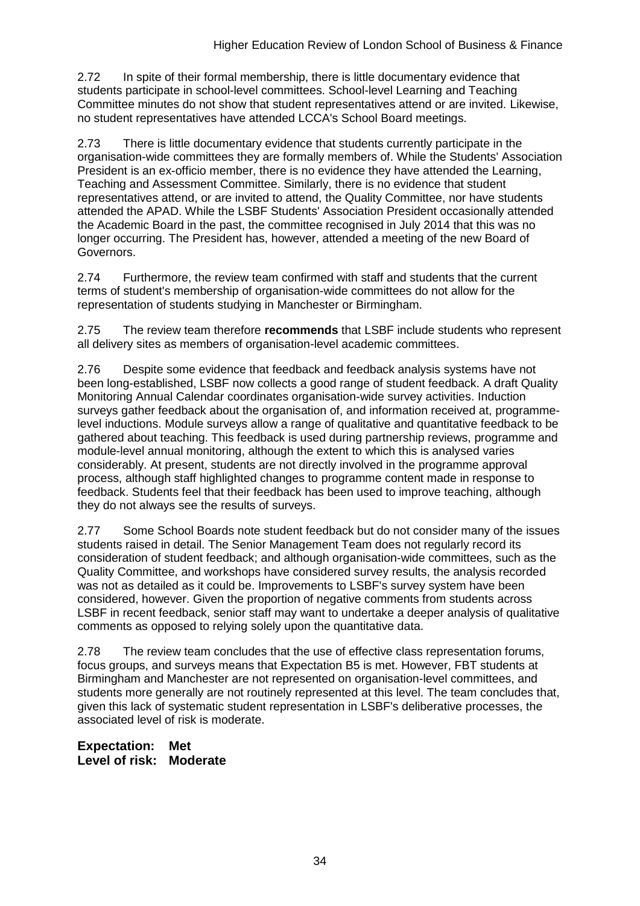2.72 In spite of their formal membership, there is little documentary evidence that students participate in school-level committees. School-level Learning and Teaching Committee minutes do not show that student representatives attend or are invited. Likewise, no student representatives have attended LCCA's School Board meetings.

2.73 There is little documentary evidence that students currently participate in the organisation-wide committees they are formally members of. While the Students' Association President is an ex-officio member, there is no evidence they have attended the Learning, Teaching and Assessment Committee. Similarly, there is no evidence that student representatives attend, or are invited to attend, the Quality Committee, nor have students attended the APAD. While the LSBF Students' Association President occasionally attended the Academic Board in the past, the committee recognised in July 2014 that this was no longer occurring. The President has, however, attended a meeting of the new Board of Governors.

2.74 Furthermore, the review team confirmed with staff and students that the current terms of student's membership of organisation-wide committees do not allow for the representation of students studying in Manchester or Birmingham.

2.75 The review team therefore **recommends** that LSBF include students who represent all delivery sites as members of organisation-level academic committees.

2.76 Despite some evidence that feedback and feedback analysis systems have not been long-established, LSBF now collects a good range of student feedback. A draft Quality Monitoring Annual Calendar coordinates organisation-wide survey activities. Induction surveys gather feedback about the organisation of, and information received at, programmelevel inductions. Module surveys allow a range of qualitative and quantitative feedback to be gathered about teaching. This feedback is used during partnership reviews, programme and module-level annual monitoring, although the extent to which this is analysed varies considerably. At present, students are not directly involved in the programme approval process, although staff highlighted changes to programme content made in response to feedback. Students feel that their feedback has been used to improve teaching, although they do not always see the results of surveys.

2.77 Some School Boards note student feedback but do not consider many of the issues students raised in detail. The Senior Management Team does not regularly record its consideration of student feedback; and although organisation-wide committees, such as the Quality Committee, and workshops have considered survey results, the analysis recorded was not as detailed as it could be. Improvements to LSBF's survey system have been considered, however. Given the proportion of negative comments from students across LSBF in recent feedback, senior staff may want to undertake a deeper analysis of qualitative comments as opposed to relying solely upon the quantitative data.

2.78 The review team concludes that the use of effective class representation forums, focus groups, and surveys means that Expectation B5 is met. However, FBT students at Birmingham and Manchester are not represented on organisation-level committees, and students more generally are not routinely represented at this level. The team concludes that, given this lack of systematic student representation in LSBF's deliberative processes, the associated level of risk is moderate.

**Expectation: Met Level of risk: Moderate**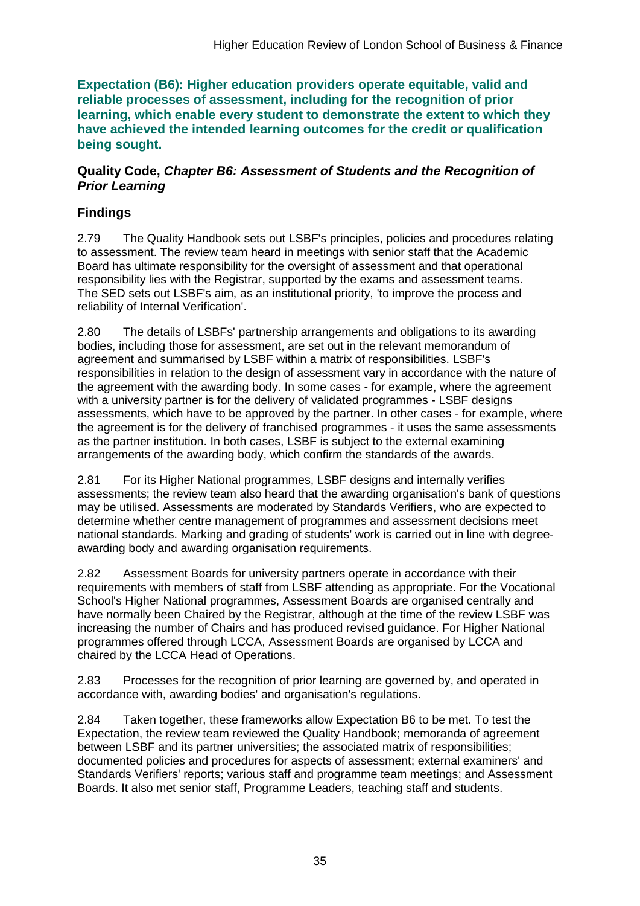**Expectation (B6): Higher education providers operate equitable, valid and reliable processes of assessment, including for the recognition of prior learning, which enable every student to demonstrate the extent to which they have achieved the intended learning outcomes for the credit or qualification being sought.**

### **Quality Code,** *Chapter B6: Assessment of Students and the Recognition of Prior Learning*

## **Findings**

2.79 The Quality Handbook sets out LSBF's principles, policies and procedures relating to assessment. The review team heard in meetings with senior staff that the Academic Board has ultimate responsibility for the oversight of assessment and that operational responsibility lies with the Registrar, supported by the exams and assessment teams. The SED sets out LSBF's aim, as an institutional priority, 'to improve the process and reliability of Internal Verification'.

2.80 The details of LSBFs' partnership arrangements and obligations to its awarding bodies, including those for assessment, are set out in the relevant memorandum of agreement and summarised by LSBF within a matrix of responsibilities. LSBF's responsibilities in relation to the design of assessment vary in accordance with the nature of the agreement with the awarding body. In some cases - for example, where the agreement with a university partner is for the delivery of validated programmes - LSBF designs assessments, which have to be approved by the partner. In other cases - for example, where the agreement is for the delivery of franchised programmes - it uses the same assessments as the partner institution. In both cases, LSBF is subject to the external examining arrangements of the awarding body, which confirm the standards of the awards.

2.81 For its Higher National programmes, LSBF designs and internally verifies assessments; the review team also heard that the awarding organisation's bank of questions may be utilised. Assessments are moderated by Standards Verifiers, who are expected to determine whether centre management of programmes and assessment decisions meet national standards. Marking and grading of students' work is carried out in line with degreeawarding body and awarding organisation requirements.

2.82 Assessment Boards for university partners operate in accordance with their requirements with members of staff from LSBF attending as appropriate. For the Vocational School's Higher National programmes, Assessment Boards are organised centrally and have normally been Chaired by the Registrar, although at the time of the review LSBF was increasing the number of Chairs and has produced revised guidance. For Higher National programmes offered through LCCA, Assessment Boards are organised by LCCA and chaired by the LCCA Head of Operations.

2.83 Processes for the recognition of prior learning are governed by, and operated in accordance with, awarding bodies' and organisation's regulations.

2.84 Taken together, these frameworks allow Expectation B6 to be met. To test the Expectation, the review team reviewed the Quality Handbook; memoranda of agreement between LSBF and its partner universities; the associated matrix of responsibilities; documented policies and procedures for aspects of assessment; external examiners' and Standards Verifiers' reports; various staff and programme team meetings; and Assessment Boards. It also met senior staff, Programme Leaders, teaching staff and students.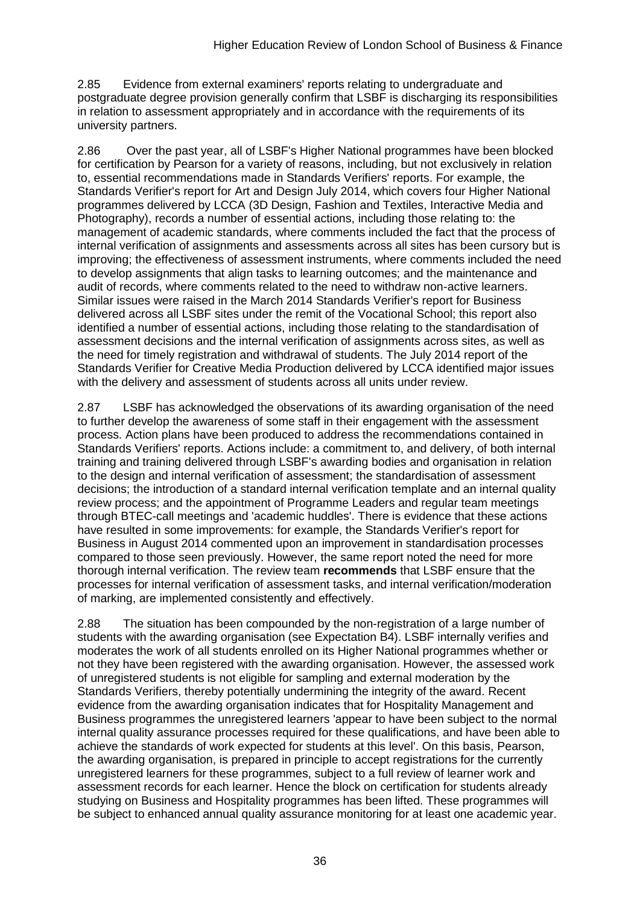2.85 Evidence from external examiners' reports relating to undergraduate and postgraduate degree provision generally confirm that LSBF is discharging its responsibilities in relation to assessment appropriately and in accordance with the requirements of its university partners.

2.86 Over the past year, all of LSBF's Higher National programmes have been blocked for certification by Pearson for a variety of reasons, including, but not exclusively in relation to, essential recommendations made in Standards Verifiers' reports. For example, the Standards Verifier's report for Art and Design July 2014, which covers four Higher National programmes delivered by LCCA (3D Design, Fashion and Textiles, Interactive Media and Photography), records a number of essential actions, including those relating to: the management of academic standards, where comments included the fact that the process of internal verification of assignments and assessments across all sites has been cursory but is improving; the effectiveness of assessment instruments, where comments included the need to develop assignments that align tasks to learning outcomes; and the maintenance and audit of records, where comments related to the need to withdraw non-active learners. Similar issues were raised in the March 2014 Standards Verifier's report for Business delivered across all LSBF sites under the remit of the Vocational School; this report also identified a number of essential actions, including those relating to the standardisation of assessment decisions and the internal verification of assignments across sites, as well as the need for timely registration and withdrawal of students. The July 2014 report of the Standards Verifier for Creative Media Production delivered by LCCA identified major issues with the delivery and assessment of students across all units under review.

2.87 LSBF has acknowledged the observations of its awarding organisation of the need to further develop the awareness of some staff in their engagement with the assessment process. Action plans have been produced to address the recommendations contained in Standards Verifiers' reports. Actions include: a commitment to, and delivery, of both internal training and training delivered through LSBF's awarding bodies and organisation in relation to the design and internal verification of assessment; the standardisation of assessment decisions; the introduction of a standard internal verification template and an internal quality review process; and the appointment of Programme Leaders and regular team meetings through BTEC-call meetings and 'academic huddles'. There is evidence that these actions have resulted in some improvements: for example, the Standards Verifier's report for Business in August 2014 commented upon an improvement in standardisation processes compared to those seen previously. However, the same report noted the need for more thorough internal verification. The review team **recommends** that LSBF ensure that the processes for internal verification of assessment tasks, and internal verification/moderation of marking, are implemented consistently and effectively.

2.88 The situation has been compounded by the non-registration of a large number of students with the awarding organisation (see Expectation B4). LSBF internally verifies and moderates the work of all students enrolled on its Higher National programmes whether or not they have been registered with the awarding organisation. However, the assessed work of unregistered students is not eligible for sampling and external moderation by the Standards Verifiers, thereby potentially undermining the integrity of the award. Recent evidence from the awarding organisation indicates that for Hospitality Management and Business programmes the unregistered learners 'appear to have been subject to the normal internal quality assurance processes required for these qualifications, and have been able to achieve the standards of work expected for students at this level'. On this basis, Pearson, the awarding organisation, is prepared in principle to accept registrations for the currently unregistered learners for these programmes, subject to a full review of learner work and assessment records for each learner. Hence the block on certification for students already studying on Business and Hospitality programmes has been lifted. These programmes will be subject to enhanced annual quality assurance monitoring for at least one academic year.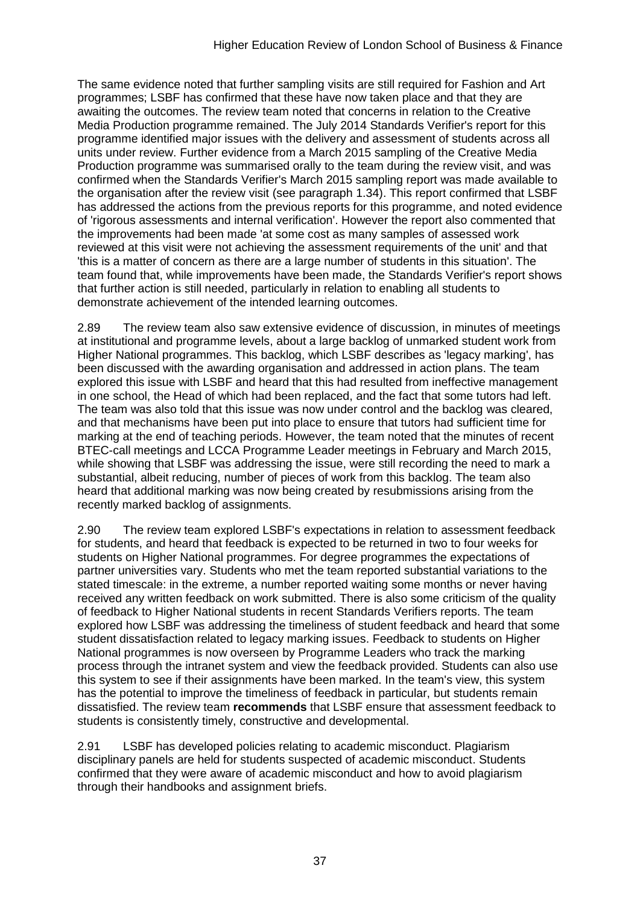The same evidence noted that further sampling visits are still required for Fashion and Art programmes; LSBF has confirmed that these have now taken place and that they are awaiting the outcomes. The review team noted that concerns in relation to the Creative Media Production programme remained. The July 2014 Standards Verifier's report for this programme identified major issues with the delivery and assessment of students across all units under review. Further evidence from a March 2015 sampling of the Creative Media Production programme was summarised orally to the team during the review visit, and was confirmed when the Standards Verifier's March 2015 sampling report was made available to the organisation after the review visit (see paragraph 1.34). This report confirmed that LSBF has addressed the actions from the previous reports for this programme, and noted evidence of 'rigorous assessments and internal verification'. However the report also commented that the improvements had been made 'at some cost as many samples of assessed work reviewed at this visit were not achieving the assessment requirements of the unit' and that 'this is a matter of concern as there are a large number of students in this situation'. The team found that, while improvements have been made, the Standards Verifier's report shows that further action is still needed, particularly in relation to enabling all students to demonstrate achievement of the intended learning outcomes.

2.89 The review team also saw extensive evidence of discussion, in minutes of meetings at institutional and programme levels, about a large backlog of unmarked student work from Higher National programmes. This backlog, which LSBF describes as 'legacy marking', has been discussed with the awarding organisation and addressed in action plans. The team explored this issue with LSBF and heard that this had resulted from ineffective management in one school, the Head of which had been replaced, and the fact that some tutors had left. The team was also told that this issue was now under control and the backlog was cleared, and that mechanisms have been put into place to ensure that tutors had sufficient time for marking at the end of teaching periods. However, the team noted that the minutes of recent BTEC-call meetings and LCCA Programme Leader meetings in February and March 2015, while showing that LSBF was addressing the issue, were still recording the need to mark a substantial, albeit reducing, number of pieces of work from this backlog. The team also heard that additional marking was now being created by resubmissions arising from the recently marked backlog of assignments.

2.90 The review team explored LSBF's expectations in relation to assessment feedback for students, and heard that feedback is expected to be returned in two to four weeks for students on Higher National programmes. For degree programmes the expectations of partner universities vary. Students who met the team reported substantial variations to the stated timescale: in the extreme, a number reported waiting some months or never having received any written feedback on work submitted. There is also some criticism of the quality of feedback to Higher National students in recent Standards Verifiers reports. The team explored how LSBF was addressing the timeliness of student feedback and heard that some student dissatisfaction related to legacy marking issues. Feedback to students on Higher National programmes is now overseen by Programme Leaders who track the marking process through the intranet system and view the feedback provided. Students can also use this system to see if their assignments have been marked. In the team's view, this system has the potential to improve the timeliness of feedback in particular, but students remain dissatisfied. The review team **recommends** that LSBF ensure that assessment feedback to students is consistently timely, constructive and developmental.

2.91 LSBF has developed policies relating to academic misconduct. Plagiarism disciplinary panels are held for students suspected of academic misconduct. Students confirmed that they were aware of academic misconduct and how to avoid plagiarism through their handbooks and assignment briefs.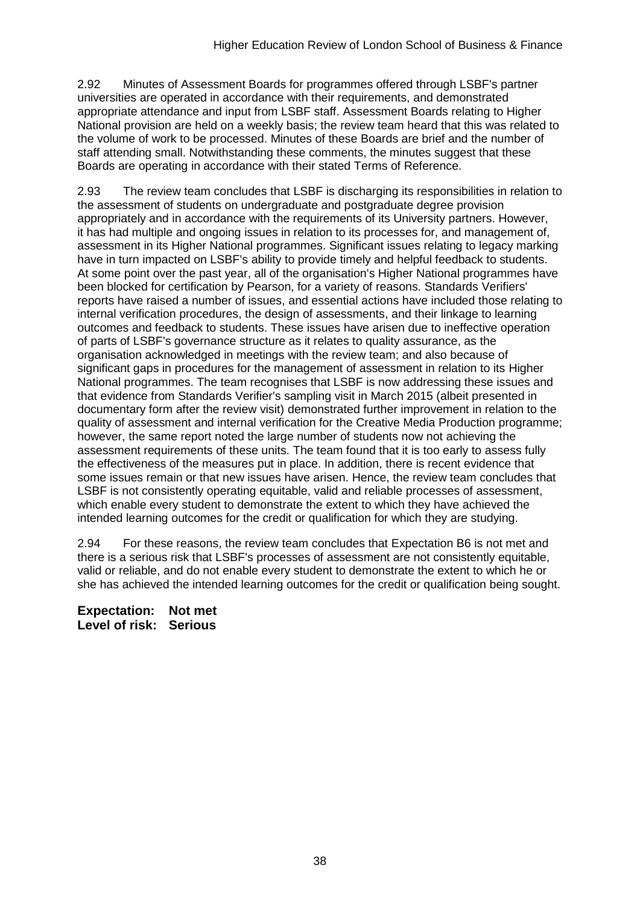2.92 Minutes of Assessment Boards for programmes offered through LSBF's partner universities are operated in accordance with their requirements, and demonstrated appropriate attendance and input from LSBF staff. Assessment Boards relating to Higher National provision are held on a weekly basis; the review team heard that this was related to the volume of work to be processed. Minutes of these Boards are brief and the number of staff attending small. Notwithstanding these comments, the minutes suggest that these Boards are operating in accordance with their stated Terms of Reference.

2.93 The review team concludes that LSBF is discharging its responsibilities in relation to the assessment of students on undergraduate and postgraduate degree provision appropriately and in accordance with the requirements of its University partners. However, it has had multiple and ongoing issues in relation to its processes for, and management of, assessment in its Higher National programmes. Significant issues relating to legacy marking have in turn impacted on LSBF's ability to provide timely and helpful feedback to students. At some point over the past year, all of the organisation's Higher National programmes have been blocked for certification by Pearson, for a variety of reasons. Standards Verifiers' reports have raised a number of issues, and essential actions have included those relating to internal verification procedures, the design of assessments, and their linkage to learning outcomes and feedback to students. These issues have arisen due to ineffective operation of parts of LSBF's governance structure as it relates to quality assurance, as the organisation acknowledged in meetings with the review team; and also because of significant gaps in procedures for the management of assessment in relation to its Higher National programmes. The team recognises that LSBF is now addressing these issues and that evidence from Standards Verifier's sampling visit in March 2015 (albeit presented in documentary form after the review visit) demonstrated further improvement in relation to the quality of assessment and internal verification for the Creative Media Production programme; however, the same report noted the large number of students now not achieving the assessment requirements of these units. The team found that it is too early to assess fully the effectiveness of the measures put in place. In addition, there is recent evidence that some issues remain or that new issues have arisen. Hence, the review team concludes that LSBF is not consistently operating equitable, valid and reliable processes of assessment, which enable every student to demonstrate the extent to which they have achieved the intended learning outcomes for the credit or qualification for which they are studying.

2.94 For these reasons, the review team concludes that Expectation B6 is not met and there is a serious risk that LSBF's processes of assessment are not consistently equitable, valid or reliable, and do not enable every student to demonstrate the extent to which he or she has achieved the intended learning outcomes for the credit or qualification being sought.

**Expectation: Not met Level of risk: Serious**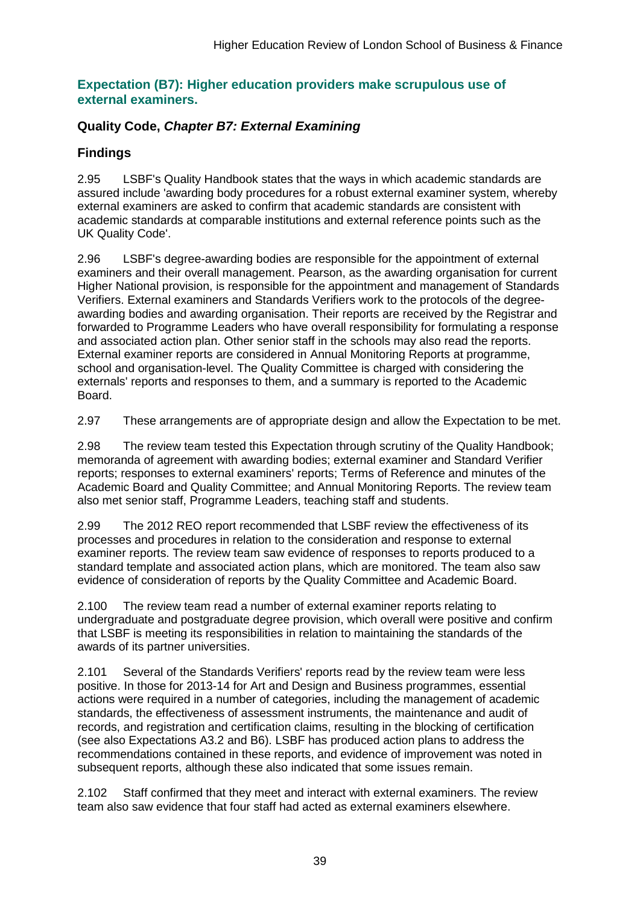### **Expectation (B7): Higher education providers make scrupulous use of external examiners.**

## **Quality Code,** *Chapter B7: External Examining*

## **Findings**

2.95 LSBF's Quality Handbook states that the ways in which academic standards are assured include 'awarding body procedures for a robust external examiner system, whereby external examiners are asked to confirm that academic standards are consistent with academic standards at comparable institutions and external reference points such as the UK Quality Code'.

2.96 LSBF's degree-awarding bodies are responsible for the appointment of external examiners and their overall management. Pearson, as the awarding organisation for current Higher National provision, is responsible for the appointment and management of Standards Verifiers. External examiners and Standards Verifiers work to the protocols of the degreeawarding bodies and awarding organisation. Their reports are received by the Registrar and forwarded to Programme Leaders who have overall responsibility for formulating a response and associated action plan. Other senior staff in the schools may also read the reports. External examiner reports are considered in Annual Monitoring Reports at programme, school and organisation-level. The Quality Committee is charged with considering the externals' reports and responses to them, and a summary is reported to the Academic Board.

2.97 These arrangements are of appropriate design and allow the Expectation to be met.

2.98 The review team tested this Expectation through scrutiny of the Quality Handbook; memoranda of agreement with awarding bodies; external examiner and Standard Verifier reports; responses to external examiners' reports; Terms of Reference and minutes of the Academic Board and Quality Committee; and Annual Monitoring Reports. The review team also met senior staff, Programme Leaders, teaching staff and students.

2.99 The 2012 REO report recommended that LSBF review the effectiveness of its processes and procedures in relation to the consideration and response to external examiner reports. The review team saw evidence of responses to reports produced to a standard template and associated action plans, which are monitored. The team also saw evidence of consideration of reports by the Quality Committee and Academic Board.

2.100 The review team read a number of external examiner reports relating to undergraduate and postgraduate degree provision, which overall were positive and confirm that LSBF is meeting its responsibilities in relation to maintaining the standards of the awards of its partner universities.

2.101 Several of the Standards Verifiers' reports read by the review team were less positive. In those for 2013-14 for Art and Design and Business programmes, essential actions were required in a number of categories, including the management of academic standards, the effectiveness of assessment instruments, the maintenance and audit of records, and registration and certification claims, resulting in the blocking of certification (see also Expectations A3.2 and B6). LSBF has produced action plans to address the recommendations contained in these reports, and evidence of improvement was noted in subsequent reports, although these also indicated that some issues remain.

2.102 Staff confirmed that they meet and interact with external examiners. The review team also saw evidence that four staff had acted as external examiners elsewhere.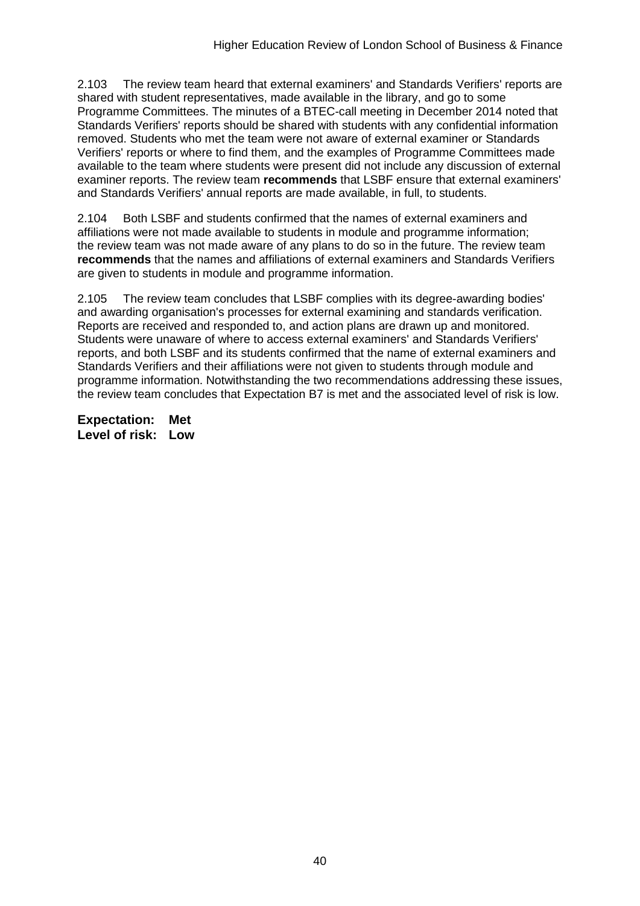2.103 The review team heard that external examiners' and Standards Verifiers' reports are shared with student representatives, made available in the library, and go to some Programme Committees. The minutes of a BTEC-call meeting in December 2014 noted that Standards Verifiers' reports should be shared with students with any confidential information removed. Students who met the team were not aware of external examiner or Standards Verifiers' reports or where to find them, and the examples of Programme Committees made available to the team where students were present did not include any discussion of external examiner reports. The review team **recommends** that LSBF ensure that external examiners' and Standards Verifiers' annual reports are made available, in full, to students.

2.104 Both LSBF and students confirmed that the names of external examiners and affiliations were not made available to students in module and programme information; the review team was not made aware of any plans to do so in the future. The review team **recommends** that the names and affiliations of external examiners and Standards Verifiers are given to students in module and programme information.

2.105 The review team concludes that LSBF complies with its degree-awarding bodies' and awarding organisation's processes for external examining and standards verification. Reports are received and responded to, and action plans are drawn up and monitored. Students were unaware of where to access external examiners' and Standards Verifiers' reports, and both LSBF and its students confirmed that the name of external examiners and Standards Verifiers and their affiliations were not given to students through module and programme information. Notwithstanding the two recommendations addressing these issues, the review team concludes that Expectation B7 is met and the associated level of risk is low.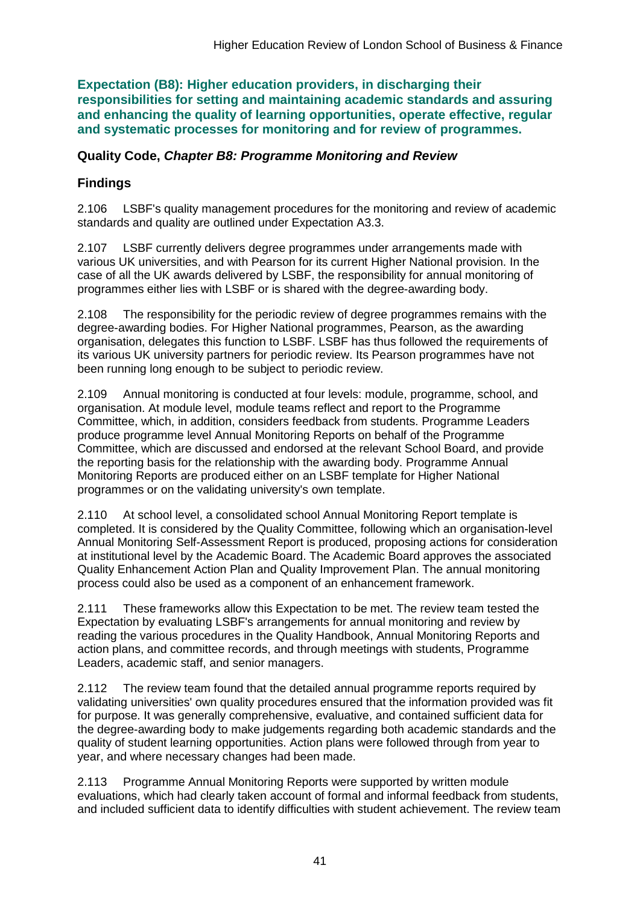**Expectation (B8): Higher education providers, in discharging their responsibilities for setting and maintaining academic standards and assuring and enhancing the quality of learning opportunities, operate effective, regular and systematic processes for monitoring and for review of programmes.**

### **Quality Code,** *Chapter B8: Programme Monitoring and Review*

## **Findings**

2.106 LSBF's quality management procedures for the monitoring and review of academic standards and quality are outlined under Expectation A3.3.

2.107 LSBF currently delivers degree programmes under arrangements made with various UK universities, and with Pearson for its current Higher National provision. In the case of all the UK awards delivered by LSBF, the responsibility for annual monitoring of programmes either lies with LSBF or is shared with the degree-awarding body.

2.108 The responsibility for the periodic review of degree programmes remains with the degree-awarding bodies. For Higher National programmes, Pearson, as the awarding organisation, delegates this function to LSBF. LSBF has thus followed the requirements of its various UK university partners for periodic review. Its Pearson programmes have not been running long enough to be subject to periodic review.

2.109 Annual monitoring is conducted at four levels: module, programme, school, and organisation. At module level, module teams reflect and report to the Programme Committee, which, in addition, considers feedback from students. Programme Leaders produce programme level Annual Monitoring Reports on behalf of the Programme Committee, which are discussed and endorsed at the relevant School Board, and provide the reporting basis for the relationship with the awarding body. Programme Annual Monitoring Reports are produced either on an LSBF template for Higher National programmes or on the validating university's own template.

2.110 At school level, a consolidated school Annual Monitoring Report template is completed. It is considered by the Quality Committee, following which an organisation-level Annual Monitoring Self-Assessment Report is produced, proposing actions for consideration at institutional level by the Academic Board. The Academic Board approves the associated Quality Enhancement Action Plan and Quality Improvement Plan. The annual monitoring process could also be used as a component of an enhancement framework.

2.111 These frameworks allow this Expectation to be met. The review team tested the Expectation by evaluating LSBF's arrangements for annual monitoring and review by reading the various procedures in the Quality Handbook, Annual Monitoring Reports and action plans, and committee records, and through meetings with students, Programme Leaders, academic staff, and senior managers.

2.112 The review team found that the detailed annual programme reports required by validating universities' own quality procedures ensured that the information provided was fit for purpose. It was generally comprehensive, evaluative, and contained sufficient data for the degree-awarding body to make judgements regarding both academic standards and the quality of student learning opportunities. Action plans were followed through from year to year, and where necessary changes had been made.

2.113 Programme Annual Monitoring Reports were supported by written module evaluations, which had clearly taken account of formal and informal feedback from students, and included sufficient data to identify difficulties with student achievement. The review team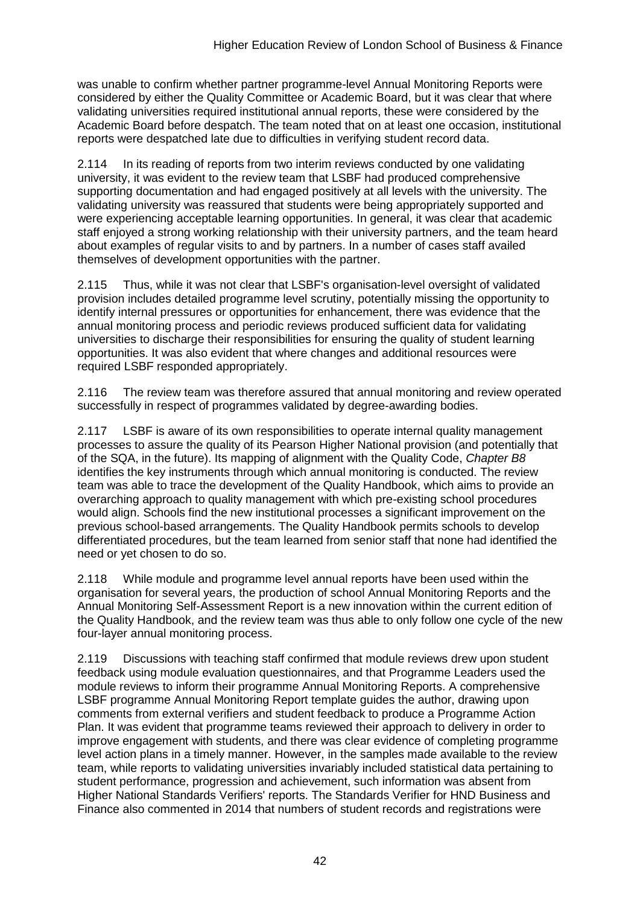was unable to confirm whether partner programme-level Annual Monitoring Reports were considered by either the Quality Committee or Academic Board, but it was clear that where validating universities required institutional annual reports, these were considered by the Academic Board before despatch. The team noted that on at least one occasion, institutional reports were despatched late due to difficulties in verifying student record data.

2.114 In its reading of reports from two interim reviews conducted by one validating university, it was evident to the review team that LSBF had produced comprehensive supporting documentation and had engaged positively at all levels with the university. The validating university was reassured that students were being appropriately supported and were experiencing acceptable learning opportunities. In general, it was clear that academic staff enjoyed a strong working relationship with their university partners, and the team heard about examples of regular visits to and by partners. In a number of cases staff availed themselves of development opportunities with the partner.

2.115 Thus, while it was not clear that LSBF's organisation-level oversight of validated provision includes detailed programme level scrutiny, potentially missing the opportunity to identify internal pressures or opportunities for enhancement, there was evidence that the annual monitoring process and periodic reviews produced sufficient data for validating universities to discharge their responsibilities for ensuring the quality of student learning opportunities. It was also evident that where changes and additional resources were required LSBF responded appropriately.

2.116 The review team was therefore assured that annual monitoring and review operated successfully in respect of programmes validated by degree-awarding bodies.

2.117 LSBF is aware of its own responsibilities to operate internal quality management processes to assure the quality of its Pearson Higher National provision (and potentially that of the SQA, in the future). Its mapping of alignment with the Quality Code, *Chapter B8* identifies the key instruments through which annual monitoring is conducted. The review team was able to trace the development of the Quality Handbook, which aims to provide an overarching approach to quality management with which pre-existing school procedures would align. Schools find the new institutional processes a significant improvement on the previous school-based arrangements. The Quality Handbook permits schools to develop differentiated procedures, but the team learned from senior staff that none had identified the need or yet chosen to do so.

2.118 While module and programme level annual reports have been used within the organisation for several years, the production of school Annual Monitoring Reports and the Annual Monitoring Self-Assessment Report is a new innovation within the current edition of the Quality Handbook, and the review team was thus able to only follow one cycle of the new four-layer annual monitoring process.

2.119 Discussions with teaching staff confirmed that module reviews drew upon student feedback using module evaluation questionnaires, and that Programme Leaders used the module reviews to inform their programme Annual Monitoring Reports. A comprehensive LSBF programme Annual Monitoring Report template guides the author, drawing upon comments from external verifiers and student feedback to produce a Programme Action Plan. It was evident that programme teams reviewed their approach to delivery in order to improve engagement with students, and there was clear evidence of completing programme level action plans in a timely manner. However, in the samples made available to the review team, while reports to validating universities invariably included statistical data pertaining to student performance, progression and achievement, such information was absent from Higher National Standards Verifiers' reports. The Standards Verifier for HND Business and Finance also commented in 2014 that numbers of student records and registrations were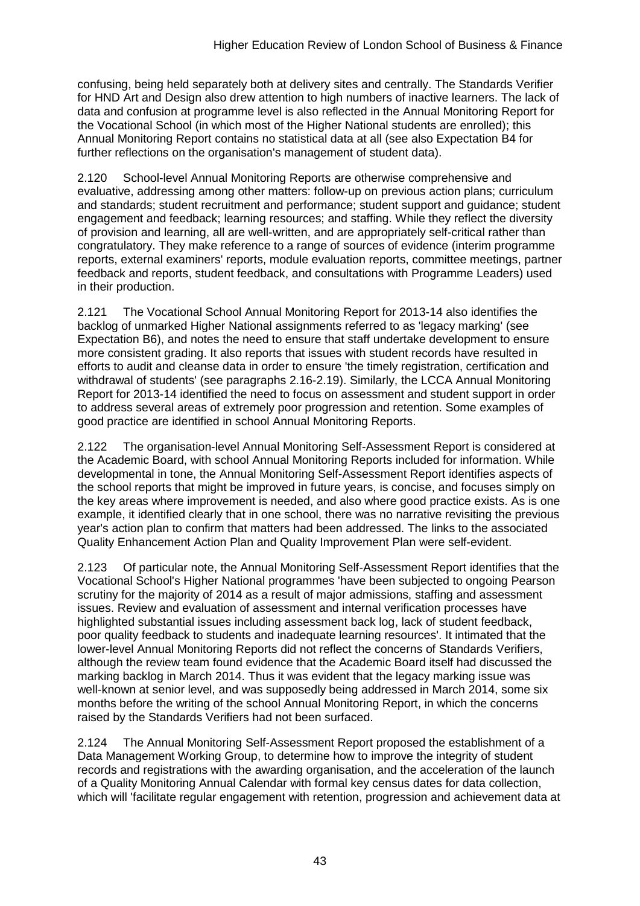confusing, being held separately both at delivery sites and centrally. The Standards Verifier for HND Art and Design also drew attention to high numbers of inactive learners. The lack of data and confusion at programme level is also reflected in the Annual Monitoring Report for the Vocational School (in which most of the Higher National students are enrolled); this Annual Monitoring Report contains no statistical data at all (see also Expectation B4 for further reflections on the organisation's management of student data).

2.120 School-level Annual Monitoring Reports are otherwise comprehensive and evaluative, addressing among other matters: follow-up on previous action plans; curriculum and standards; student recruitment and performance; student support and guidance; student engagement and feedback; learning resources; and staffing. While they reflect the diversity of provision and learning, all are well-written, and are appropriately self-critical rather than congratulatory. They make reference to a range of sources of evidence (interim programme reports, external examiners' reports, module evaluation reports, committee meetings, partner feedback and reports, student feedback, and consultations with Programme Leaders) used in their production.

2.121 The Vocational School Annual Monitoring Report for 2013-14 also identifies the backlog of unmarked Higher National assignments referred to as 'legacy marking' (see Expectation B6), and notes the need to ensure that staff undertake development to ensure more consistent grading. It also reports that issues with student records have resulted in efforts to audit and cleanse data in order to ensure 'the timely registration, certification and withdrawal of students' (see paragraphs 2.16-2.19). Similarly, the LCCA Annual Monitoring Report for 2013-14 identified the need to focus on assessment and student support in order to address several areas of extremely poor progression and retention. Some examples of good practice are identified in school Annual Monitoring Reports.

2.122 The organisation-level Annual Monitoring Self-Assessment Report is considered at the Academic Board, with school Annual Monitoring Reports included for information. While developmental in tone, the Annual Monitoring Self-Assessment Report identifies aspects of the school reports that might be improved in future years, is concise, and focuses simply on the key areas where improvement is needed, and also where good practice exists. As is one example, it identified clearly that in one school, there was no narrative revisiting the previous year's action plan to confirm that matters had been addressed. The links to the associated Quality Enhancement Action Plan and Quality Improvement Plan were self-evident.

2.123 Of particular note, the Annual Monitoring Self-Assessment Report identifies that the Vocational School's Higher National programmes 'have been subjected to ongoing Pearson scrutiny for the majority of 2014 as a result of major admissions, staffing and assessment issues. Review and evaluation of assessment and internal verification processes have highlighted substantial issues including assessment back log, lack of student feedback, poor quality feedback to students and inadequate learning resources'. It intimated that the lower-level Annual Monitoring Reports did not reflect the concerns of Standards Verifiers, although the review team found evidence that the Academic Board itself had discussed the marking backlog in March 2014. Thus it was evident that the legacy marking issue was well-known at senior level, and was supposedly being addressed in March 2014, some six months before the writing of the school Annual Monitoring Report, in which the concerns raised by the Standards Verifiers had not been surfaced.

2.124 The Annual Monitoring Self-Assessment Report proposed the establishment of a Data Management Working Group, to determine how to improve the integrity of student records and registrations with the awarding organisation, and the acceleration of the launch of a Quality Monitoring Annual Calendar with formal key census dates for data collection, which will 'facilitate regular engagement with retention, progression and achievement data at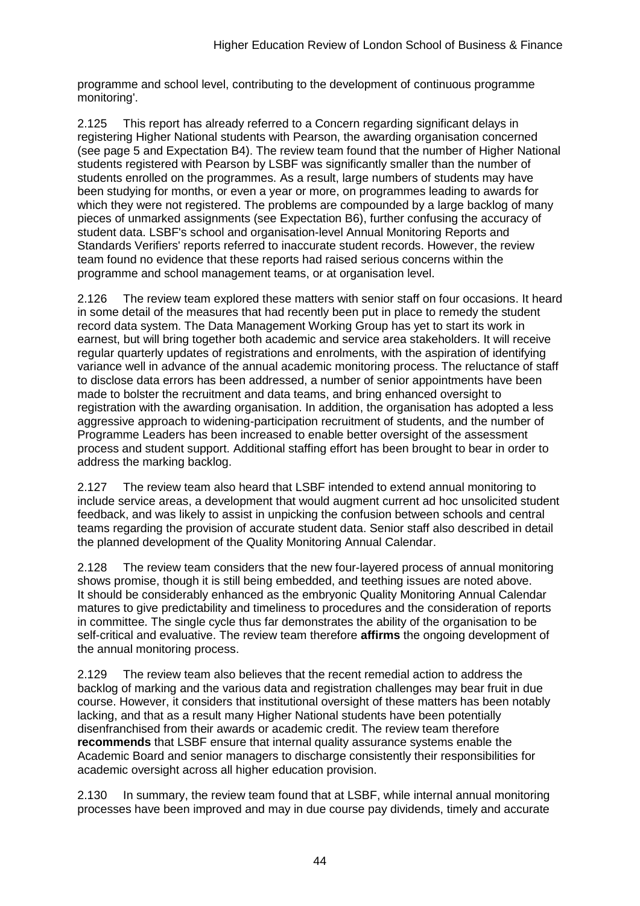programme and school level, contributing to the development of continuous programme monitoring'.

2.125 This report has already referred to a Concern regarding significant delays in registering Higher National students with Pearson, the awarding organisation concerned (see page 5 and Expectation B4). The review team found that the number of Higher National students registered with Pearson by LSBF was significantly smaller than the number of students enrolled on the programmes. As a result, large numbers of students may have been studying for months, or even a year or more, on programmes leading to awards for which they were not registered. The problems are compounded by a large backlog of many pieces of unmarked assignments (see Expectation B6), further confusing the accuracy of student data. LSBF's school and organisation-level Annual Monitoring Reports and Standards Verifiers' reports referred to inaccurate student records. However, the review team found no evidence that these reports had raised serious concerns within the programme and school management teams, or at organisation level.

2.126 The review team explored these matters with senior staff on four occasions. It heard in some detail of the measures that had recently been put in place to remedy the student record data system. The Data Management Working Group has yet to start its work in earnest, but will bring together both academic and service area stakeholders. It will receive regular quarterly updates of registrations and enrolments, with the aspiration of identifying variance well in advance of the annual academic monitoring process. The reluctance of staff to disclose data errors has been addressed, a number of senior appointments have been made to bolster the recruitment and data teams, and bring enhanced oversight to registration with the awarding organisation. In addition, the organisation has adopted a less aggressive approach to widening-participation recruitment of students, and the number of Programme Leaders has been increased to enable better oversight of the assessment process and student support. Additional staffing effort has been brought to bear in order to address the marking backlog.

2.127 The review team also heard that LSBF intended to extend annual monitoring to include service areas, a development that would augment current ad hoc unsolicited student feedback, and was likely to assist in unpicking the confusion between schools and central teams regarding the provision of accurate student data. Senior staff also described in detail the planned development of the Quality Monitoring Annual Calendar.

2.128 The review team considers that the new four-layered process of annual monitoring shows promise, though it is still being embedded, and teething issues are noted above. It should be considerably enhanced as the embryonic Quality Monitoring Annual Calendar matures to give predictability and timeliness to procedures and the consideration of reports in committee. The single cycle thus far demonstrates the ability of the organisation to be self-critical and evaluative. The review team therefore **affirms** the ongoing development of the annual monitoring process.

2.129 The review team also believes that the recent remedial action to address the backlog of marking and the various data and registration challenges may bear fruit in due course. However, it considers that institutional oversight of these matters has been notably lacking, and that as a result many Higher National students have been potentially disenfranchised from their awards or academic credit. The review team therefore **recommends** that LSBF ensure that internal quality assurance systems enable the Academic Board and senior managers to discharge consistently their responsibilities for academic oversight across all higher education provision.

2.130 In summary, the review team found that at LSBF, while internal annual monitoring processes have been improved and may in due course pay dividends, timely and accurate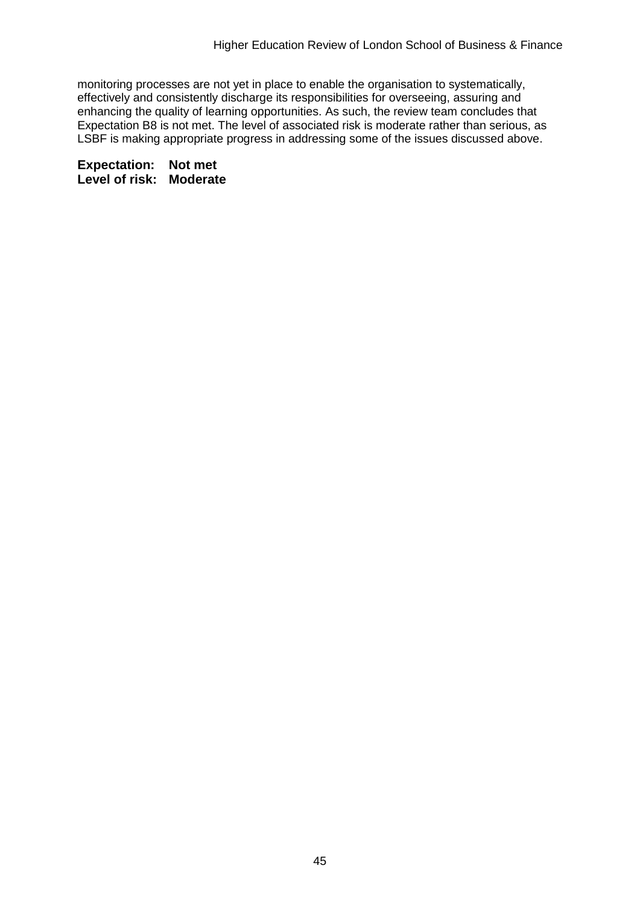monitoring processes are not yet in place to enable the organisation to systematically, effectively and consistently discharge its responsibilities for overseeing, assuring and enhancing the quality of learning opportunities. As such, the review team concludes that Expectation B8 is not met. The level of associated risk is moderate rather than serious, as LSBF is making appropriate progress in addressing some of the issues discussed above.

**Expectation: Not met Level of risk: Moderate**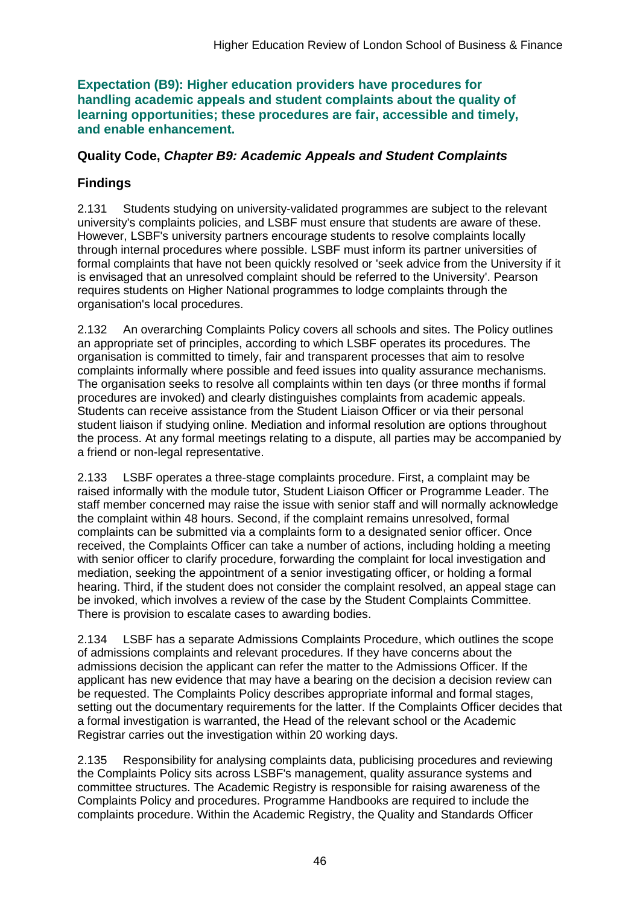**Expectation (B9): Higher education providers have procedures for handling academic appeals and student complaints about the quality of learning opportunities; these procedures are fair, accessible and timely, and enable enhancement.**

### **Quality Code,** *Chapter B9: Academic Appeals and Student Complaints*

## **Findings**

2.131 Students studying on university-validated programmes are subject to the relevant university's complaints policies, and LSBF must ensure that students are aware of these. However, LSBF's university partners encourage students to resolve complaints locally through internal procedures where possible. LSBF must inform its partner universities of formal complaints that have not been quickly resolved or 'seek advice from the University if it is envisaged that an unresolved complaint should be referred to the University'. Pearson requires students on Higher National programmes to lodge complaints through the organisation's local procedures.

2.132 An overarching Complaints Policy covers all schools and sites. The Policy outlines an appropriate set of principles, according to which LSBF operates its procedures. The organisation is committed to timely, fair and transparent processes that aim to resolve complaints informally where possible and feed issues into quality assurance mechanisms. The organisation seeks to resolve all complaints within ten days (or three months if formal procedures are invoked) and clearly distinguishes complaints from academic appeals. Students can receive assistance from the Student Liaison Officer or via their personal student liaison if studying online. Mediation and informal resolution are options throughout the process. At any formal meetings relating to a dispute, all parties may be accompanied by a friend or non-legal representative.

2.133 LSBF operates a three-stage complaints procedure. First, a complaint may be raised informally with the module tutor, Student Liaison Officer or Programme Leader. The staff member concerned may raise the issue with senior staff and will normally acknowledge the complaint within 48 hours. Second, if the complaint remains unresolved, formal complaints can be submitted via a complaints form to a designated senior officer. Once received, the Complaints Officer can take a number of actions, including holding a meeting with senior officer to clarify procedure, forwarding the complaint for local investigation and mediation, seeking the appointment of a senior investigating officer, or holding a formal hearing. Third, if the student does not consider the complaint resolved, an appeal stage can be invoked, which involves a review of the case by the Student Complaints Committee. There is provision to escalate cases to awarding bodies.

2.134 LSBF has a separate Admissions Complaints Procedure, which outlines the scope of admissions complaints and relevant procedures. If they have concerns about the admissions decision the applicant can refer the matter to the Admissions Officer. If the applicant has new evidence that may have a bearing on the decision a decision review can be requested. The Complaints Policy describes appropriate informal and formal stages, setting out the documentary requirements for the latter. If the Complaints Officer decides that a formal investigation is warranted, the Head of the relevant school or the Academic Registrar carries out the investigation within 20 working days.

2.135 Responsibility for analysing complaints data, publicising procedures and reviewing the Complaints Policy sits across LSBF's management, quality assurance systems and committee structures. The Academic Registry is responsible for raising awareness of the Complaints Policy and procedures. Programme Handbooks are required to include the complaints procedure. Within the Academic Registry, the Quality and Standards Officer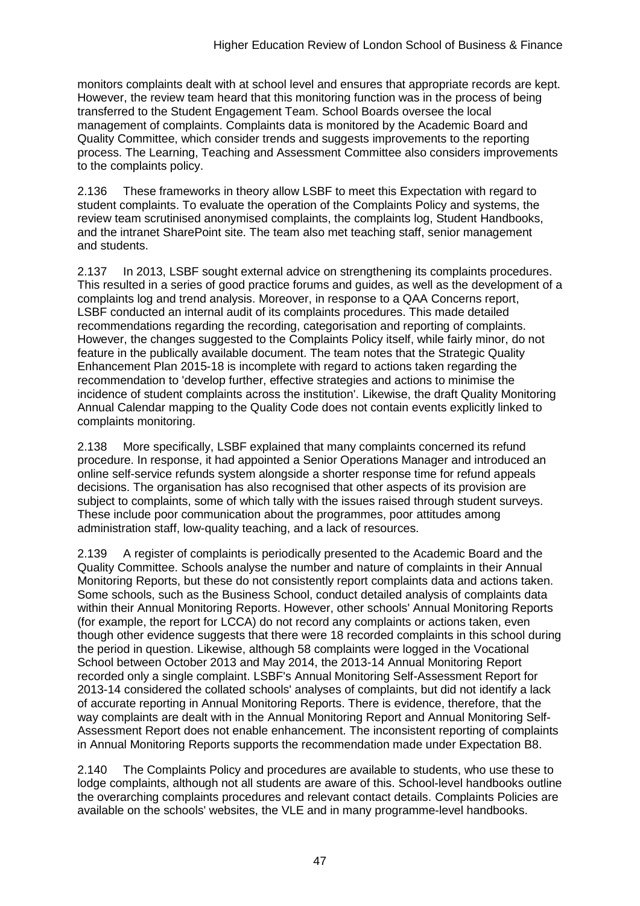monitors complaints dealt with at school level and ensures that appropriate records are kept. However, the review team heard that this monitoring function was in the process of being transferred to the Student Engagement Team. School Boards oversee the local management of complaints. Complaints data is monitored by the Academic Board and Quality Committee, which consider trends and suggests improvements to the reporting process. The Learning, Teaching and Assessment Committee also considers improvements to the complaints policy.

2.136 These frameworks in theory allow LSBF to meet this Expectation with regard to student complaints. To evaluate the operation of the Complaints Policy and systems, the review team scrutinised anonymised complaints, the complaints log, Student Handbooks, and the intranet SharePoint site. The team also met teaching staff, senior management and students.

2.137 In 2013, LSBF sought external advice on strengthening its complaints procedures. This resulted in a series of good practice forums and guides, as well as the development of a complaints log and trend analysis. Moreover, in response to a QAA Concerns report, LSBF conducted an internal audit of its complaints procedures. This made detailed recommendations regarding the recording, categorisation and reporting of complaints. However, the changes suggested to the Complaints Policy itself, while fairly minor, do not feature in the publically available document. The team notes that the Strategic Quality Enhancement Plan 2015-18 is incomplete with regard to actions taken regarding the recommendation to 'develop further, effective strategies and actions to minimise the incidence of student complaints across the institution'. Likewise, the draft Quality Monitoring Annual Calendar mapping to the Quality Code does not contain events explicitly linked to complaints monitoring.

2.138 More specifically, LSBF explained that many complaints concerned its refund procedure. In response, it had appointed a Senior Operations Manager and introduced an online self-service refunds system alongside a shorter response time for refund appeals decisions. The organisation has also recognised that other aspects of its provision are subject to complaints, some of which tally with the issues raised through student surveys. These include poor communication about the programmes, poor attitudes among administration staff, low-quality teaching, and a lack of resources.

2.139 A register of complaints is periodically presented to the Academic Board and the Quality Committee. Schools analyse the number and nature of complaints in their Annual Monitoring Reports, but these do not consistently report complaints data and actions taken. Some schools, such as the Business School, conduct detailed analysis of complaints data within their Annual Monitoring Reports. However, other schools' Annual Monitoring Reports (for example, the report for LCCA) do not record any complaints or actions taken, even though other evidence suggests that there were 18 recorded complaints in this school during the period in question. Likewise, although 58 complaints were logged in the Vocational School between October 2013 and May 2014, the 2013-14 Annual Monitoring Report recorded only a single complaint. LSBF's Annual Monitoring Self-Assessment Report for 2013-14 considered the collated schools' analyses of complaints, but did not identify a lack of accurate reporting in Annual Monitoring Reports. There is evidence, therefore, that the way complaints are dealt with in the Annual Monitoring Report and Annual Monitoring Self-Assessment Report does not enable enhancement. The inconsistent reporting of complaints in Annual Monitoring Reports supports the recommendation made under Expectation B8.

2.140 The Complaints Policy and procedures are available to students, who use these to lodge complaints, although not all students are aware of this. School-level handbooks outline the overarching complaints procedures and relevant contact details. Complaints Policies are available on the schools' websites, the VLE and in many programme-level handbooks.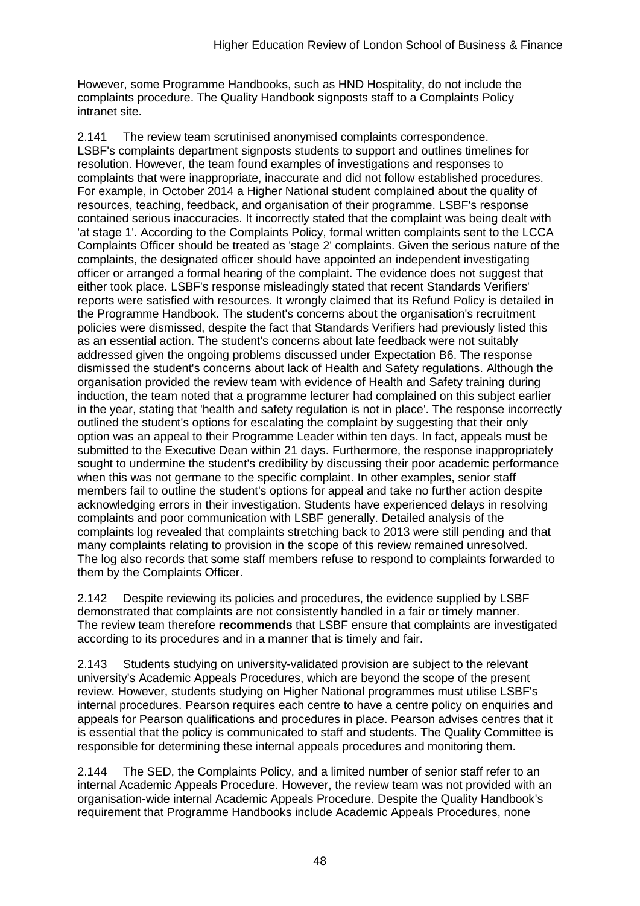However, some Programme Handbooks, such as HND Hospitality, do not include the complaints procedure. The Quality Handbook signposts staff to a Complaints Policy intranet site.

2.141 The review team scrutinised anonymised complaints correspondence. LSBF's complaints department signposts students to support and outlines timelines for resolution. However, the team found examples of investigations and responses to complaints that were inappropriate, inaccurate and did not follow established procedures. For example, in October 2014 a Higher National student complained about the quality of resources, teaching, feedback, and organisation of their programme. LSBF's response contained serious inaccuracies. It incorrectly stated that the complaint was being dealt with 'at stage 1'. According to the Complaints Policy, formal written complaints sent to the LCCA Complaints Officer should be treated as 'stage 2' complaints. Given the serious nature of the complaints, the designated officer should have appointed an independent investigating officer or arranged a formal hearing of the complaint. The evidence does not suggest that either took place. LSBF's response misleadingly stated that recent Standards Verifiers' reports were satisfied with resources. It wrongly claimed that its Refund Policy is detailed in the Programme Handbook. The student's concerns about the organisation's recruitment policies were dismissed, despite the fact that Standards Verifiers had previously listed this as an essential action. The student's concerns about late feedback were not suitably addressed given the ongoing problems discussed under Expectation B6. The response dismissed the student's concerns about lack of Health and Safety regulations. Although the organisation provided the review team with evidence of Health and Safety training during induction, the team noted that a programme lecturer had complained on this subject earlier in the year, stating that 'health and safety regulation is not in place'. The response incorrectly outlined the student's options for escalating the complaint by suggesting that their only option was an appeal to their Programme Leader within ten days. In fact, appeals must be submitted to the Executive Dean within 21 days. Furthermore, the response inappropriately sought to undermine the student's credibility by discussing their poor academic performance when this was not germane to the specific complaint. In other examples, senior staff members fail to outline the student's options for appeal and take no further action despite acknowledging errors in their investigation. Students have experienced delays in resolving complaints and poor communication with LSBF generally. Detailed analysis of the complaints log revealed that complaints stretching back to 2013 were still pending and that many complaints relating to provision in the scope of this review remained unresolved. The log also records that some staff members refuse to respond to complaints forwarded to them by the Complaints Officer.

2.142 Despite reviewing its policies and procedures, the evidence supplied by LSBF demonstrated that complaints are not consistently handled in a fair or timely manner. The review team therefore **recommends** that LSBF ensure that complaints are investigated according to its procedures and in a manner that is timely and fair.

2.143 Students studying on university-validated provision are subject to the relevant university's Academic Appeals Procedures, which are beyond the scope of the present review. However, students studying on Higher National programmes must utilise LSBF's internal procedures. Pearson requires each centre to have a centre policy on enquiries and appeals for Pearson qualifications and procedures in place. Pearson advises centres that it is essential that the policy is communicated to staff and students. The Quality Committee is responsible for determining these internal appeals procedures and monitoring them.

2.144 The SED, the Complaints Policy, and a limited number of senior staff refer to an internal Academic Appeals Procedure. However, the review team was not provided with an organisation-wide internal Academic Appeals Procedure. Despite the Quality Handbook's requirement that Programme Handbooks include Academic Appeals Procedures, none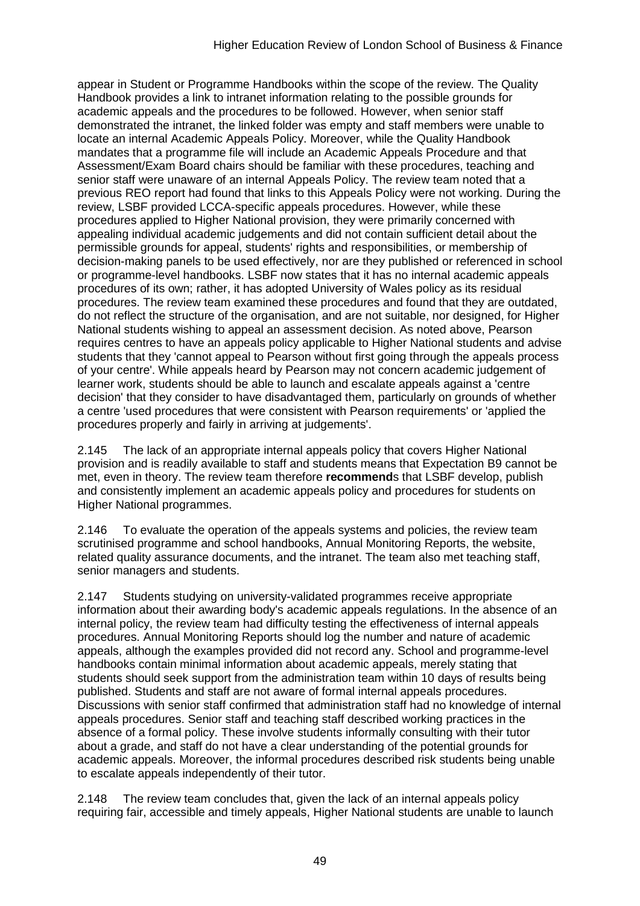appear in Student or Programme Handbooks within the scope of the review. The Quality Handbook provides a link to intranet information relating to the possible grounds for academic appeals and the procedures to be followed. However, when senior staff demonstrated the intranet, the linked folder was empty and staff members were unable to locate an internal Academic Appeals Policy. Moreover, while the Quality Handbook mandates that a programme file will include an Academic Appeals Procedure and that Assessment/Exam Board chairs should be familiar with these procedures, teaching and senior staff were unaware of an internal Appeals Policy. The review team noted that a previous REO report had found that links to this Appeals Policy were not working. During the review, LSBF provided LCCA-specific appeals procedures. However, while these procedures applied to Higher National provision, they were primarily concerned with appealing individual academic judgements and did not contain sufficient detail about the permissible grounds for appeal, students' rights and responsibilities, or membership of decision-making panels to be used effectively, nor are they published or referenced in school or programme-level handbooks. LSBF now states that it has no internal academic appeals procedures of its own; rather, it has adopted University of Wales policy as its residual procedures. The review team examined these procedures and found that they are outdated, do not reflect the structure of the organisation, and are not suitable, nor designed, for Higher National students wishing to appeal an assessment decision. As noted above, Pearson requires centres to have an appeals policy applicable to Higher National students and advise students that they 'cannot appeal to Pearson without first going through the appeals process of your centre'. While appeals heard by Pearson may not concern academic judgement of learner work, students should be able to launch and escalate appeals against a 'centre decision' that they consider to have disadvantaged them, particularly on grounds of whether a centre 'used procedures that were consistent with Pearson requirements' or 'applied the procedures properly and fairly in arriving at judgements'.

2.145 The lack of an appropriate internal appeals policy that covers Higher National provision and is readily available to staff and students means that Expectation B9 cannot be met, even in theory. The review team therefore **recommend**s that LSBF develop, publish and consistently implement an academic appeals policy and procedures for students on Higher National programmes.

2.146 To evaluate the operation of the appeals systems and policies, the review team scrutinised programme and school handbooks, Annual Monitoring Reports, the website, related quality assurance documents, and the intranet. The team also met teaching staff, senior managers and students.

2.147 Students studying on university-validated programmes receive appropriate information about their awarding body's academic appeals regulations. In the absence of an internal policy, the review team had difficulty testing the effectiveness of internal appeals procedures. Annual Monitoring Reports should log the number and nature of academic appeals, although the examples provided did not record any. School and programme-level handbooks contain minimal information about academic appeals, merely stating that students should seek support from the administration team within 10 days of results being published. Students and staff are not aware of formal internal appeals procedures. Discussions with senior staff confirmed that administration staff had no knowledge of internal appeals procedures. Senior staff and teaching staff described working practices in the absence of a formal policy. These involve students informally consulting with their tutor about a grade, and staff do not have a clear understanding of the potential grounds for academic appeals. Moreover, the informal procedures described risk students being unable to escalate appeals independently of their tutor.

2.148 The review team concludes that, given the lack of an internal appeals policy requiring fair, accessible and timely appeals, Higher National students are unable to launch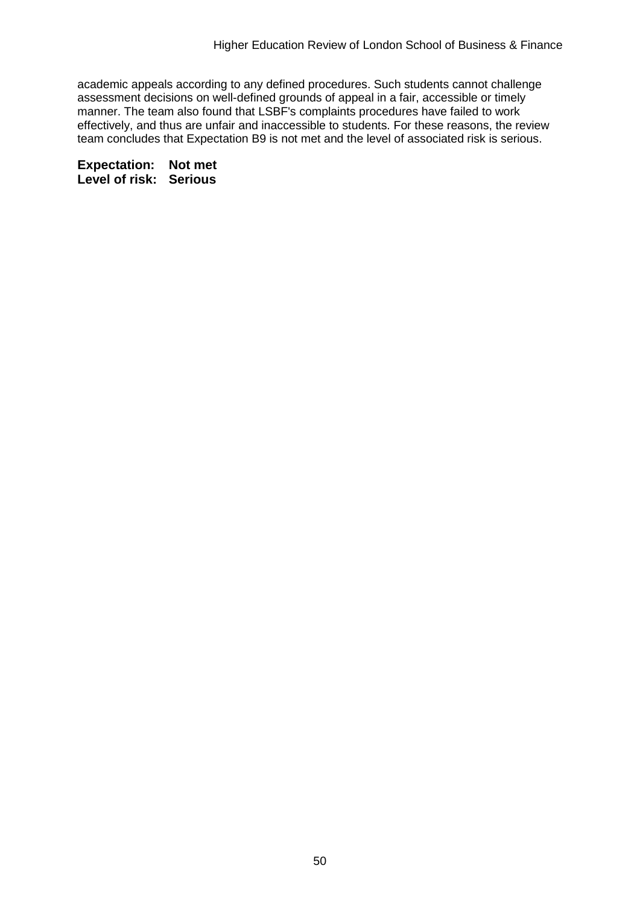academic appeals according to any defined procedures. Such students cannot challenge assessment decisions on well-defined grounds of appeal in a fair, accessible or timely manner. The team also found that LSBF's complaints procedures have failed to work effectively, and thus are unfair and inaccessible to students. For these reasons, the review team concludes that Expectation B9 is not met and the level of associated risk is serious.

**Expectation: Not met Level of risk: Serious**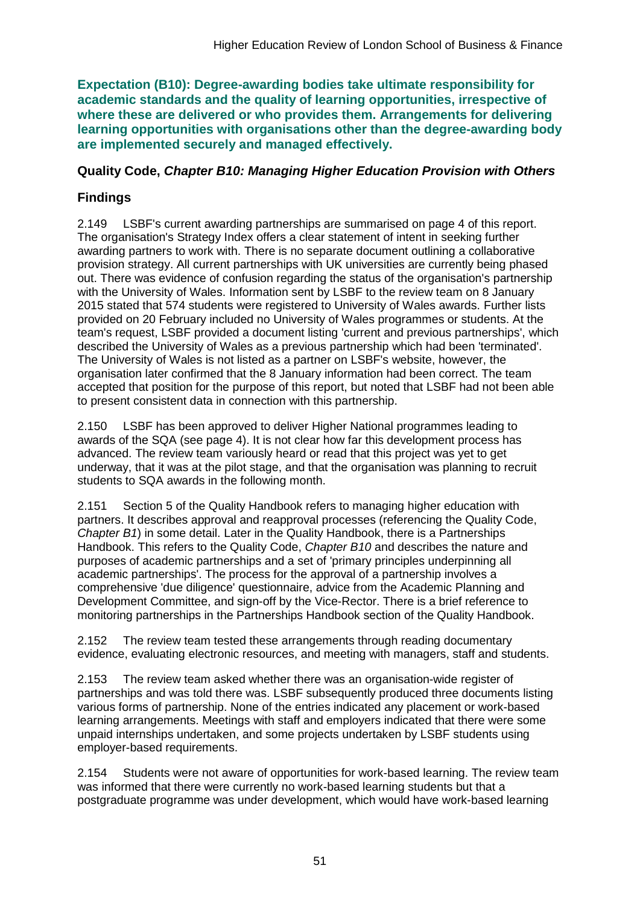**Expectation (B10): Degree-awarding bodies take ultimate responsibility for academic standards and the quality of learning opportunities, irrespective of where these are delivered or who provides them. Arrangements for delivering learning opportunities with organisations other than the degree-awarding body are implemented securely and managed effectively.**

### **Quality Code,** *Chapter B10: Managing Higher Education Provision with Others*

## **Findings**

2.149 LSBF's current awarding partnerships are summarised on page 4 of this report. The organisation's Strategy Index offers a clear statement of intent in seeking further awarding partners to work with. There is no separate document outlining a collaborative provision strategy. All current partnerships with UK universities are currently being phased out. There was evidence of confusion regarding the status of the organisation's partnership with the University of Wales. Information sent by LSBF to the review team on 8 January 2015 stated that 574 students were registered to University of Wales awards. Further lists provided on 20 February included no University of Wales programmes or students. At the team's request, LSBF provided a document listing 'current and previous partnerships', which described the University of Wales as a previous partnership which had been 'terminated'. The University of Wales is not listed as a partner on LSBF's website, however, the organisation later confirmed that the 8 January information had been correct. The team accepted that position for the purpose of this report, but noted that LSBF had not been able to present consistent data in connection with this partnership.

2.150 LSBF has been approved to deliver Higher National programmes leading to awards of the SQA (see page 4). It is not clear how far this development process has advanced. The review team variously heard or read that this project was yet to get underway, that it was at the pilot stage, and that the organisation was planning to recruit students to SQA awards in the following month.

2.151 Section 5 of the Quality Handbook refers to managing higher education with partners. It describes approval and reapproval processes (referencing the Quality Code, *Chapter B1*) in some detail. Later in the Quality Handbook, there is a Partnerships Handbook. This refers to the Quality Code, *Chapter B10* and describes the nature and purposes of academic partnerships and a set of 'primary principles underpinning all academic partnerships'. The process for the approval of a partnership involves a comprehensive 'due diligence' questionnaire, advice from the Academic Planning and Development Committee, and sign-off by the Vice-Rector. There is a brief reference to monitoring partnerships in the Partnerships Handbook section of the Quality Handbook.

2.152 The review team tested these arrangements through reading documentary evidence, evaluating electronic resources, and meeting with managers, staff and students.

2.153 The review team asked whether there was an organisation-wide register of partnerships and was told there was. LSBF subsequently produced three documents listing various forms of partnership. None of the entries indicated any placement or work-based learning arrangements. Meetings with staff and employers indicated that there were some unpaid internships undertaken, and some projects undertaken by LSBF students using employer-based requirements.

2.154 Students were not aware of opportunities for work-based learning. The review team was informed that there were currently no work-based learning students but that a postgraduate programme was under development, which would have work-based learning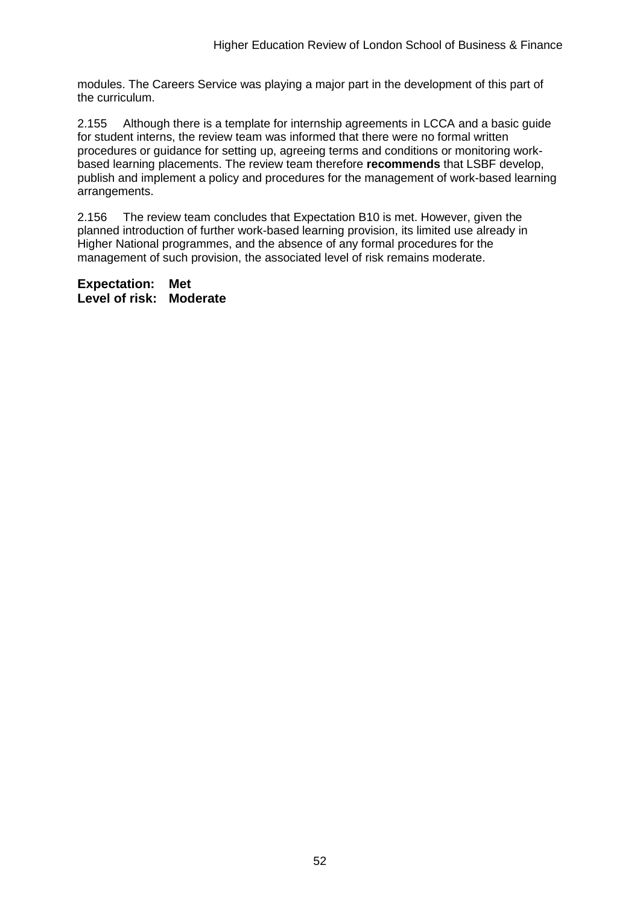modules. The Careers Service was playing a major part in the development of this part of the curriculum.

2.155 Although there is a template for internship agreements in LCCA and a basic guide for student interns, the review team was informed that there were no formal written procedures or guidance for setting up, agreeing terms and conditions or monitoring workbased learning placements. The review team therefore **recommends** that LSBF develop, publish and implement a policy and procedures for the management of work-based learning arrangements.

2.156 The review team concludes that Expectation B10 is met. However, given the planned introduction of further work-based learning provision, its limited use already in Higher National programmes, and the absence of any formal procedures for the management of such provision, the associated level of risk remains moderate.

**Expectation: Met Level of risk: Moderate**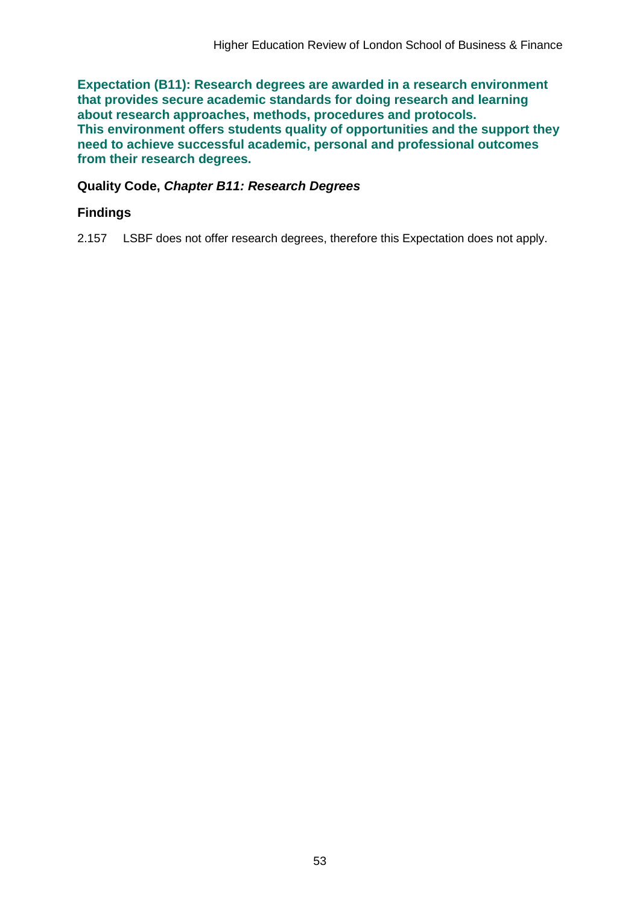**Expectation (B11): Research degrees are awarded in a research environment that provides secure academic standards for doing research and learning about research approaches, methods, procedures and protocols. This environment offers students quality of opportunities and the support they need to achieve successful academic, personal and professional outcomes from their research degrees.**

#### **Quality Code,** *Chapter B11: Research Degrees*

### **Findings**

2.157 LSBF does not offer research degrees, therefore this Expectation does not apply.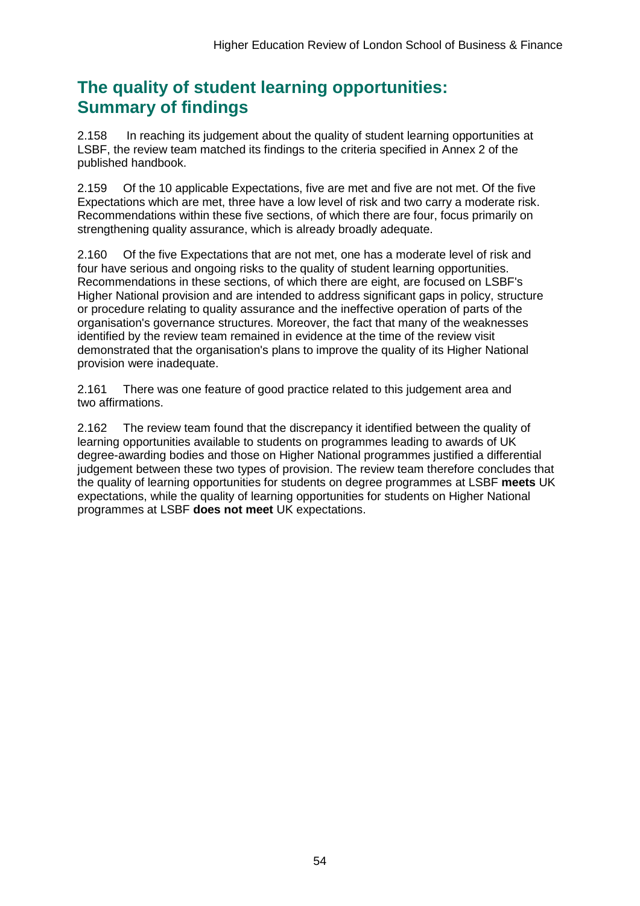## **The quality of student learning opportunities: Summary of findings**

2.158 In reaching its judgement about the quality of student learning opportunities at LSBF, the review team matched its findings to the criteria specified in Annex 2 of the published handbook.

2.159 Of the 10 applicable Expectations, five are met and five are not met. Of the five Expectations which are met, three have a low level of risk and two carry a moderate risk. Recommendations within these five sections, of which there are four, focus primarily on strengthening quality assurance, which is already broadly adequate.

2.160 Of the five Expectations that are not met, one has a moderate level of risk and four have serious and ongoing risks to the quality of student learning opportunities. Recommendations in these sections, of which there are eight, are focused on LSBF's Higher National provision and are intended to address significant gaps in policy, structure or procedure relating to quality assurance and the ineffective operation of parts of the organisation's governance structures. Moreover, the fact that many of the weaknesses identified by the review team remained in evidence at the time of the review visit demonstrated that the organisation's plans to improve the quality of its Higher National provision were inadequate.

2.161 There was one feature of good practice related to this judgement area and two affirmations.

2.162 The review team found that the discrepancy it identified between the quality of learning opportunities available to students on programmes leading to awards of UK degree-awarding bodies and those on Higher National programmes justified a differential judgement between these two types of provision. The review team therefore concludes that the quality of learning opportunities for students on degree programmes at LSBF **meets** UK expectations, while the quality of learning opportunities for students on Higher National programmes at LSBF **does not meet** UK expectations.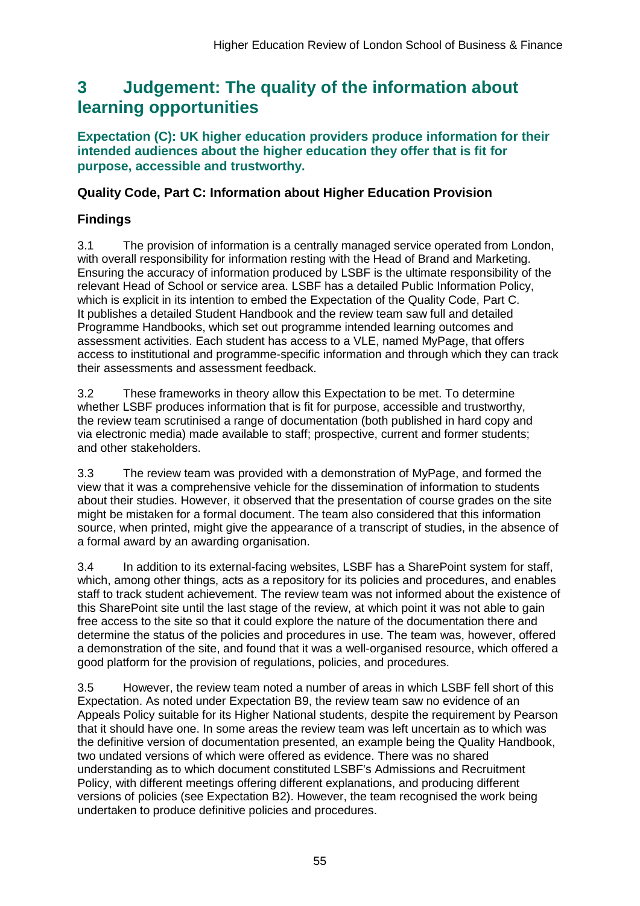## <span id="page-55-0"></span>**3 Judgement: The quality of the information about learning opportunities**

### **Expectation (C): UK higher education providers produce information for their intended audiences about the higher education they offer that is fit for purpose, accessible and trustworthy.**

## **Quality Code, Part C: Information about Higher Education Provision**

## **Findings**

3.1 The provision of information is a centrally managed service operated from London, with overall responsibility for information resting with the Head of Brand and Marketing. Ensuring the accuracy of information produced by LSBF is the ultimate responsibility of the relevant Head of School or service area. LSBF has a detailed Public Information Policy, which is explicit in its intention to embed the Expectation of the Quality Code, Part C. It publishes a detailed Student Handbook and the review team saw full and detailed Programme Handbooks, which set out programme intended learning outcomes and assessment activities. Each student has access to a VLE, named MyPage, that offers access to institutional and programme-specific information and through which they can track their assessments and assessment feedback.

3.2 These frameworks in theory allow this Expectation to be met. To determine whether LSBF produces information that is fit for purpose, accessible and trustworthy, the review team scrutinised a range of documentation (both published in hard copy and via electronic media) made available to staff; prospective, current and former students; and other stakeholders.

3.3 The review team was provided with a demonstration of MyPage, and formed the view that it was a comprehensive vehicle for the dissemination of information to students about their studies. However, it observed that the presentation of course grades on the site might be mistaken for a formal document. The team also considered that this information source, when printed, might give the appearance of a transcript of studies, in the absence of a formal award by an awarding organisation.

3.4 In addition to its external-facing websites, LSBF has a SharePoint system for staff, which, among other things, acts as a repository for its policies and procedures, and enables staff to track student achievement. The review team was not informed about the existence of this SharePoint site until the last stage of the review, at which point it was not able to gain free access to the site so that it could explore the nature of the documentation there and determine the status of the policies and procedures in use. The team was, however, offered a demonstration of the site, and found that it was a well-organised resource, which offered a good platform for the provision of regulations, policies, and procedures.

3.5 However, the review team noted a number of areas in which LSBF fell short of this Expectation. As noted under Expectation B9, the review team saw no evidence of an Appeals Policy suitable for its Higher National students, despite the requirement by Pearson that it should have one. In some areas the review team was left uncertain as to which was the definitive version of documentation presented, an example being the Quality Handbook, two undated versions of which were offered as evidence. There was no shared understanding as to which document constituted LSBF's Admissions and Recruitment Policy, with different meetings offering different explanations, and producing different versions of policies (see Expectation B2). However, the team recognised the work being undertaken to produce definitive policies and procedures.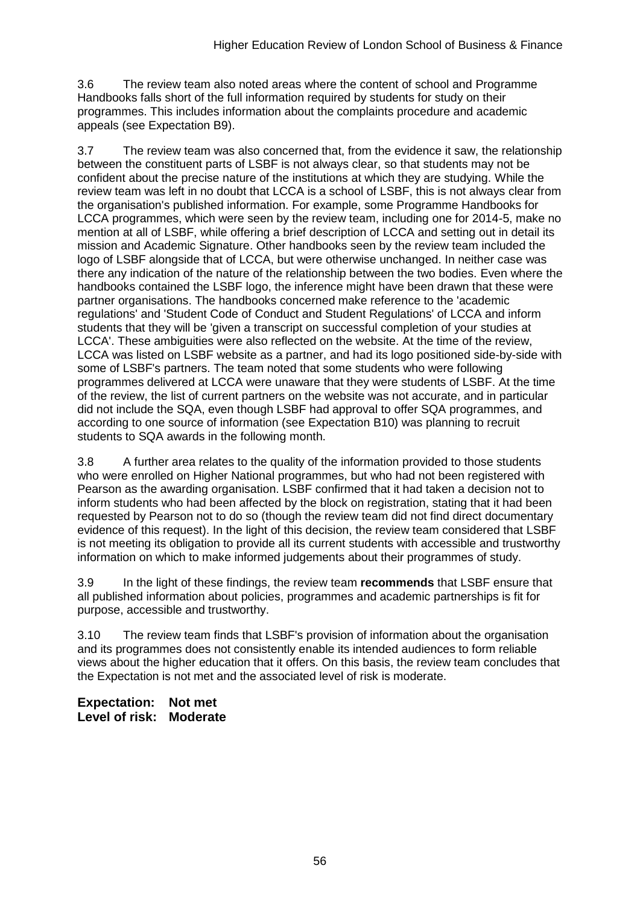3.6 The review team also noted areas where the content of school and Programme Handbooks falls short of the full information required by students for study on their programmes. This includes information about the complaints procedure and academic appeals (see Expectation B9).

3.7 The review team was also concerned that, from the evidence it saw, the relationship between the constituent parts of LSBF is not always clear, so that students may not be confident about the precise nature of the institutions at which they are studying. While the review team was left in no doubt that LCCA is a school of LSBF, this is not always clear from the organisation's published information. For example, some Programme Handbooks for LCCA programmes, which were seen by the review team, including one for 2014-5, make no mention at all of LSBF, while offering a brief description of LCCA and setting out in detail its mission and Academic Signature. Other handbooks seen by the review team included the logo of LSBF alongside that of LCCA, but were otherwise unchanged. In neither case was there any indication of the nature of the relationship between the two bodies. Even where the handbooks contained the LSBF logo, the inference might have been drawn that these were partner organisations. The handbooks concerned make reference to the 'academic regulations' and 'Student Code of Conduct and Student Regulations' of LCCA and inform students that they will be 'given a transcript on successful completion of your studies at LCCA'. These ambiguities were also reflected on the website. At the time of the review, LCCA was listed on LSBF website as a partner, and had its logo positioned side-by-side with some of LSBF's partners. The team noted that some students who were following programmes delivered at LCCA were unaware that they were students of LSBF. At the time of the review, the list of current partners on the website was not accurate, and in particular did not include the SQA, even though LSBF had approval to offer SQA programmes, and according to one source of information (see Expectation B10) was planning to recruit students to SQA awards in the following month.

3.8 A further area relates to the quality of the information provided to those students who were enrolled on Higher National programmes, but who had not been registered with Pearson as the awarding organisation. LSBF confirmed that it had taken a decision not to inform students who had been affected by the block on registration, stating that it had been requested by Pearson not to do so (though the review team did not find direct documentary evidence of this request). In the light of this decision, the review team considered that LSBF is not meeting its obligation to provide all its current students with accessible and trustworthy information on which to make informed judgements about their programmes of study.

3.9 In the light of these findings, the review team **recommends** that LSBF ensure that all published information about policies, programmes and academic partnerships is fit for purpose, accessible and trustworthy.

3.10 The review team finds that LSBF's provision of information about the organisation and its programmes does not consistently enable its intended audiences to form reliable views about the higher education that it offers. On this basis, the review team concludes that the Expectation is not met and the associated level of risk is moderate.

**Expectation: Not met Level of risk: Moderate**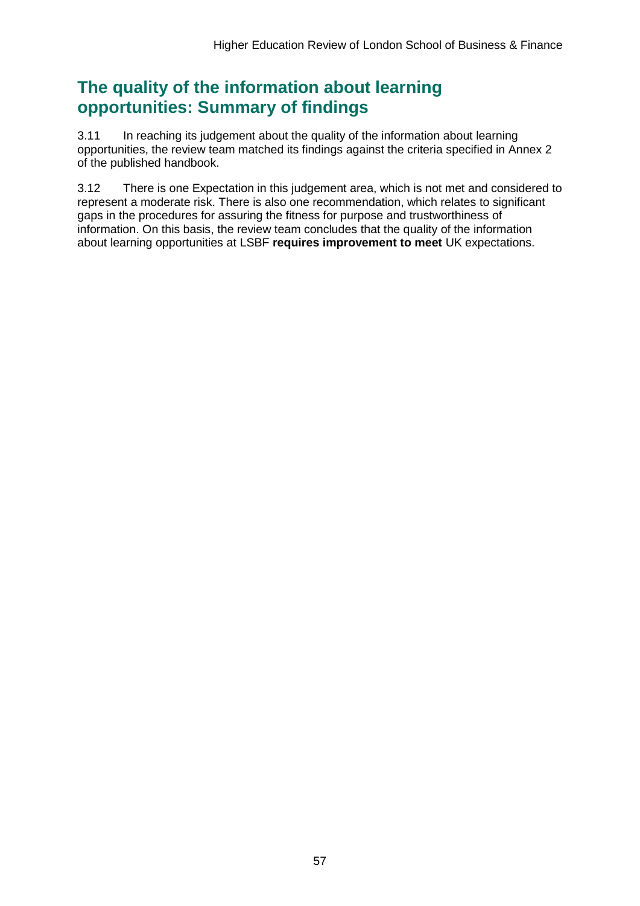## **The quality of the information about learning opportunities: Summary of findings**

3.11 In reaching its judgement about the quality of the information about learning opportunities, the review team matched its findings against the criteria specified in Annex 2 of the published handbook.

3.12 There is one Expectation in this judgement area, which is not met and considered to represent a moderate risk. There is also one recommendation, which relates to significant gaps in the procedures for assuring the fitness for purpose and trustworthiness of information. On this basis, the review team concludes that the quality of the information about learning opportunities at LSBF **requires improvement to meet** UK expectations.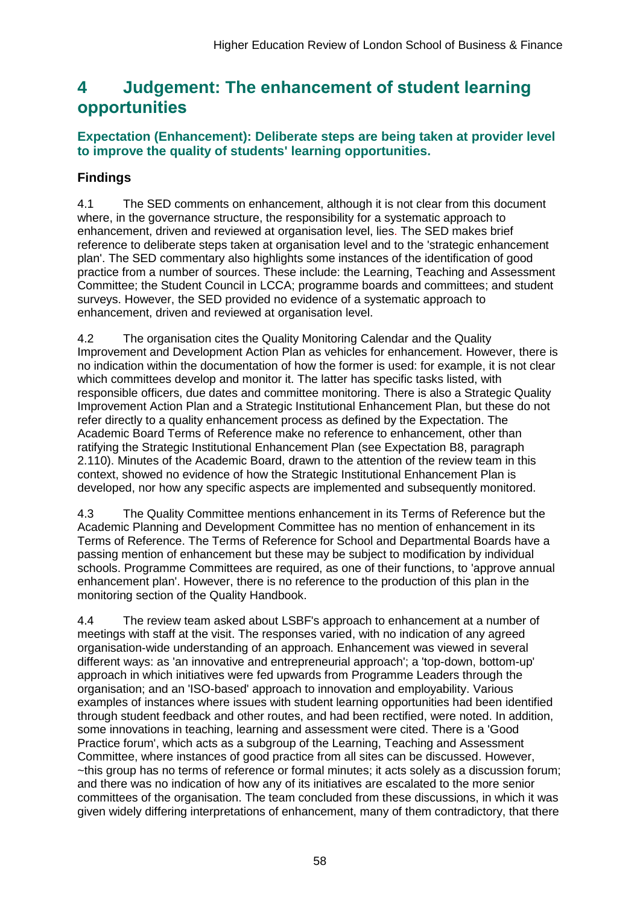## <span id="page-58-0"></span>**4 Judgement: The enhancement of student learning opportunities**

## **Expectation (Enhancement): Deliberate steps are being taken at provider level to improve the quality of students' learning opportunities.**

## **Findings**

4.1 The SED comments on enhancement, although it is not clear from this document where, in the governance structure, the responsibility for a systematic approach to enhancement, driven and reviewed at organisation level, lies. The SED makes brief reference to deliberate steps taken at organisation level and to the 'strategic enhancement plan'. The SED commentary also highlights some instances of the identification of good practice from a number of sources. These include: the Learning, Teaching and Assessment Committee; the Student Council in LCCA; programme boards and committees; and student surveys. However, the SED provided no evidence of a systematic approach to enhancement, driven and reviewed at organisation level.

4.2 The organisation cites the Quality Monitoring Calendar and the Quality Improvement and Development Action Plan as vehicles for enhancement. However, there is no indication within the documentation of how the former is used: for example, it is not clear which committees develop and monitor it. The latter has specific tasks listed, with responsible officers, due dates and committee monitoring. There is also a Strategic Quality Improvement Action Plan and a Strategic Institutional Enhancement Plan, but these do not refer directly to a quality enhancement process as defined by the Expectation. The Academic Board Terms of Reference make no reference to enhancement, other than ratifying the Strategic Institutional Enhancement Plan (see Expectation B8, paragraph 2.110). Minutes of the Academic Board, drawn to the attention of the review team in this context, showed no evidence of how the Strategic Institutional Enhancement Plan is developed, nor how any specific aspects are implemented and subsequently monitored.

4.3 The Quality Committee mentions enhancement in its Terms of Reference but the Academic Planning and Development Committee has no mention of enhancement in its Terms of Reference. The Terms of Reference for School and Departmental Boards have a passing mention of enhancement but these may be subject to modification by individual schools. Programme Committees are required, as one of their functions, to 'approve annual enhancement plan'. However, there is no reference to the production of this plan in the monitoring section of the Quality Handbook.

4.4 The review team asked about LSBF's approach to enhancement at a number of meetings with staff at the visit. The responses varied, with no indication of any agreed organisation-wide understanding of an approach. Enhancement was viewed in several different ways: as 'an innovative and entrepreneurial approach'; a 'top-down, bottom-up' approach in which initiatives were fed upwards from Programme Leaders through the organisation; and an 'ISO-based' approach to innovation and employability. Various examples of instances where issues with student learning opportunities had been identified through student feedback and other routes, and had been rectified, were noted. In addition, some innovations in teaching, learning and assessment were cited. There is a 'Good Practice forum', which acts as a subgroup of the Learning, Teaching and Assessment Committee, where instances of good practice from all sites can be discussed. However, ~this group has no terms of reference or formal minutes; it acts solely as a discussion forum; and there was no indication of how any of its initiatives are escalated to the more senior committees of the organisation. The team concluded from these discussions, in which it was given widely differing interpretations of enhancement, many of them contradictory, that there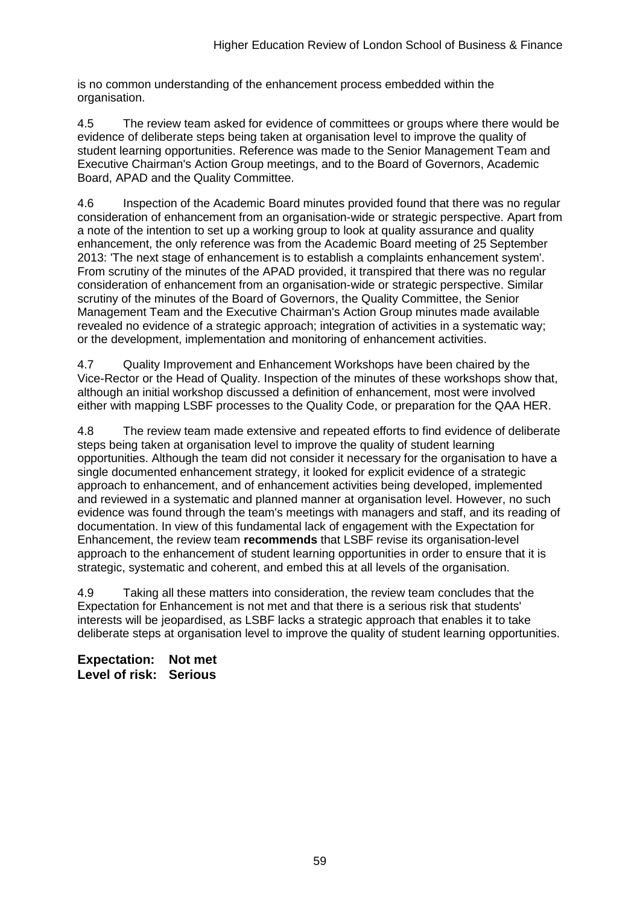is no common understanding of the enhancement process embedded within the organisation.

4.5 The review team asked for evidence of committees or groups where there would be evidence of deliberate steps being taken at organisation level to improve the quality of student learning opportunities. Reference was made to the Senior Management Team and Executive Chairman's Action Group meetings, and to the Board of Governors, Academic Board, APAD and the Quality Committee.

4.6 Inspection of the Academic Board minutes provided found that there was no regular consideration of enhancement from an organisation-wide or strategic perspective. Apart from a note of the intention to set up a working group to look at quality assurance and quality enhancement, the only reference was from the Academic Board meeting of 25 September 2013: 'The next stage of enhancement is to establish a complaints enhancement system'. From scrutiny of the minutes of the APAD provided, it transpired that there was no regular consideration of enhancement from an organisation-wide or strategic perspective. Similar scrutiny of the minutes of the Board of Governors, the Quality Committee, the Senior Management Team and the Executive Chairman's Action Group minutes made available revealed no evidence of a strategic approach; integration of activities in a systematic way; or the development, implementation and monitoring of enhancement activities.

4.7 Quality Improvement and Enhancement Workshops have been chaired by the Vice-Rector or the Head of Quality. Inspection of the minutes of these workshops show that, although an initial workshop discussed a definition of enhancement, most were involved either with mapping LSBF processes to the Quality Code, or preparation for the QAA HER.

4.8 The review team made extensive and repeated efforts to find evidence of deliberate steps being taken at organisation level to improve the quality of student learning opportunities. Although the team did not consider it necessary for the organisation to have a single documented enhancement strategy, it looked for explicit evidence of a strategic approach to enhancement, and of enhancement activities being developed, implemented and reviewed in a systematic and planned manner at organisation level. However, no such evidence was found through the team's meetings with managers and staff, and its reading of documentation. In view of this fundamental lack of engagement with the Expectation for Enhancement, the review team **recommends** that LSBF revise its organisation-level approach to the enhancement of student learning opportunities in order to ensure that it is strategic, systematic and coherent, and embed this at all levels of the organisation.

4.9 Taking all these matters into consideration, the review team concludes that the Expectation for Enhancement is not met and that there is a serious risk that students' interests will be jeopardised, as LSBF lacks a strategic approach that enables it to take deliberate steps at organisation level to improve the quality of student learning opportunities.

**Expectation: Not met Level of risk: Serious**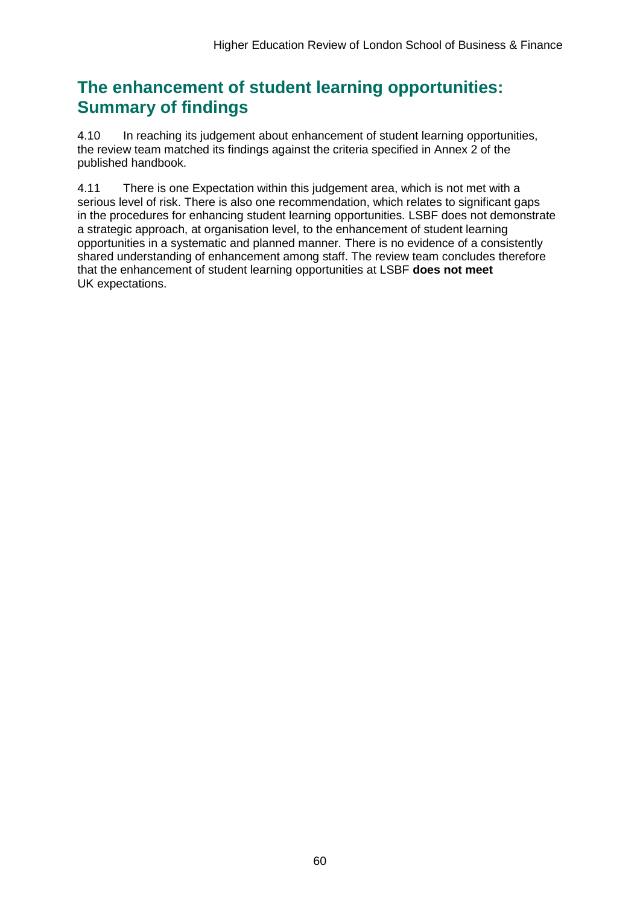## **The enhancement of student learning opportunities: Summary of findings**

4.10 In reaching its judgement about enhancement of student learning opportunities, the review team matched its findings against the criteria specified in Annex 2 of the published handbook.

4.11 There is one Expectation within this judgement area, which is not met with a serious level of risk. There is also one recommendation, which relates to significant gaps in the procedures for enhancing student learning opportunities. LSBF does not demonstrate a strategic approach, at organisation level, to the enhancement of student learning opportunities in a systematic and planned manner. There is no evidence of a consistently shared understanding of enhancement among staff. The review team concludes therefore that the enhancement of student learning opportunities at LSBF **does not meet** UK expectations.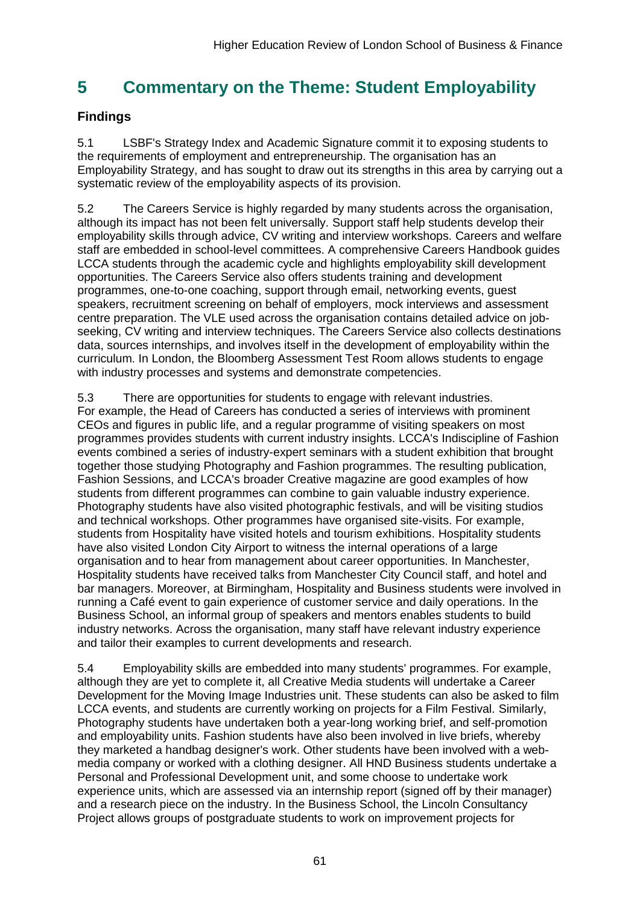## <span id="page-61-0"></span>**5 Commentary on the Theme: Student Employability**

## **Findings**

5.1 LSBF's Strategy Index and Academic Signature commit it to exposing students to the requirements of employment and entrepreneurship. The organisation has an Employability Strategy, and has sought to draw out its strengths in this area by carrying out a systematic review of the employability aspects of its provision.

5.2 The Careers Service is highly regarded by many students across the organisation, although its impact has not been felt universally. Support staff help students develop their employability skills through advice, CV writing and interview workshops. Careers and welfare staff are embedded in school-level committees. A comprehensive Careers Handbook guides LCCA students through the academic cycle and highlights employability skill development opportunities. The Careers Service also offers students training and development programmes, one-to-one coaching, support through email, networking events, guest speakers, recruitment screening on behalf of employers, mock interviews and assessment centre preparation. The VLE used across the organisation contains detailed advice on jobseeking, CV writing and interview techniques. The Careers Service also collects destinations data, sources internships, and involves itself in the development of employability within the curriculum. In London, the Bloomberg Assessment Test Room allows students to engage with industry processes and systems and demonstrate competencies.

5.3 There are opportunities for students to engage with relevant industries. For example, the Head of Careers has conducted a series of interviews with prominent CEOs and figures in public life, and a regular programme of visiting speakers on most programmes provides students with current industry insights. LCCA's Indiscipline of Fashion events combined a series of industry-expert seminars with a student exhibition that brought together those studying Photography and Fashion programmes. The resulting publication, Fashion Sessions, and LCCA's broader Creative magazine are good examples of how students from different programmes can combine to gain valuable industry experience. Photography students have also visited photographic festivals, and will be visiting studios and technical workshops. Other programmes have organised site-visits. For example, students from Hospitality have visited hotels and tourism exhibitions. Hospitality students have also visited London City Airport to witness the internal operations of a large organisation and to hear from management about career opportunities. In Manchester, Hospitality students have received talks from Manchester City Council staff, and hotel and bar managers. Moreover, at Birmingham, Hospitality and Business students were involved in running a Café event to gain experience of customer service and daily operations. In the Business School, an informal group of speakers and mentors enables students to build industry networks. Across the organisation, many staff have relevant industry experience and tailor their examples to current developments and research.

5.4 Employability skills are embedded into many students' programmes. For example, although they are yet to complete it, all Creative Media students will undertake a Career Development for the Moving Image Industries unit. These students can also be asked to film LCCA events, and students are currently working on projects for a Film Festival. Similarly, Photography students have undertaken both a year-long working brief, and self-promotion and employability units. Fashion students have also been involved in live briefs, whereby they marketed a handbag designer's work. Other students have been involved with a webmedia company or worked with a clothing designer. All HND Business students undertake a Personal and Professional Development unit, and some choose to undertake work experience units, which are assessed via an internship report (signed off by their manager) and a research piece on the industry. In the Business School, the Lincoln Consultancy Project allows groups of postgraduate students to work on improvement projects for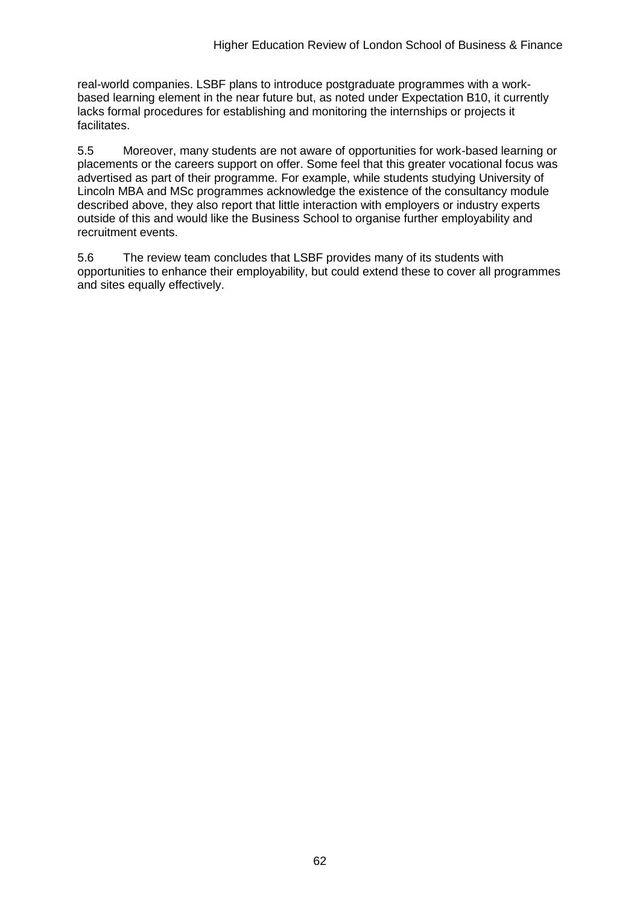real-world companies. LSBF plans to introduce postgraduate programmes with a workbased learning element in the near future but, as noted under Expectation B10, it currently lacks formal procedures for establishing and monitoring the internships or projects it facilitates.

5.5 Moreover, many students are not aware of opportunities for work-based learning or placements or the careers support on offer. Some feel that this greater vocational focus was advertised as part of their programme. For example, while students studying University of Lincoln MBA and MSc programmes acknowledge the existence of the consultancy module described above, they also report that little interaction with employers or industry experts outside of this and would like the Business School to organise further employability and recruitment events.

<span id="page-62-0"></span>5.6 The review team concludes that LSBF provides many of its students with opportunities to enhance their employability, but could extend these to cover all programmes and sites equally effectively.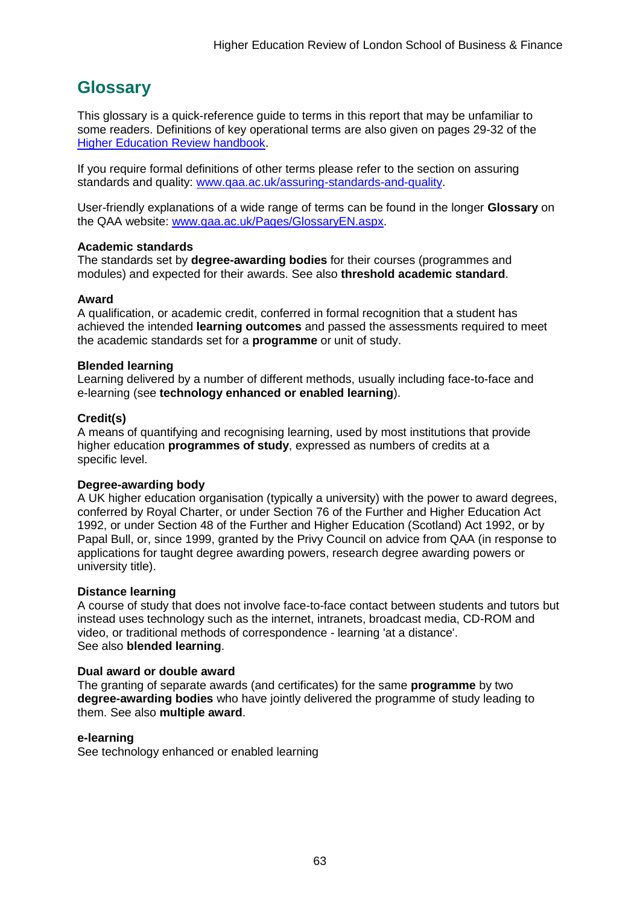## <span id="page-63-0"></span>**Glossary**

This glossary is a quick-reference guide to terms in this report that may be unfamiliar to some readers. Definitions of key operational terms are also given on pages 29-32 of the [Higher Education Review handbook.](http://www.qaa.ac.uk/publications/information-and-guidance/publication?PubID=2672)

If you require formal definitions of other terms please refer to the section on assuring standards and quality: [www.qaa.ac.uk/assuring-standards-and-quality.](http://www.qaa.ac.uk/assuring-standards-and-quality)

User-friendly explanations of a wide range of terms can be found in the longer **Glossary** on the QAA website: [www.qaa.ac.uk/Pages/GlossaryEN.aspx.](http://www.qaa.ac.uk/Pages/GlossaryEN.aspx)

#### **Academic standards**

The standards set by **degree-awarding bodies** for their courses (programmes and modules) and expected for their awards. See also **threshold academic standard**.

#### **Award**

A qualification, or academic credit, conferred in formal recognition that a student has achieved the intended **learning outcomes** and passed the assessments required to meet the academic standards set for a **programme** or unit of study.

#### **Blended learning**

Learning delivered by a number of different methods, usually including face-to-face and e-learning (see **[technology enhanced or enabled learning](http://www.qaa.ac.uk/AboutUs/glossary/Pages/glossary-t.aspx#t1)**).

#### **Credit(s)**

A means of quantifying and recognising learning, used by most institutions that provide higher education **programmes of study**, expressed as numbers of credits at a specific level.

#### **Degree-awarding body**

A UK [higher education organisation](http://newlive.qaa.ac.uk/AboutUs/glossary/Pages/glossary-h.aspx#h2.1) (typically a [university\)](http://newlive.qaa.ac.uk/AboutUs/glossary/Pages/glossary-u-z.aspx#u4) with the power to award degrees, conferred by Royal Charter, or under Section 76 of the Further and Higher Education Act 1992, or under Section 48 of the Further and Higher Education (Scotland) Act 1992, or by Papal Bull, or, since 1999, granted by the Privy Council on advice from QAA (in response to applications for [taught degree awarding powers, research degree awarding powers or](http://newlive.qaa.ac.uk/AboutUs/DAP/Pages/default.aspx)  [university title\)](http://newlive.qaa.ac.uk/AboutUs/DAP/Pages/default.aspx).

#### **Distance learning**

A course of study that does not involve face-to-face contact between students and tutors but instead uses technology such as the internet, intranets, broadcast media, CD-ROM and video, or traditional methods of correspondence - learning 'at a distance'. See also **blended learning**.

#### **Dual award or double award**

The granting of separate awards (and certificates) for the same **programme** by two **degree-awarding bodies** who have jointly delivered the programme of study leading to them. See also **multiple award**.

#### **e-learning**

See technology enhanced or enabled learning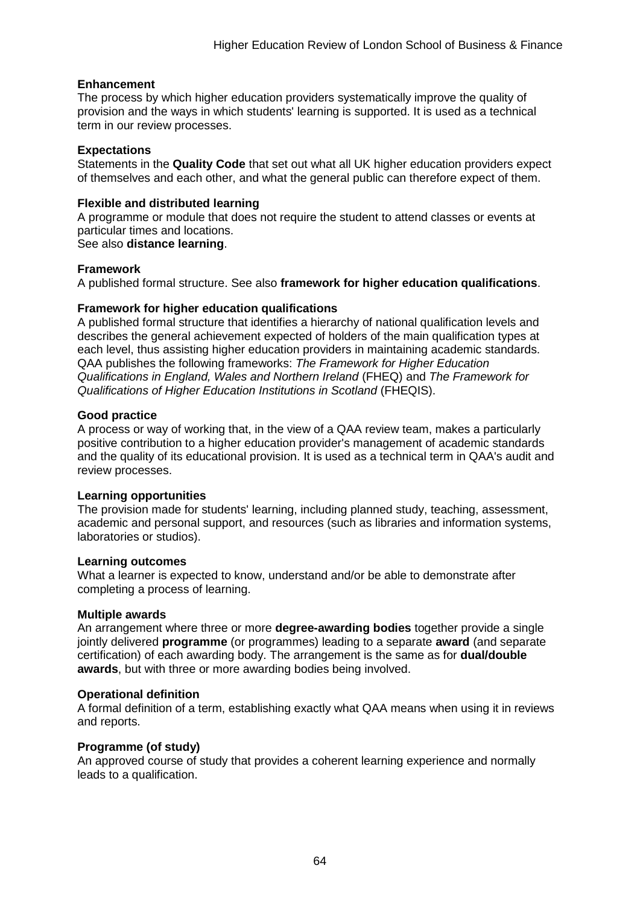#### **Enhancement**

The process by which [higher education providers](http://www.qaa.ac.uk/AboutUs/glossary/Pages/glossary-h.aspx#h2.1) systematically improve the quality of provision and the ways in which students' learning is supported. It is used as a technical term in our review processes.

#### **Expectations**

Statements in the **Quality Code** that set out what all UK [higher education providers](http://newlive.qaa.ac.uk/AboutUs/glossary/Pages/glossary-h.aspx#h2.1) expect of themselves and each other, and what the general public can therefore expect of them.

#### **Flexible and distributed learning**

A [programme](http://newlive.qaa.ac.uk/AboutUs/glossary/Pages/glossary-p.aspx#p12) or [module](http://newlive.qaa.ac.uk/AboutUs/glossary/Pages/glossary-m-o.aspx#m6) that does not require the student to attend classes or events at particular times and locations.

See also **distance learning**.

#### **Framework**

A published formal structure. See also **framework for higher education qualifications**.

#### **Framework for higher education qualifications**

A published formal structure that identifies a hierarchy of national qualification levels and describes the general achievement expected of holders of the main qualification types at each level, thus assisting higher education providers in maintaining academic standards. QAA publishes the following frameworks: *The Framework for Higher Education Qualifications in England, Wales and Northern Ireland* (FHEQ) and *The Framework for Qualifications of Higher Education Institutions in Scotland* (FHEQIS).

#### **Good practice**

A process or way of working that, in the view of a QAA review team, makes a particularly positive contribution to a higher education provider's management of academic standards and the quality of its educational provision. It is used as a technical term in QAA's audit and review processes.

#### **Learning opportunities**

The provision made for students' learning, including planned study, teaching, assessment, academic and personal support, and resources (such as libraries and information systems, laboratories or studios).

#### **Learning outcomes**

What a learner is expected to know, understand and/or be able to demonstrate after completing a process of learning.

#### **Multiple awards**

An arrangement where three or more **degree-awarding bodies** together provide a single jointly delivered **programme** (or programmes) leading to a separate **award** (and separate certification) of each awarding body. The arrangement is the same as for **dual/double awards**, but with three or more awarding bodies being involved.

#### **Operational definition**

A formal definition of a term, establishing exactly what QAA means when using it in reviews and reports.

#### **Programme (of study)**

An approved course of study that provides a coherent learning experience and normally leads to a qualification.